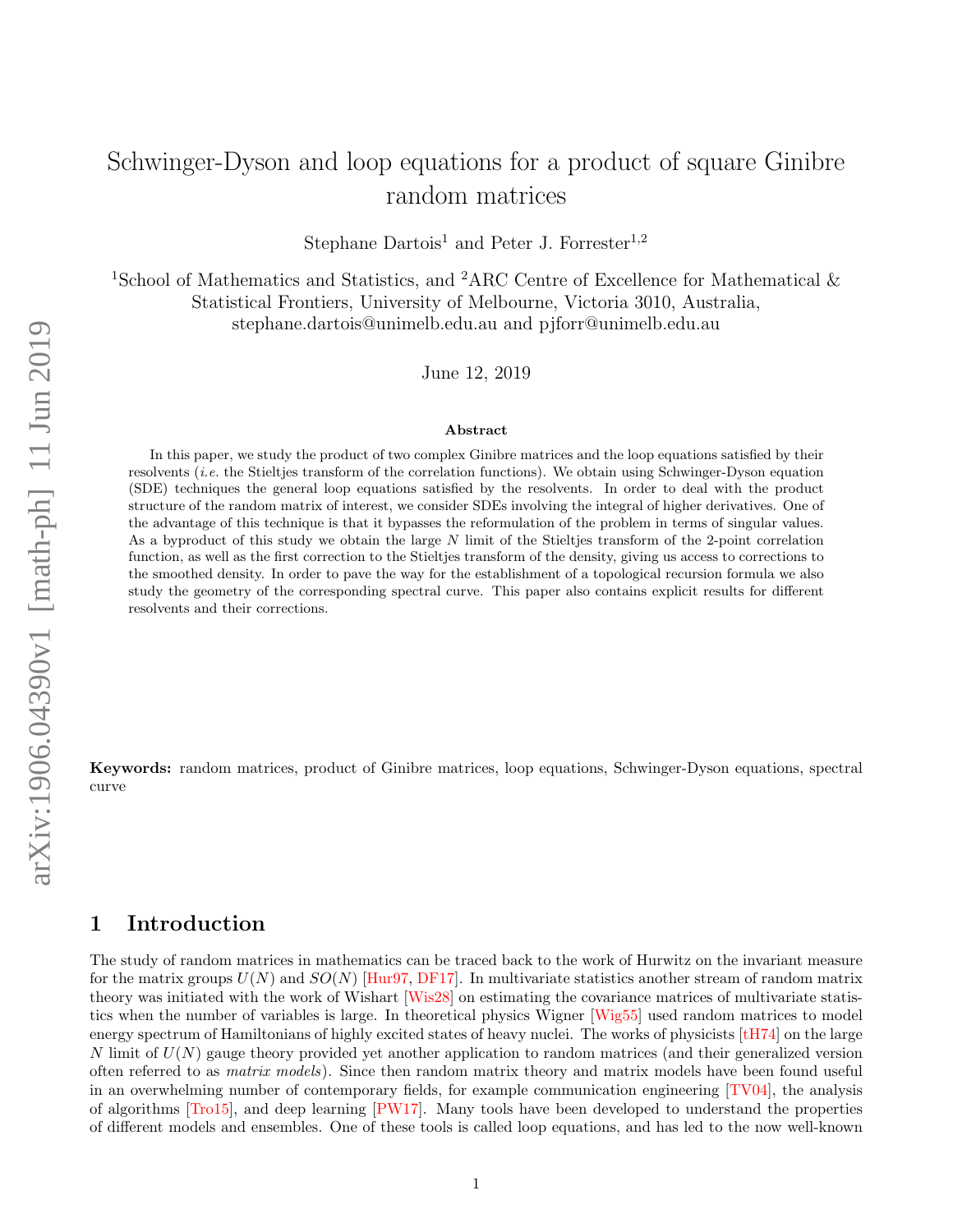# <span id="page-0-0"></span>Schwinger-Dyson and loop equations for a product of square Ginibre random matrices

Stephane Dartois<sup>1</sup> and Peter J. Forrester<sup>1,2</sup>

<sup>1</sup>School of Mathematics and Statistics, and <sup>2</sup>ARC Centre of Excellence for Mathematical  $\&$ Statistical Frontiers, University of Melbourne, Victoria 3010, Australia, stephane.dartois@unimelb.edu.au and pjforr@unimelb.edu.au

June 12, 2019

#### Abstract

In this paper, we study the product of two complex Ginibre matrices and the loop equations satisfied by their resolvents (i.e. the Stieltjes transform of the correlation functions). We obtain using Schwinger-Dyson equation (SDE) techniques the general loop equations satisfied by the resolvents. In order to deal with the product structure of the random matrix of interest, we consider SDEs involving the integral of higher derivatives. One of the advantage of this technique is that it bypasses the reformulation of the problem in terms of singular values. As a byproduct of this study we obtain the large N limit of the Stieltjes transform of the 2-point correlation function, as well as the first correction to the Stieltjes transform of the density, giving us access to corrections to the smoothed density. In order to pave the way for the establishment of a topological recursion formula we also study the geometry of the corresponding spectral curve. This paper also contains explicit results for different resolvents and their corrections.

Keywords: random matrices, product of Ginibre matrices, loop equations, Schwinger-Dyson equations, spectral curve

## 1 Introduction

The study of random matrices in mathematics can be traced back to the work of Hurwitz on the invariant measure for the matrix groups  $U(N)$  and  $SO(N)$  [\[Hur97,](#page-26-0) [DF17\]](#page-25-0). In multivariate statistics another stream of random matrix theory was initiated with the work of Wishart [\[Wis28\]](#page-27-0) on estimating the covariance matrices of multivariate statistics when the number of variables is large. In theoretical physics Wigner [\[Wig55\]](#page-27-1) used random matrices to model energy spectrum of Hamiltonians of highly excited states of heavy nuclei. The works of physicists [\[tH74\]](#page-26-1) on the large  $N$  limit of  $U(N)$  gauge theory provided yet another application to random matrices (and their generalized version often referred to as matrix models). Since then random matrix theory and matrix models have been found useful in an overwhelming number of contemporary fields, for example communication engineering [\[TV04\]](#page-26-2), the analysis of algorithms [\[Tro15\]](#page-26-3), and deep learning [\[PW17\]](#page-26-4). Many tools have been developed to understand the properties of different models and ensembles. One of these tools is called loop equations, and has led to the now well-known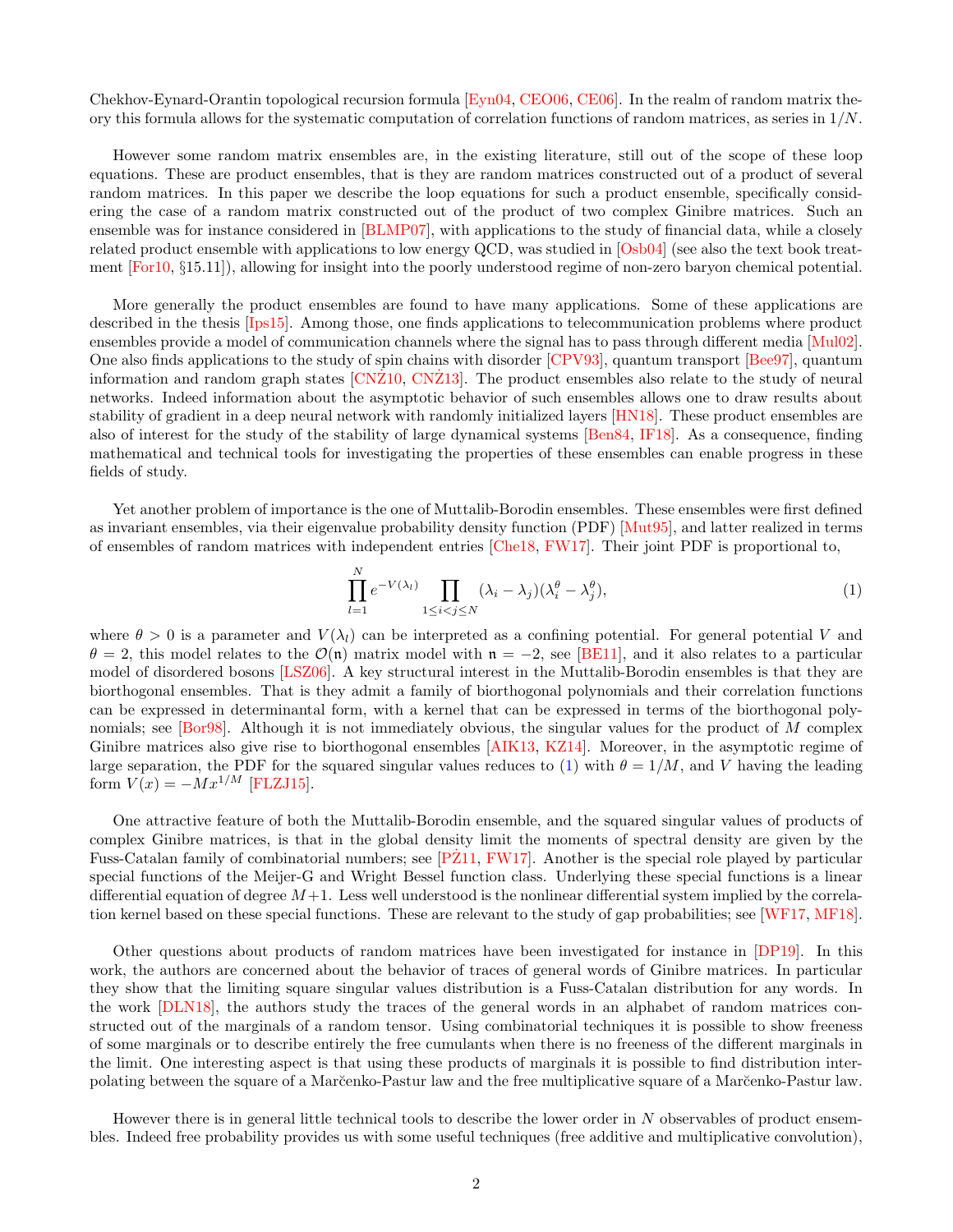<span id="page-1-1"></span>Chekhov-Eynard-Orantin topological recursion formula [\[Eyn04,](#page-25-1) [CEO06,](#page-25-2) [CE06\]](#page-25-3). In the realm of random matrix theory this formula allows for the systematic computation of correlation functions of random matrices, as series in  $1/N$ .

However some random matrix ensembles are, in the existing literature, still out of the scope of these loop equations. These are product ensembles, that is they are random matrices constructed out of a product of several random matrices. In this paper we describe the loop equations for such a product ensemble, specifically considering the case of a random matrix constructed out of the product of two complex Ginibre matrices. Such an ensemble was for instance considered in [\[BLMP07\]](#page-25-4), with applications to the study of financial data, while a closely related product ensemble with applications to low energy QCD, was studied in [\[Osb04\]](#page-26-5) (see also the text book treatment [\[For10,](#page-26-6) §15.11]), allowing for insight into the poorly understood regime of non-zero baryon chemical potential.

More generally the product ensembles are found to have many applications. Some of these applications are described in the thesis [\[Ips15\]](#page-26-7). Among those, one finds applications to telecommunication problems where product ensembles provide a model of communication channels where the signal has to pass through different media [\[Mul02\]](#page-26-8). One also finds applications to the study of spin chains with disorder [\[CPV93\]](#page-25-5), quantum transport [\[Bee97\]](#page-25-6), quantum information and random graph states [\[CNZ10](#page-25-7), [CNZ13](#page-25-8)]. The product ensembles also relate to the study of neural networks. Indeed information about the asymptotic behavior of such ensembles allows one to draw results about stability of gradient in a deep neural network with randomly initialized layers [\[HN18\]](#page-26-9). These product ensembles are also of interest for the study of the stability of large dynamical systems [\[Ben84,](#page-25-9) [IF18\]](#page-26-10). As a consequence, finding mathematical and technical tools for investigating the properties of these ensembles can enable progress in these fields of study.

Yet another problem of importance is the one of Muttalib-Borodin ensembles. These ensembles were first defined as invariant ensembles, via their eigenvalue probability density function (PDF) [\[Mut95\]](#page-26-11), and latter realized in terms of ensembles of random matrices with independent entries [\[Che18,](#page-25-10) [FW17\]](#page-26-12). Their joint PDF is proportional to,

<span id="page-1-0"></span>
$$
\prod_{l=1}^{N} e^{-V(\lambda_l)} \prod_{1 \le i < j \le N} (\lambda_i - \lambda_j)(\lambda_i^{\theta} - \lambda_j^{\theta}),\tag{1}
$$

where  $\theta > 0$  is a parameter and  $V(\lambda_l)$  can be interpreted as a confining potential. For general potential V and  $\theta = 2$ , this model relates to the  $\mathcal{O}(n)$  matrix model with  $n = -2$ , see [\[BE11\]](#page-24-0), and it also relates to a particular model of disordered bosons [\[LSZ06\]](#page-26-13). A key structural interest in the Muttalib-Borodin ensembles is that they are biorthogonal ensembles. That is they admit a family of biorthogonal polynomials and their correlation functions can be expressed in determinantal form, with a kernel that can be expressed in terms of the biorthogonal poly-nomials; see [\[Bor98\]](#page-25-11). Although it is not immediately obvious, the singular values for the product of M complex Ginibre matrices also give rise to biorthogonal ensembles [\[AIK13,](#page-24-1) [KZ14\]](#page-26-14). Moreover, in the asymptotic regime of large separation, the PDF for the squared singular values reduces to [\(1\)](#page-1-0) with  $\theta = 1/M$ , and V having the leading form  $V(x) = -Mx^{1/M}$  [\[FLZJ15\]](#page-25-12).

One attractive feature of both the Muttalib-Borodin ensemble, and the squared singular values of products of complex Ginibre matrices, is that in the global density limit the moments of spectral density are given by the Fuss-Catalan family of combinatorial numbers; see [\[PZ11](#page-26-15), [FW17\]](#page-26-12). Another is the special role played by particular special functions of the Meijer-G and Wright Bessel function class. Underlying these special functions is a linear differential equation of degree  $M+1$ . Less well understood is the nonlinear differential system implied by the correlation kernel based on these special functions. These are relevant to the study of gap probabilities; see [\[WF17,](#page-27-2) [MF18\]](#page-26-16).

Other questions about products of random matrices have been investigated for instance in [\[DP19\]](#page-25-13). In this work, the authors are concerned about the behavior of traces of general words of Ginibre matrices. In particular they show that the limiting square singular values distribution is a Fuss-Catalan distribution for any words. In the work [\[DLN18\]](#page-25-14), the authors study the traces of the general words in an alphabet of random matrices constructed out of the marginals of a random tensor. Using combinatorial techniques it is possible to show freeness of some marginals or to describe entirely the free cumulants when there is no freeness of the different marginals in the limit. One interesting aspect is that using these products of marginals it is possible to find distribution interpolating between the square of a Mar˘cenko-Pastur law and the free multiplicative square of a Mar˘cenko-Pastur law.

However there is in general little technical tools to describe the lower order in  $N$  observables of product ensembles. Indeed free probability provides us with some useful techniques (free additive and multiplicative convolution),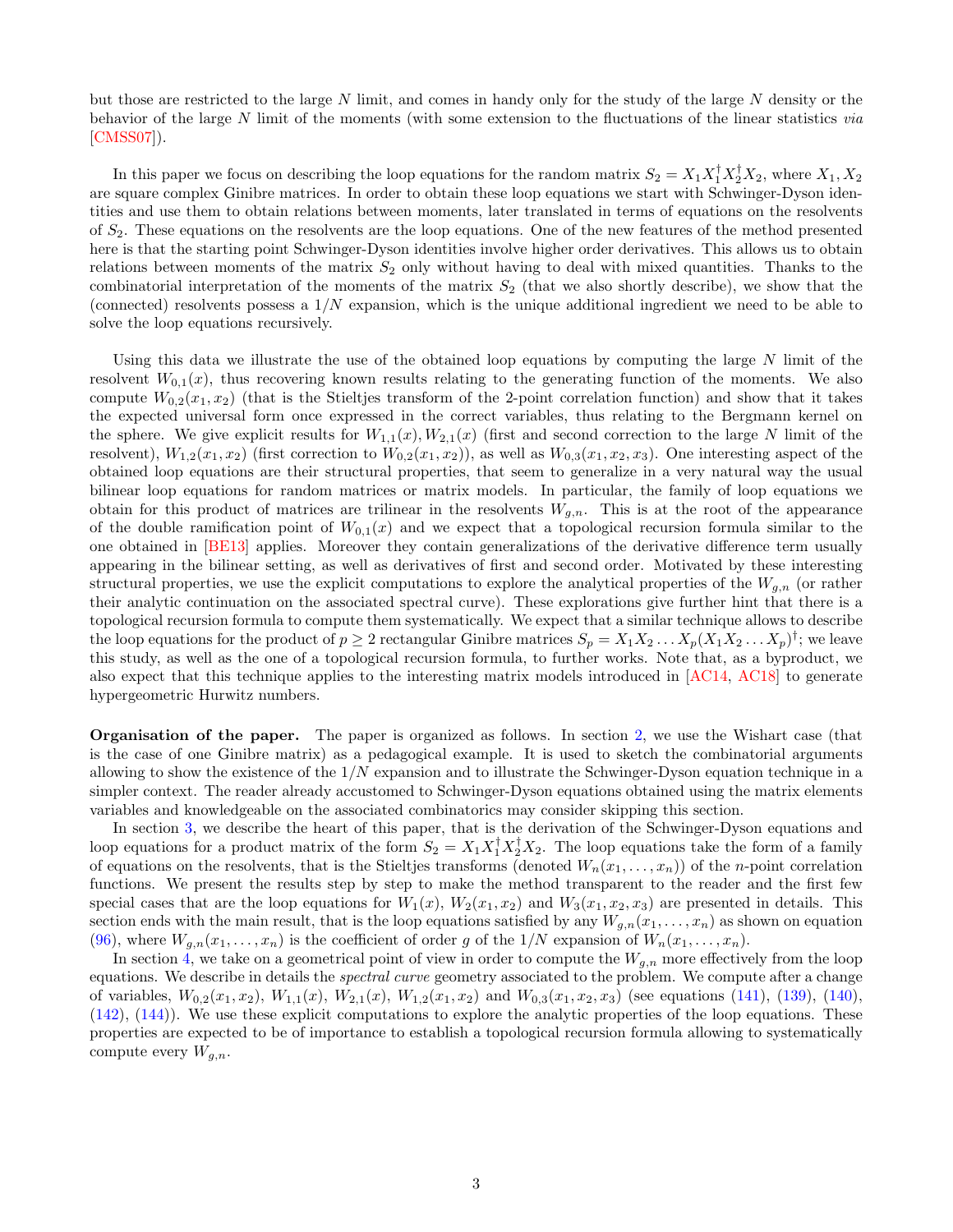<span id="page-2-0"></span>but those are restricted to the large N limit, and comes in handy only for the study of the large N density or the behavior of the large N limit of the moments (with some extension to the fluctuations of the linear statistics via [\[CMSS07\]](#page-25-15)).

In this paper we focus on describing the loop equations for the random matrix  $S_2 = X_1 X_1^{\dagger} X_2^{\dagger} X_2$ , where  $X_1, X_2$ are square complex Ginibre matrices. In order to obtain these loop equations we start with Schwinger-Dyson identities and use them to obtain relations between moments, later translated in terms of equations on the resolvents of  $S_2$ . These equations on the resolvents are the loop equations. One of the new features of the method presented here is that the starting point Schwinger-Dyson identities involve higher order derivatives. This allows us to obtain relations between moments of the matrix  $S_2$  only without having to deal with mixed quantities. Thanks to the combinatorial interpretation of the moments of the matrix  $S_2$  (that we also shortly describe), we show that the (connected) resolvents possess a  $1/N$  expansion, which is the unique additional ingredient we need to be able to solve the loop equations recursively.

Using this data we illustrate the use of the obtained loop equations by computing the large  $N$  limit of the resolvent  $W_{0,1}(x)$ , thus recovering known results relating to the generating function of the moments. We also compute  $W_{0,2}(x_1, x_2)$  (that is the Stieltjes transform of the 2-point correlation function) and show that it takes the expected universal form once expressed in the correct variables, thus relating to the Bergmann kernel on the sphere. We give explicit results for  $W_{1,1}(x), W_{2,1}(x)$  (first and second correction to the large N limit of the resolvent),  $W_{1,2}(x_1, x_2)$  (first correction to  $W_{0,2}(x_1, x_2)$ ), as well as  $W_{0,3}(x_1, x_2, x_3)$ . One interesting aspect of the obtained loop equations are their structural properties, that seem to generalize in a very natural way the usual bilinear loop equations for random matrices or matrix models. In particular, the family of loop equations we obtain for this product of matrices are trilinear in the resolvents  $W_{q,n}$ . This is at the root of the appearance of the double ramification point of  $W_{0,1}(x)$  and we expect that a topological recursion formula similar to the one obtained in [\[BE13\]](#page-24-2) applies. Moreover they contain generalizations of the derivative difference term usually appearing in the bilinear setting, as well as derivatives of first and second order. Motivated by these interesting structural properties, we use the explicit computations to explore the analytical properties of the  $W_{q,n}$  (or rather their analytic continuation on the associated spectral curve). These explorations give further hint that there is a topological recursion formula to compute them systematically. We expect that a similar technique allows to describe the loop equations for the product of  $p \geq 2$  rectangular Ginibre matrices  $S_p = X_1 X_2 \dots X_p (X_1 X_2 \dots X_p)^{\dagger}$ ; we leave this study, as well as the one of a topological recursion formula, to further works. Note that, as a byproduct, we also expect that this technique applies to the interesting matrix models introduced in [\[AC14,](#page-24-3) [AC18\]](#page-24-4) to generate hypergeometric Hurwitz numbers.

Organisation of the paper. The paper is organized as follows. In section [2,](#page-3-0) we use the Wishart case (that is the case of one Ginibre matrix) as a pedagogical example. It is used to sketch the combinatorial arguments allowing to show the existence of the  $1/N$  expansion and to illustrate the Schwinger-Dyson equation technique in a simpler context. The reader already accustomed to Schwinger-Dyson equations obtained using the matrix elements variables and knowledgeable on the associated combinatorics may consider skipping this section.

In section [3,](#page-7-0) we describe the heart of this paper, that is the derivation of the Schwinger-Dyson equations and loop equations for a product matrix of the form  $S_2 = X_1 X_1^{\dagger} X_2^{\dagger} X_2$ . The loop equations take the form of a family of equations on the resolvents, that is the Stieltjes transforms (denoted  $W_n(x_1, \ldots, x_n)$ ) of the *n*-point correlation functions. We present the results step by step to make the method transparent to the reader and the first few special cases that are the loop equations for  $W_1(x)$ ,  $W_2(x_1, x_2)$  and  $W_3(x_1, x_2, x_3)$  are presented in details. This section ends with the main result, that is the loop equations satisfied by any  $W_{q,n}(x_1,\ldots,x_n)$  as shown on equation [\(96\)](#page-16-0), where  $W_{g,n}(x_1,\ldots,x_n)$  is the coefficient of order g of the  $1/N$  expansion of  $W_n(x_1,\ldots,x_n)$ .

In section [4,](#page-16-1) we take on a geometrical point of view in order to compute the  $W_{g,n}$  more effectively from the loop equations. We describe in details the *spectral curve* geometry associated to the problem. We compute after a change of variables,  $W_{0,2}(x_1, x_2)$ ,  $W_{1,1}(x)$ ,  $W_{2,1}(x)$ ,  $W_{1,2}(x_1, x_2)$  and  $W_{0,3}(x_1, x_2, x_3)$  (see equations [\(141\)](#page-23-0), [\(139\)](#page-23-1), [\(140\)](#page-23-2), [\(142\)](#page-23-3), [\(144\)](#page-23-4)). We use these explicit computations to explore the analytic properties of the loop equations. These properties are expected to be of importance to establish a topological recursion formula allowing to systematically compute every  $W_{g,n}$ .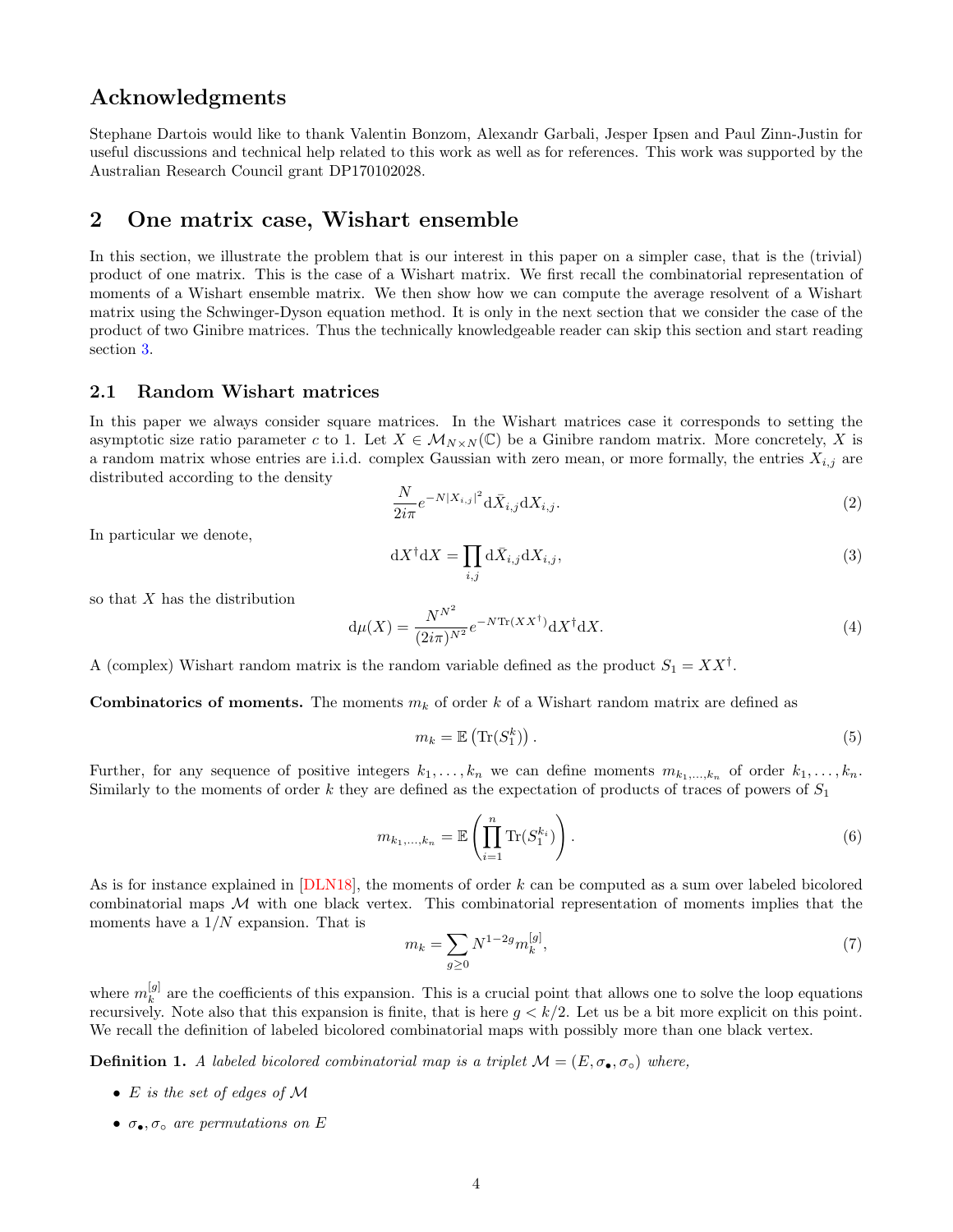## <span id="page-3-2"></span>Acknowledgments

Stephane Dartois would like to thank Valentin Bonzom, Alexandr Garbali, Jesper Ipsen and Paul Zinn-Justin for useful discussions and technical help related to this work as well as for references. This work was supported by the Australian Research Council grant DP170102028.

## <span id="page-3-0"></span>2 One matrix case, Wishart ensemble

In this section, we illustrate the problem that is our interest in this paper on a simpler case, that is the (trivial) product of one matrix. This is the case of a Wishart matrix. We first recall the combinatorial representation of moments of a Wishart ensemble matrix. We then show how we can compute the average resolvent of a Wishart matrix using the Schwinger-Dyson equation method. It is only in the next section that we consider the case of the product of two Ginibre matrices. Thus the technically knowledgeable reader can skip this section and start reading section [3.](#page-7-0)

#### 2.1 Random Wishart matrices

In this paper we always consider square matrices. In the Wishart matrices case it corresponds to setting the asymptotic size ratio parameter c to 1. Let  $X \in \mathcal{M}_{N \times N}(\mathbb{C})$  be a Ginibre random matrix. More concretely, X is a random matrix whose entries are i.i.d. complex Gaussian with zero mean, or more formally, the entries  $X_{i,j}$  are distributed according to the density

$$
\frac{N}{2i\pi}e^{-N|X_{i,j}|^2}\mathrm{d}\bar{X}_{i,j}\mathrm{d}X_{i,j}.\tag{2}
$$

In particular we denote,

$$
dX^{\dagger}dX = \prod_{i,j} d\bar{X}_{i,j}dX_{i,j},\tag{3}
$$

so that  $X$  has the distribution

$$
\mathrm{d}\mu(X) = \frac{N^{N^2}}{(2i\pi)^{N^2}} e^{-N \mathrm{Tr}(XX^\dagger)} \mathrm{d}X^\dagger \mathrm{d}X. \tag{4}
$$

A (complex) Wishart random matrix is the random variable defined as the product  $S_1 = XX^{\dagger}$ .

**Combinatorics of moments.** The moments  $m_k$  of order k of a Wishart random matrix are defined as

$$
m_k = \mathbb{E}\left(\text{Tr}(S_1^k)\right). \tag{5}
$$

Further, for any sequence of positive integers  $k_1, \ldots, k_n$  we can define moments  $m_{k_1,\ldots,k_n}$  of order  $k_1, \ldots, k_n$ . Similarly to the moments of order k they are defined as the expectation of products of traces of powers of  $S_1$ 

$$
m_{k_1,\ldots,k_n} = \mathbb{E}\left(\prod_{i=1}^n \text{Tr}(S_1^{k_i})\right). \tag{6}
$$

As is for instance explained in [\[DLN18\]](#page-25-14), the moments of order k can be computed as a sum over labeled bicolored combinatorial maps  $M$  with one black vertex. This combinatorial representation of moments implies that the moments have a  $1/N$  expansion. That is

<span id="page-3-1"></span>
$$
m_k = \sum_{g \ge 0} N^{1-2g} m_k^{[g]},\tag{7}
$$

where  $m_k^{[g]}$  $\frac{g}{k}$  are the coefficients of this expansion. This is a crucial point that allows one to solve the loop equations recursively. Note also that this expansion is finite, that is here  $g < k/2$ . Let us be a bit more explicit on this point. We recall the definition of labeled bicolored combinatorial maps with possibly more than one black vertex.

**Definition 1.** A labeled bicolored combinatorial map is a triplet  $\mathcal{M} = (E, \sigma_{\bullet}, \sigma_{\circ})$  where,

- E is the set of edges of M
- $\sigma_{\bullet}, \sigma_{\circ}$  are permutations on E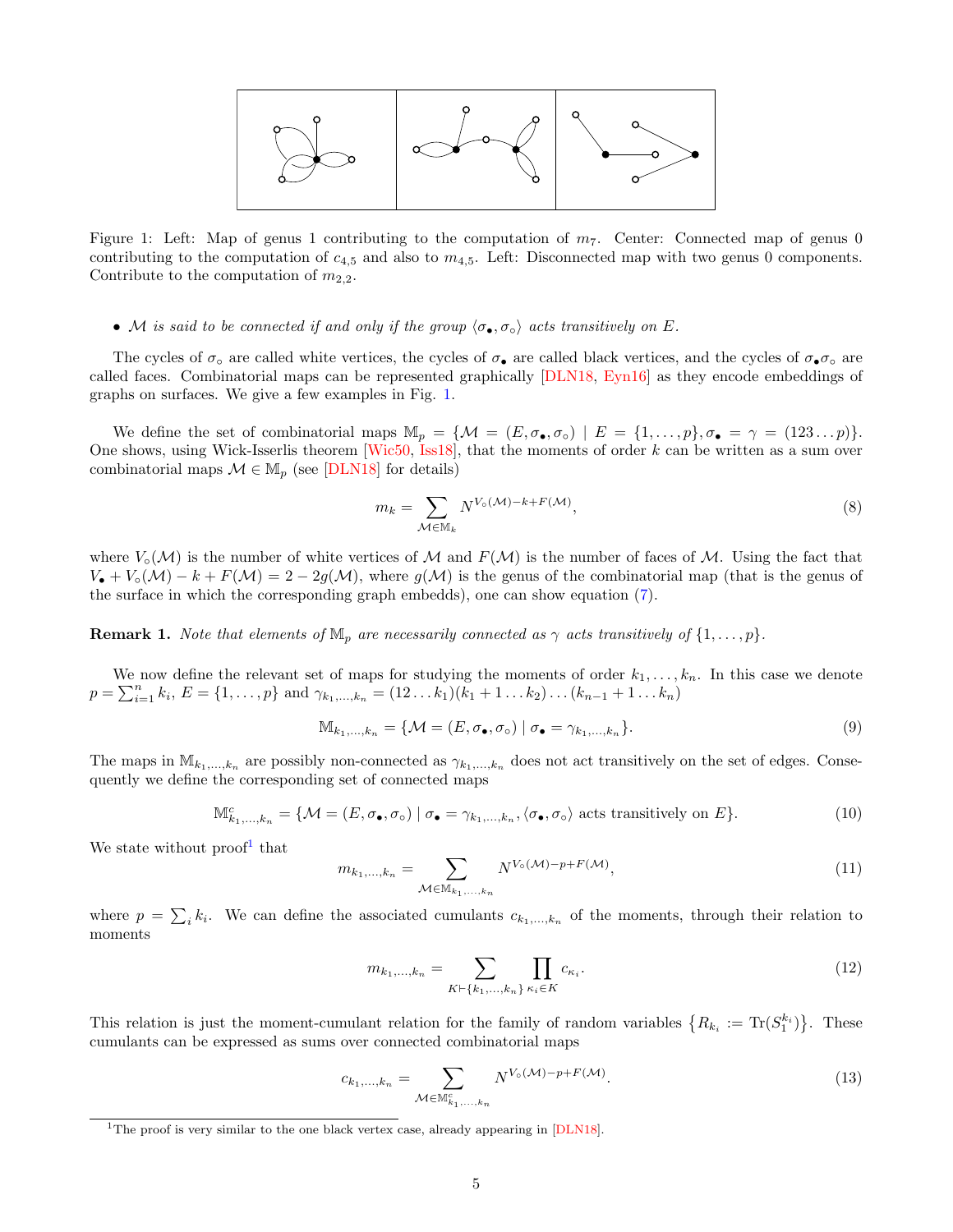<span id="page-4-4"></span>

<span id="page-4-0"></span>Figure 1: Left: Map of genus 1 contributing to the computation of  $m_7$ . Center: Connected map of genus 0 contributing to the computation of  $c_{4,5}$  and also to  $m_{4,5}$ . Left: Disconnected map with two genus 0 components. Contribute to the computation of  $m_{2,2}$ .

#### • M is said to be connected if and only if the group  $\langle \sigma_{\bullet}, \sigma_{\circ} \rangle$  acts transitively on E.

The cycles of  $\sigma_{\rm o}$  are called white vertices, the cycles of  $\sigma_{\rm o}$  are called black vertices, and the cycles of  $\sigma_{\rm o}\sigma_{\rm o}$  are called faces. Combinatorial maps can be represented graphically [\[DLN18,](#page-25-14) [Eyn16\]](#page-25-16) as they encode embeddings of graphs on surfaces. We give a few examples in Fig. [1.](#page-4-0)

We define the set of combinatorial maps  $\mathbb{M}_p = \{ \mathcal{M} = (E, \sigma_{\bullet}, \sigma_{\circ}) \mid E = \{1, \ldots, p\}, \sigma_{\bullet} = \gamma = (123 \ldots p)\}.$ One shows, using Wick-Isserlis theorem  $[Wic50, Is18]$ , that the moments of order k can be written as a sum over combinatorial maps  $\mathcal{M} \in M_p$  (see [\[DLN18\]](#page-25-14) for details)

$$
m_k = \sum_{\mathcal{M} \in \mathbb{M}_k} N^{V_{\circ}(\mathcal{M}) - k + F(\mathcal{M})},\tag{8}
$$

where  $V_{\circ}(M)$  is the number of white vertices of M and  $F(M)$  is the number of faces of M. Using the fact that  $V_{\bullet} + V_{\circ}(M) - k + F(M) = 2 - 2g(M)$ , where  $g(M)$  is the genus of the combinatorial map (that is the genus of the surface in which the corresponding graph embedds), one can show equation [\(7\)](#page-3-1).

**Remark 1.** Note that elements of  $\mathbb{M}_p$  are necessarily connected as  $\gamma$  acts transitively of  $\{1,\ldots,p\}$ .

We now define the relevant set of maps for studying the moments of order  $k_1, \ldots, k_n$ . In this case we denote  $p = \sum_{i=1}^{n} k_i, E = \{1, \ldots, p\}$  and  $\gamma_{k_1, \ldots, k_n} = (12 \ldots k_1)(k_1 + 1 \ldots k_2) \ldots (k_{n-1} + 1 \ldots k_n)$ 

$$
\mathbb{M}_{k_1,\ldots,k_n} = \{ \mathcal{M} = (E, \sigma_{\bullet}, \sigma_{\circ}) \mid \sigma_{\bullet} = \gamma_{k_1,\ldots,k_n} \}.
$$
\n
$$
(9)
$$

The maps in  $\mathbb{M}_{k_1,\ldots,k_n}$  are possibly non-connected as  $\gamma_{k_1,\ldots,k_n}$  does not act transitively on the set of edges. Consequently we define the corresponding set of connected maps

$$
\mathbb{M}_{k_1,\dots,k_n}^c = \{ \mathcal{M} = (E,\sigma_\bullet,\sigma_\circ) \mid \sigma_\bullet = \gamma_{k_1,\dots,k_n}, \langle \sigma_\bullet, \sigma_\circ \rangle \text{ acts transitively on } E \}. \tag{10}
$$

We state without  $\text{proof}^1$  $\text{proof}^1$  that

$$
m_{k_1,\ldots,k_n} = \sum_{\mathcal{M} \in \mathbb{M}_{k_1,\ldots,k_n}} N^{V_{\circ}(\mathcal{M}) - p + F(\mathcal{M})},\tag{11}
$$

where  $p = \sum_{i} k_i$ . We can define the associated cumulants  $c_{k_1,...,k_n}$  of the moments, through their relation to moments

<span id="page-4-3"></span>
$$
m_{k_1,\dots,k_n} = \sum_{K \vdash \{k_1,\dots,k_n\}} \prod_{\kappa_i \in K} c_{\kappa_i}.
$$
\n(12)

This relation is just the moment-cumulant relation for the family of random variables  $\{R_{k_i} := \text{Tr}(S_1^{k_i})\}$ . These cumulants can be expressed as sums over connected combinatorial maps

<span id="page-4-2"></span>
$$
c_{k_1,\ldots,k_n} = \sum_{\mathcal{M} \in \mathbb{M}_{k_1,\ldots,k_n}^c} N^{V_0(\mathcal{M}) - p + F(\mathcal{M})}.
$$
\n
$$
(13)
$$

<span id="page-4-1"></span><sup>&</sup>lt;sup>1</sup>The proof is very similar to the one black vertex case, already appearing in [\[DLN18\]](#page-25-14).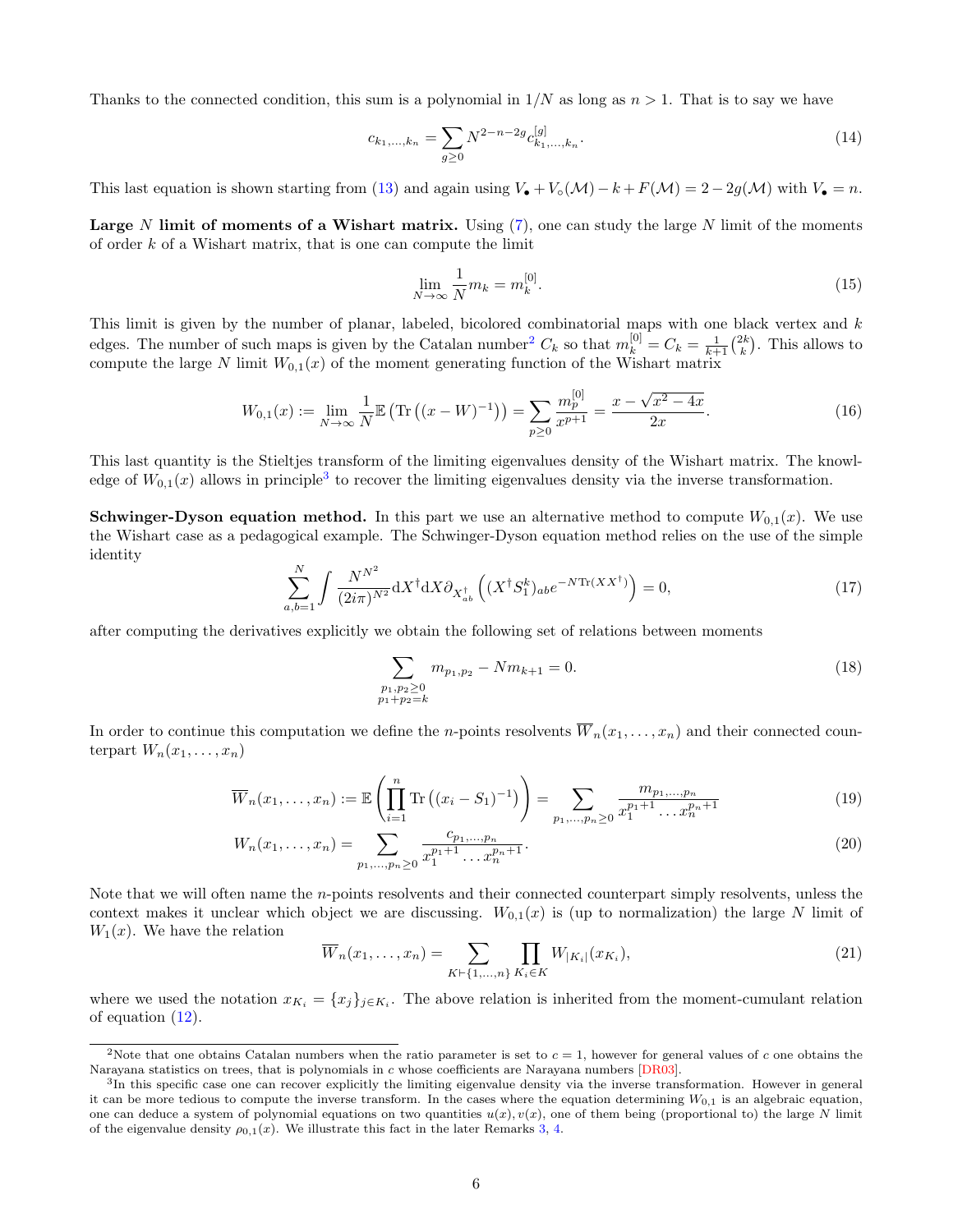<span id="page-5-4"></span>Thanks to the connected condition, this sum is a polynomial in  $1/N$  as long as  $n > 1$ . That is to say we have

$$
c_{k_1,\dots,k_n} = \sum_{g\geq 0} N^{2-n-2g} c_{k_1,\dots,k_n}^{[g]}.
$$
\n(14)

This last equation is shown starting from [\(13\)](#page-4-2) and again using  $V_{\bullet} + V_{\circ}(\mathcal{M}) - k + F(\mathcal{M}) = 2 - 2g(\mathcal{M})$  with  $V_{\bullet} = n$ .

**Large** N limit of moments of a Wishart matrix. Using  $(7)$ , one can study the large N limit of the moments of order k of a Wishart matrix, that is one can compute the limit

$$
\lim_{N \to \infty} \frac{1}{N} m_k = m_k^{[0]}.\tag{15}
$$

This limit is given by the number of planar, labeled, bicolored combinatorial maps with one black vertex and k edges. The number of such maps is given by the Catalan number<sup>[2](#page-5-0)</sup>  $C_k$  so that  $m_k^{[0]} = C_k = \frac{1}{k+1} {2k \choose k}$ . This allows to compute the large N limit  $W_{0,1}(x)$  of the moment generating function of the Wishart matrix

<span id="page-5-2"></span>
$$
W_{0,1}(x) := \lim_{N \to \infty} \frac{1}{N} \mathbb{E} \left( \text{Tr} \left( (x - W)^{-1} \right) \right) = \sum_{p \ge 0} \frac{m_p^{[0]}}{x^{p+1}} = \frac{x - \sqrt{x^2 - 4x}}{2x}.
$$
 (16)

This last quantity is the Stieltjes transform of the limiting eigenvalues density of the Wishart matrix. The knowledge of  $W_{0,1}(x)$  allows in principle<sup>[3](#page-5-1)</sup> to recover the limiting eigenvalues density via the inverse transformation.

**Schwinger-Dyson equation method.** In this part we use an alternative method to compute  $W_{0,1}(x)$ . We use the Wishart case as a pedagogical example. The Schwinger-Dyson equation method relies on the use of the simple identity

$$
\sum_{a,b=1}^{N} \int \frac{N^{N^2}}{(2i\pi)^{N^2}} dX^{\dagger} dX \partial_{X_{ab}^{\dagger}} \left( (X^{\dagger} S_1^k)_{ab} e^{-N \text{Tr}(XX^{\dagger})} \right) = 0, \tag{17}
$$

after computing the derivatives explicitly we obtain the following set of relations between moments

$$
\sum_{\substack{p_1, p_2 \ge 0 \\ p_1 + p_2 = k}} m_{p_1, p_2} - N m_{k+1} = 0.
$$
\n(18)

In order to continue this computation we define the *n*-points resolvents  $\overline{W}_n(x_1, \ldots, x_n)$  and their connected counterpart  $W_n(x_1, \ldots, x_n)$ 

$$
\overline{W}_n(x_1,\ldots,x_n) := \mathbb{E}\left(\prod_{i=1}^n \text{Tr}\left((x_i - S_1)^{-1}\right)\right) = \sum_{p_1,\ldots,p_n \ge 0} \frac{m_{p_1,\ldots,p_n}}{x_1^{p_1+1}\ldots x_n^{p_n+1}}\tag{19}
$$

$$
W_n(x_1, \ldots, x_n) = \sum_{p_1, \ldots, p_n \ge 0} \frac{c_{p_1, \ldots, p_n}}{x_1^{p_1 + 1} \ldots x_n^{p_n + 1}}.
$$
\n(20)

Note that we will often name the *n*-points resolvents and their connected counterpart simply resolvents, unless the context makes it unclear which object we are discussing.  $W_{0,1}(x)$  is (up to normalization) the large N limit of  $W_1(x)$ . We have the relation

<span id="page-5-3"></span>
$$
\overline{W}_n(x_1, \dots, x_n) = \sum_{K \vdash \{1, \dots, n\}} \prod_{K_i \in K} W_{|K_i|}(x_{K_i}),
$$
\n(21)

where we used the notation  $x_{K_i} = \{x_j\}_{j \in K_i}$ . The above relation is inherited from the moment-cumulant relation of equation [\(12\)](#page-4-3).

<span id="page-5-0"></span><sup>&</sup>lt;sup>2</sup>Note that one obtains Catalan numbers when the ratio parameter is set to  $c = 1$ , however for general values of c one obtains the Narayana statistics on trees, that is polynomials in c whose coefficients are Narayana numbers [\[DR03\]](#page-25-17).

<span id="page-5-1"></span><sup>&</sup>lt;sup>3</sup>In this specific case one can recover explicitly the limiting eigenvalue density via the inverse transformation. However in general it can be more tedious to compute the inverse transform. In the cases where the equation determining  $W_{0,1}$  is an algebraic equation, one can deduce a system of polynomial equations on two quantities  $u(x), v(x)$ , one of them being (proportional to) the large N limit of the eigenvalue density  $\rho_{0,1}(x)$ . We illustrate this fact in the later Remarks [3,](#page-6-0) [4.](#page-10-0)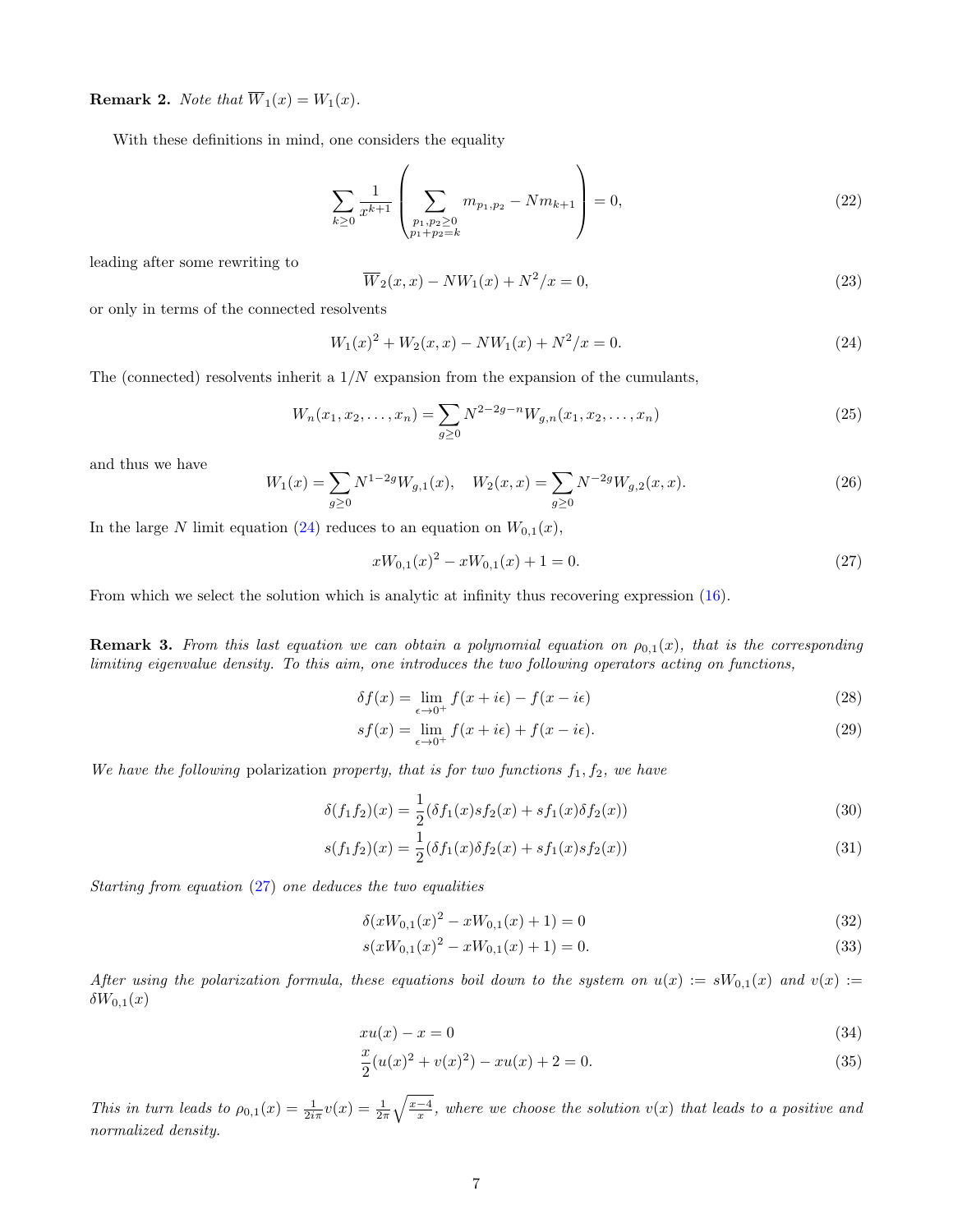**Remark 2.** Note that  $\overline{W}_1(x) = W_1(x)$ .

With these definitions in mind, one considers the equality

$$
\sum_{k\geq 0} \frac{1}{x^{k+1}} \left( \sum_{\substack{p_1, p_2 \geq 0 \\ p_1 + p_2 = k}} m_{p_1, p_2} - N m_{k+1} \right) = 0, \tag{22}
$$

leading after some rewriting to

<span id="page-6-4"></span>
$$
\overline{W}_2(x,x) - NW_1(x) + N^2/x = 0,
$$
\n(23)

or only in terms of the connected resolvents

<span id="page-6-1"></span>
$$
W_1(x)^2 + W_2(x, x) - NW_1(x) + N^2/x = 0.
$$
\n(24)

The (connected) resolvents inherit a  $1/N$  expansion from the expansion of the cumulants,

<span id="page-6-3"></span>
$$
W_n(x_1, x_2, \dots, x_n) = \sum_{g \ge 0} N^{2-2g-n} W_{g,n}(x_1, x_2, \dots, x_n)
$$
\n(25)

and thus we have

$$
W_1(x) = \sum_{g \ge 0} N^{1-2g} W_{g,1}(x), \quad W_2(x,x) = \sum_{g \ge 0} N^{-2g} W_{g,2}(x,x). \tag{26}
$$

In the large N limit equation [\(24\)](#page-6-1) reduces to an equation on  $W_{0,1}(x)$ ,

<span id="page-6-2"></span>
$$
xW_{0,1}(x)^2 - xW_{0,1}(x) + 1 = 0.
$$
\n(27)

From which we select the solution which is analytic at infinity thus recovering expression [\(16\)](#page-5-2).

<span id="page-6-0"></span>**Remark 3.** From this last equation we can obtain a polynomial equation on  $\rho_{0,1}(x)$ , that is the corresponding limiting eigenvalue density. To this aim, one introduces the two following operators acting on functions,

$$
\delta f(x) = \lim_{\epsilon \to 0^+} f(x + i\epsilon) - f(x - i\epsilon)
$$
\n(28)

$$
sf(x) = \lim_{\epsilon \to 0^+} f(x + i\epsilon) + f(x - i\epsilon).
$$
\n(29)

We have the following polarization property, that is for two functions  $f_1, f_2$ , we have

$$
\delta(f_1 f_2)(x) = \frac{1}{2} (\delta f_1(x) s f_2(x) + s f_1(x) \delta f_2(x))
$$
\n(30)

$$
s(f_1f_2)(x) = \frac{1}{2}(\delta f_1(x)\delta f_2(x) + sf_1(x)s f_2(x))
$$
\n(31)

Starting from equation [\(27\)](#page-6-2) one deduces the two equalities

$$
\delta(xW_{0,1}(x)^2 - xW_{0,1}(x) + 1) = 0\tag{32}
$$

$$
s(xW_{0,1}(x)^2 - xW_{0,1}(x) + 1) = 0.
$$
\n(33)

After using the polarization formula, these equations boil down to the system on  $u(x) := sW_{0,1}(x)$  and  $v(x) :=$  $\delta W_{0,1}(x)$ 

$$
xu(x) - x = 0 \tag{34}
$$

$$
\frac{x}{2}(u(x)^2 + v(x)^2) - xu(x) + 2 = 0.
$$
\n(35)

This in turn leads to  $\rho_{0,1}(x) = \frac{1}{2i\pi}v(x) = \frac{1}{2\pi}\sqrt{\frac{x-4}{x}}$ , where we choose the solution  $v(x)$  that leads to a positive and normalized density.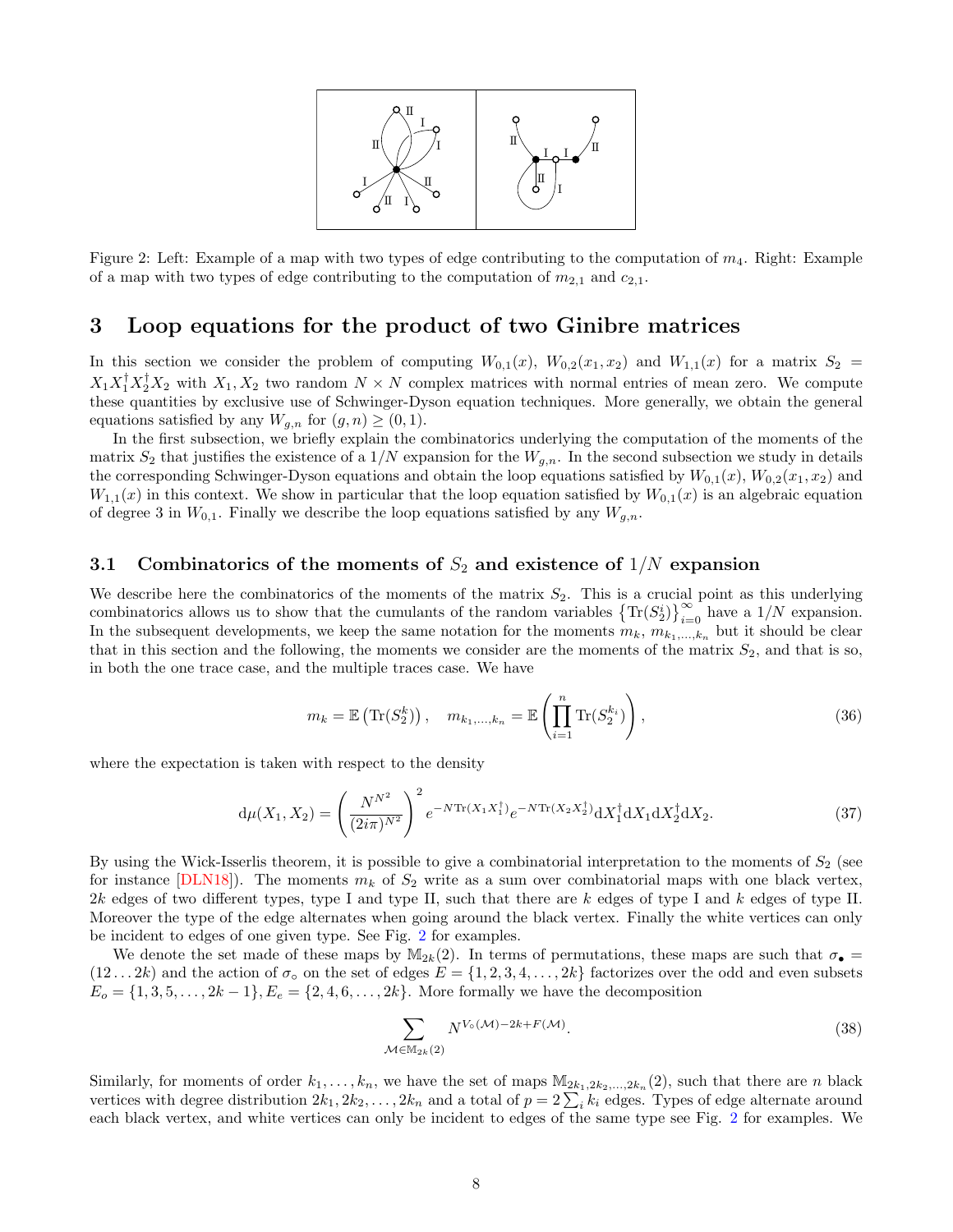

<span id="page-7-2"></span><span id="page-7-1"></span>Figure 2: Left: Example of a map with two types of edge contributing to the computation of  $m_4$ . Right: Example of a map with two types of edge contributing to the computation of  $m_{2,1}$  and  $c_{2,1}$ .

## <span id="page-7-0"></span>3 Loop equations for the product of two Ginibre matrices

In this section we consider the problem of computing  $W_{0,1}(x)$ ,  $W_{0,2}(x_1, x_2)$  and  $W_{1,1}(x)$  for a matrix  $S_2 =$  $X_1 X_1^{\dagger} X_2^{\dagger} X_2$  with  $X_1, X_2$  two random  $N \times N$  complex matrices with normal entries of mean zero. We compute these quantities by exclusive use of Schwinger-Dyson equation techniques. More generally, we obtain the general equations satisfied by any  $W_{q,n}$  for  $(g, n) \geq (0, 1)$ .

In the first subsection, we briefly explain the combinatorics underlying the computation of the moments of the matrix  $S_2$  that justifies the existence of a  $1/N$  expansion for the  $W_{q,n}$ . In the second subsection we study in details the corresponding Schwinger-Dyson equations and obtain the loop equations satisfied by  $W_{0,1}(x)$ ,  $W_{0,2}(x_1, x_2)$  and  $W_{1,1}(x)$  in this context. We show in particular that the loop equation satisfied by  $W_{0,1}(x)$  is an algebraic equation of degree 3 in  $W_{0,1}$ . Finally we describe the loop equations satisfied by any  $W_{g,n}$ .

#### 3.1 Combinatorics of the moments of  $S_2$  and existence of  $1/N$  expansion

We describe here the combinatorics of the moments of the matrix  $S_2$ . This is a crucial point as this underlying combinatorics allows us to show that the cumulants of the random variables  $\left\{Tr(S_2^i)\right\}_{i=0}^{\infty}$  have a  $1/N$  expansion. In the subsequent developments, we keep the same notation for the moments  $m_k, m_{k_1,\dots,k_n}$  but it should be clear that in this section and the following, the moments we consider are the moments of the matrix  $S_2$ , and that is so, in both the one trace case, and the multiple traces case. We have

$$
m_k = \mathbb{E}\left(\text{Tr}(S_2^k)\right), \quad m_{k_1,\dots,k_n} = \mathbb{E}\left(\prod_{i=1}^n \text{Tr}(S_2^{k_i})\right),\tag{36}
$$

where the expectation is taken with respect to the density

$$
d\mu(X_1, X_2) = \left(\frac{N^{N^2}}{(2i\pi)^{N^2}}\right)^2 e^{-N \text{Tr}(X_1 X_1^\dagger)} e^{-N \text{Tr}(X_2 X_2^\dagger)} dX_1^\dagger dX_1 dX_2^\dagger dX_2.
$$
 (37)

By using the Wick-Isserlis theorem, it is possible to give a combinatorial interpretation to the moments of  $S<sub>2</sub>$  (see for instance [\[DLN18\]](#page-25-14)). The moments  $m_k$  of  $S_2$  write as a sum over combinatorial maps with one black vertex,  $2k$  edges of two different types, type I and type II, such that there are k edges of type I and k edges of type II. Moreover the type of the edge alternates when going around the black vertex. Finally the white vertices can only be incident to edges of one given type. See Fig. [2](#page-7-1) for examples.

We denote the set made of these maps by  $\mathbb{M}_{2k}(2)$ . In terms of permutations, these maps are such that  $\sigma_{\bullet} =$  $(12 \ldots 2k)$  and the action of  $\sigma_{\circ}$  on the set of edges  $E = \{1, 2, 3, 4, \ldots, 2k\}$  factorizes over the odd and even subsets  $E_o = \{1, 3, 5, \ldots, 2k-1\}, E_e = \{2, 4, 6, \ldots, 2k\}.$  More formally we have the decomposition

$$
\sum_{\mathcal{M}\in\mathbb{M}_{2k}(2)} N^{V_{\circ}(\mathcal{M})-2k+F(\mathcal{M})}.
$$
\n(38)

Similarly, for moments of order  $k_1, \ldots, k_n$ , we have the set of maps  $M_{2k_1, 2k_2, \ldots, 2k_n}(2)$ , such that there are n black vertices with degree distribution  $2k_1, 2k_2, \ldots, 2k_n$  and a total of  $p = 2\sum_i k_i$  edges. Types of edge alternate around each black vertex, and white vertices can only be incident to edges of the same type see Fig. [2](#page-7-1) for examples. We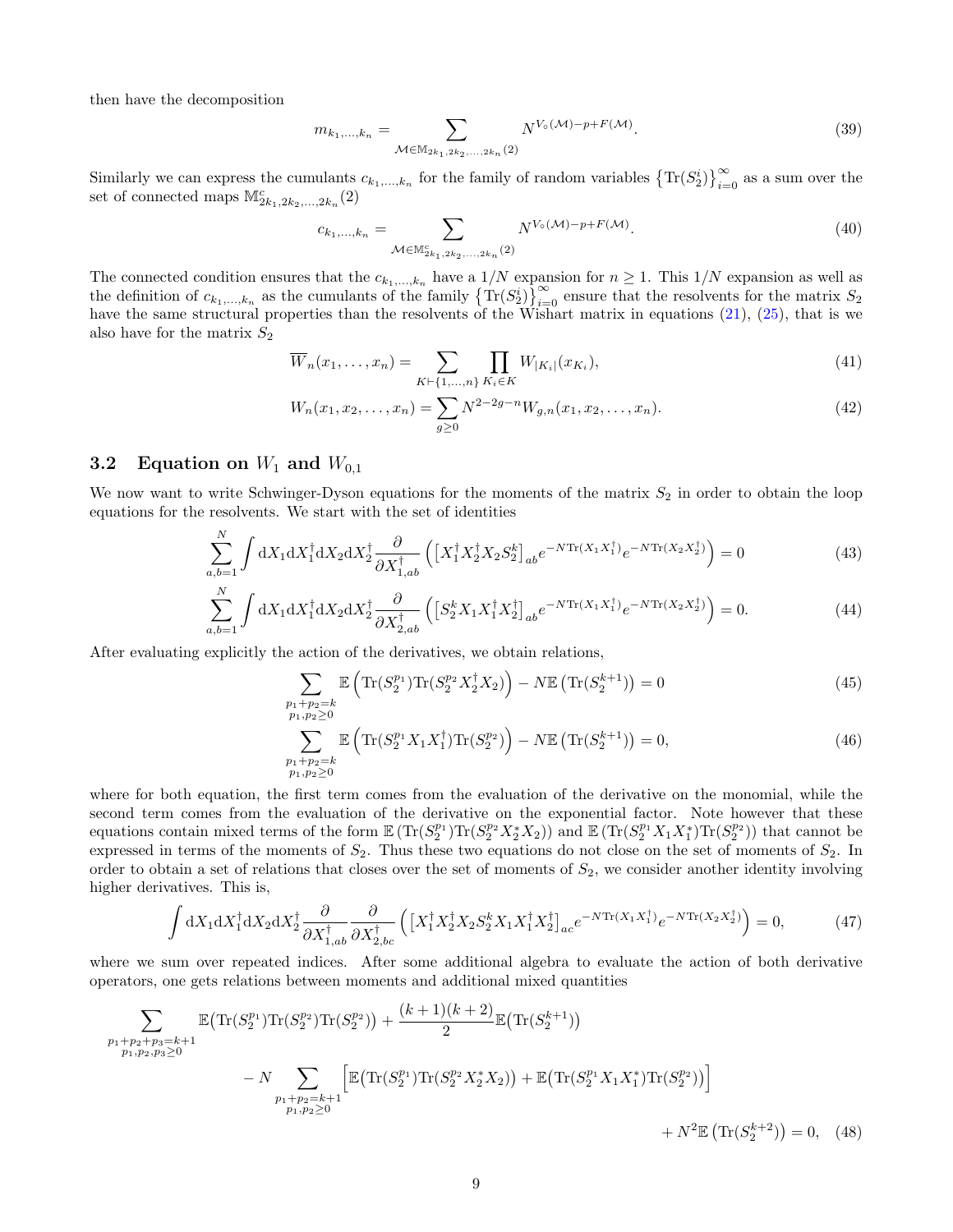then have the decomposition

$$
m_{k_1,\dots,k_n} = \sum_{\mathcal{M} \in \mathbb{M}_{2k_1,2k_2,\dots,2k_n}(2)} N^{V_{\circ}(\mathcal{M}) - p + F(\mathcal{M})}.
$$
\n(39)

Similarly we can express the cumulants  $c_{k_1,\,\ldots,k_n}$  for the family of random variables  $\left\{Tr(S_2^i)\right\}_{i=0}^{\infty}$  as a sum over the set of connected maps  $\mathbb{M}^c_{2k_1,2k_2,\ldots,2k_n}(2)$ 

<span id="page-8-2"></span>
$$
c_{k_1,\dots,k_n} = \sum_{\mathcal{M} \in \mathbb{M}_{2k_1,2k_2,\dots,2k_n}^c(2)} N^{V_o(\mathcal{M}) - p + F(\mathcal{M})}.
$$
 (40)

The connected condition ensures that the  $c_{k_1,...,k_n}$  have a  $1/N$  expansion for  $n \ge 1$ . This  $1/N$  expansion as well as the definition of  $c_{k_1,\dots,k_n}$  as the cumulants of the family  $\left\{Tr(S_2^i)\right\}_{i=0}^\infty$  ensure that the resolvents for the matrix  $S_2$ have the same structural properties than the resolvents of the Wishart matrix in equations [\(21\)](#page-5-3), [\(25\)](#page-6-3), that is we also have for the matrix  $S_2$ 

$$
\overline{W}_n(x_1, \dots, x_n) = \sum_{K \vdash \{1, \dots, n\}} \prod_{K_i \in K} W_{|K_i|}(x_{K_i}),\tag{41}
$$

<span id="page-8-3"></span><span id="page-8-0"></span>
$$
W_n(x_1, x_2, \dots, x_n) = \sum_{g \ge 0} N^{2-2g-n} W_{g,n}(x_1, x_2, \dots, x_n).
$$
 (42)

#### 3.2 Equation on  $W_1$  and  $W_{0,1}$

 $\overline{a}$ 

We now want to write Schwinger-Dyson equations for the moments of the matrix  $S_2$  in order to obtain the loop equations for the resolvents. We start with the set of identities

$$
\sum_{a,b=1}^{N} \int dX_1 dX_1^{\dagger} dX_2 dX_2^{\dagger} \frac{\partial}{\partial X_{1,ab}^{\dagger}} \left( \left[ X_1^{\dagger} X_2^{\dagger} X_2 S_2^k \right]_{ab} e^{-N \text{Tr}(X_1 X_1^{\dagger})} e^{-N \text{Tr}(X_2 X_2^{\dagger})} \right) = 0 \tag{43}
$$

$$
\sum_{a,b=1}^{N} \int dX_1 dX_1^{\dagger} dX_2 dX_2^{\dagger} \frac{\partial}{\partial X_{2,ab}^{\dagger}} \left( \left[ S_2^k X_1 X_1^{\dagger} X_2^{\dagger} \right]_{ab} e^{-N \text{Tr}(X_1 X_1^{\dagger})} e^{-N \text{Tr}(X_2 X_2^{\dagger})} \right) = 0. \tag{44}
$$

After evaluating explicitly the action of the derivatives, we obtain relations,

$$
\sum_{\substack{p_1+p_2=k \ p_1,p_2 \ge 0}} \mathbb{E}\left(\text{Tr}(S_2^{p_1}) \text{Tr}(S_2^{p_2} X_2^{\dagger} X_2)\right) - N \mathbb{E}\left(\text{Tr}(S_2^{k+1})\right) = 0 \tag{45}
$$

<span id="page-8-1"></span>
$$
\sum_{\substack{p_1+p_2=k \ p_1,p_2\geq 0}} \mathbb{E}\left(\text{Tr}(S_2^{p_1}X_1X_1^{\dagger})\text{Tr}(S_2^{p_2})\right) - N \mathbb{E}\left(\text{Tr}(S_2^{k+1})\right) = 0,\tag{46}
$$

where for both equation, the first term comes from the evaluation of the derivative on the monomial, while the second term comes from the evaluation of the derivative on the exponential factor. Note however that these equations contain mixed terms of the form  $\mathbb{E}(\text{Tr}(S_2^{p_1})\text{Tr}(S_2^{p_2}X_2^*X_2))$  and  $\mathbb{E}(\text{Tr}(S_2^{p_1}X_1X_1^*)\text{Tr}(S_2^{p_2}))$  that cannot be expressed in terms of the moments of  $S_2$ . Thus these two equations do not close on the set of moments of  $S_2$ . In order to obtain a set of relations that closes over the set of moments of  $S_2$ , we consider another identity involving higher derivatives. This is,

$$
\int dX_1 dX_1^{\dagger} dX_2 dX_2^{\dagger} \frac{\partial}{\partial X_{1,ab}^{\dagger}} \frac{\partial}{\partial X_{2,bc}^{\dagger}} \left( \left[ X_1^{\dagger} X_2^{\dagger} X_2 S_2^k X_1 X_1^{\dagger} X_2^{\dagger} \right]_{ac} e^{-N \text{Tr}(X_1 X_1^{\dagger})} e^{-N \text{Tr}(X_2 X_2^{\dagger})} \right) = 0, \tag{47}
$$

where we sum over repeated indices. After some additional algebra to evaluate the action of both derivative operators, one gets relations between moments and additional mixed quantities

$$
\sum_{\substack{p_1+p_2+p_3=k+1 \ p_1, p_2, p_3 \ge 0}} \mathbb{E}\left(\text{Tr}(S_2^{p_1})\text{Tr}(S_2^{p_2})\text{Tr}(S_2^{p_2})\right) + \frac{(k+1)(k+2)}{2} \mathbb{E}\left(\text{Tr}(S_2^{k+1})\right)
$$
\n
$$
- N \sum_{\substack{p_1+p_2=k+1 \ p_1, p_2 \ge 0}} \left[\mathbb{E}\left(\text{Tr}(S_2^{p_1})\text{Tr}(S_2^{p_2}X_2^*X_2)\right) + \mathbb{E}\left(\text{Tr}(S_2^{p_1}X_1X_1^*)\text{Tr}(S_2^{p_2})\right)\right]
$$
\n
$$
+ N^2 \mathbb{E}\left(\text{Tr}(S_2^{k+2})\right) = 0, \quad (48)
$$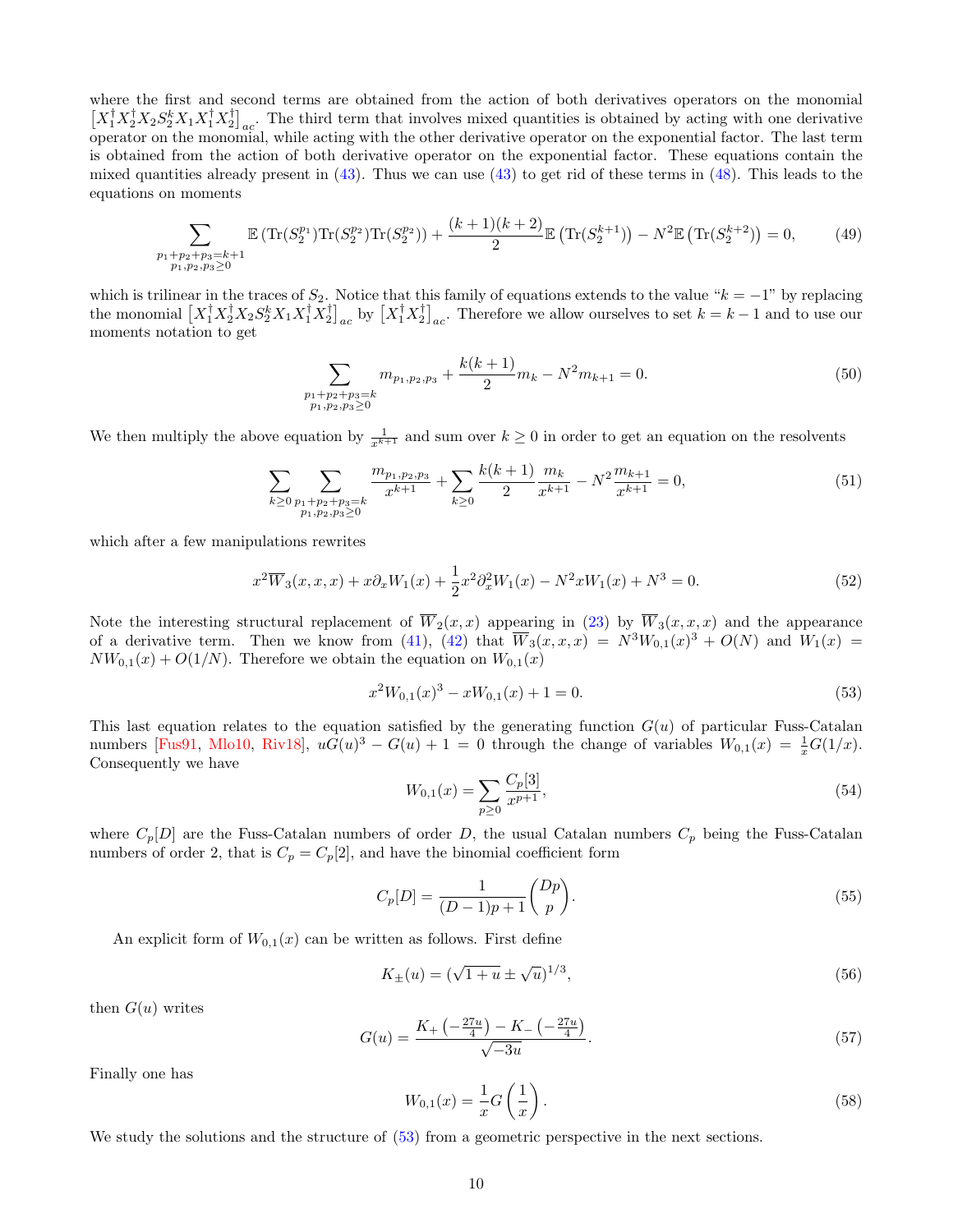<span id="page-9-2"></span>where the first and second terms are obtained from the action of both derivatives operators on the monomial  $\left[X_1^{\dagger}X_2^{\dagger}X_2S_2^kX_1X_1^{\dagger}X_2^{\dagger}\right]_{ac}$ . The third term that involves mixed quantities is obtained by acting with one derivative operator on the monomial, while acting with the other derivative operator on the exponential factor. The last term is obtained from the action of both derivative operator on the exponential factor. These equations contain the mixed quantities already present in  $(43)$ . Thus we can use  $(43)$  to get rid of these terms in  $(48)$ . This leads to the equations on moments

$$
\sum_{\substack{p_1+p_2+p_3=k+1\\p_1,p_2,p_3\geq 0}} \mathbb{E}\left(\text{Tr}(S_2^{p_1})\text{Tr}(S_2^{p_2})\text{Tr}(S_2^{p_2})\right) + \frac{(k+1)(k+2)}{2} \mathbb{E}\left(\text{Tr}(S_2^{k+1})\right) - N^2 \mathbb{E}\left(\text{Tr}(S_2^{k+2})\right) = 0,\tag{49}
$$

which is trilinear in the traces of  $S_2$ . Notice that this family of equations extends to the value " $k = -1$ " by replacing the monomial  $\left[X_1^{\dagger} X_2^{\dagger} X_2 S_2^k X_1 X_1^{\dagger} X_2^{\dagger}\right]_{ac}$  by  $\left[X_1^{\dagger} X_2^{\dagger}\right]_{ac}$ . Therefore we allow ourselves to set  $k = k - 1$  and to use our moments notation to get

$$
\sum_{\substack{p_1+p_2+p_3=k \ p_1, p_2, p_3 \ge 0}} m_{p_1, p_2, p_3} + \frac{k(k+1)}{2} m_k - N^2 m_{k+1} = 0.
$$
 (50)

We then multiply the above equation by  $\frac{1}{x^{k+1}}$  and sum over  $k \geq 0$  in order to get an equation on the resolvents

$$
\sum_{k\geq 0} \sum_{\substack{p_1+p_2+p_3=k\\p_1,p_2,p_3\geq 0}} \frac{m_{p_1,p_2,p_3}}{x^{k+1}} + \sum_{k\geq 0} \frac{k(k+1)}{2} \frac{m_k}{x^{k+1}} - N^2 \frac{m_{k+1}}{x^{k+1}} = 0,
$$
\n<sup>(51)</sup>

which after a few manipulations rewrites

<span id="page-9-1"></span>
$$
x^{2}\overline{W}_{3}(x,x,x)+x\partial_{x}W_{1}(x)+\frac{1}{2}x^{2}\partial_{x}^{2}W_{1}(x)-N^{2}xW_{1}(x)+N^{3}=0.
$$
\n(52)

Note the interesting structural replacement of  $\overline{W}_2(x,x)$  appearing in [\(23\)](#page-6-4) by  $\overline{W}_3(x,x,x)$  and the appearance of a derivative term. Then we know from [\(41\)](#page-8-2), [\(42\)](#page-8-3) that  $\overline{W}_3(x,x,x) = N^3W_{0,1}(x)^3 + O(N)$  and  $W_1(x) =$  $NW_{0,1}(x) + O(1/N)$ . Therefore we obtain the equation on  $W_{0,1}(x)$ 

<span id="page-9-0"></span>
$$
x^2W_{0,1}(x)^3 - xW_{0,1}(x) + 1 = 0.
$$
\n(53)

This last equation relates to the equation satisfied by the generating function  $G(u)$  of particular Fuss-Catalan numbers [\[Fus91,](#page-26-18) [Mlo10,](#page-26-19) [Riv18\]](#page-26-20),  $uG(u)^3 - G(u) + 1 = 0$  through the change of variables  $W_{0,1}(x) = \frac{1}{x}G(1/x)$ . Consequently we have

$$
W_{0,1}(x) = \sum_{p \ge 0} \frac{C_p[3]}{x^{p+1}},\tag{54}
$$

where  $C_p[D]$  are the Fuss-Catalan numbers of order D, the usual Catalan numbers  $C_p$  being the Fuss-Catalan numbers of order 2, that is  $C_p = C_p[2]$ , and have the binomial coefficient form

$$
C_p[D] = \frac{1}{(D-1)p+1} \binom{Dp}{p}.
$$
\n(55)

An explicit form of  $W_{0,1}(x)$  can be written as follows. First define

$$
K_{\pm}(u) = (\sqrt{1+u} \pm \sqrt{u})^{1/3},\tag{56}
$$

then  $G(u)$  writes

$$
G(u) = \frac{K_+ \left(-\frac{27u}{4}\right) - K_- \left(-\frac{27u}{4}\right)}{\sqrt{-3u}}.
$$
\n
$$
(57)
$$

Finally one has

$$
W_{0,1}(x) = \frac{1}{x}G\left(\frac{1}{x}\right). \tag{58}
$$

We study the solutions and the structure of  $(53)$  from a geometric perspective in the next sections.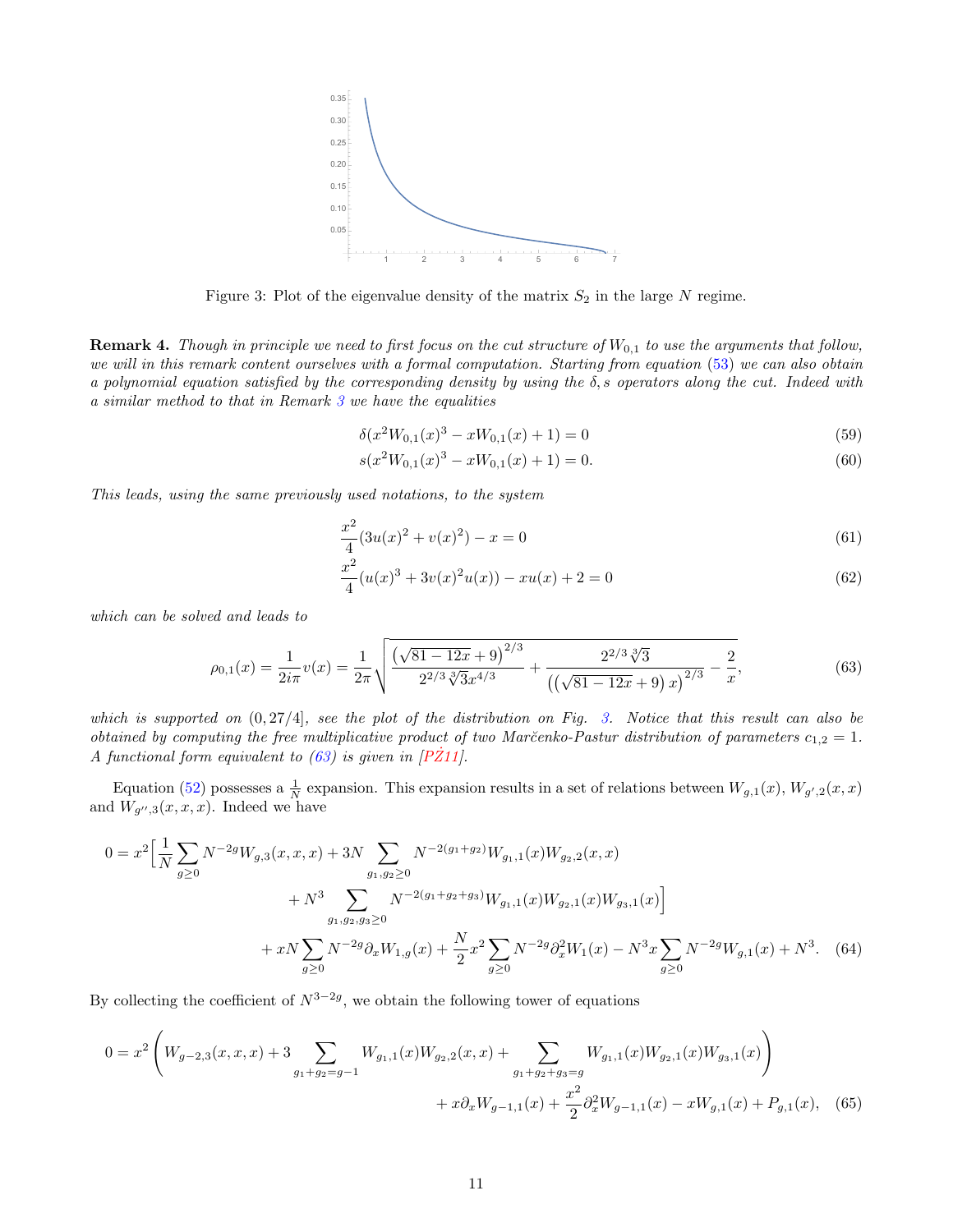<span id="page-10-4"></span>

<span id="page-10-1"></span>Figure 3: Plot of the eigenvalue density of the matrix  $S_2$  in the large N regime.

<span id="page-10-0"></span>**Remark 4.** Though in principle we need to first focus on the cut structure of  $W_{0,1}$  to use the arguments that follow, we will in this remark content ourselves with a formal computation. Starting from equation [\(53\)](#page-9-0) we can also obtain a polynomial equation satisfied by the corresponding density by using the  $\delta$ , s operators along the cut. Indeed with a similar method to that in Remark [3](#page-6-0) we have the equalities

$$
\delta(x^2W_{0,1}(x)^3 - xW_{0,1}(x) + 1) = 0\tag{59}
$$

$$
s(x^2W_{0,1}(x)^3 - xW_{0,1}(x) + 1) = 0.
$$
\n<sup>(60)</sup>

This leads, using the same previously used notations, to the system

$$
\frac{x^2}{4}(3u(x)^2 + v(x)^2) - x = 0\tag{61}
$$

<span id="page-10-3"></span>
$$
\frac{x^2}{4}(u(x)^3 + 3v(x)^2u(x)) - xu(x) + 2 = 0
$$
\n(62)

which can be solved and leads to

<span id="page-10-2"></span>
$$
\rho_{0,1}(x) = \frac{1}{2i\pi}v(x) = \frac{1}{2\pi}\sqrt{\frac{\left(\sqrt{81 - 12x} + 9\right)^{2/3}}{2^{2/3}\sqrt[3]{3}x^{4/3}} + \frac{2^{2/3}\sqrt[3]{3}}{\left(\left(\sqrt{81 - 12x} + 9\right)x\right)^{2/3}} - \frac{2}{x}},\tag{63}
$$

which is supported on  $(0, 27/4]$ , see the plot of the distribution on Fig. [3.](#page-10-1) Notice that this result can also be obtained by computing the free multiplicative product of two Marčenko-Pastur distribution of parameters  $c_{1,2} = 1$ . A functional form equivalent to  $(63)$  is given in [P $\ddot{Z}11$ ].

Equation [\(52\)](#page-9-1) possesses a  $\frac{1}{N}$  expansion. This expansion results in a set of relations between  $W_{g,1}(x)$ ,  $W_{g',2}(x,x)$ and  $W_{g'',3}(x,x,x)$ . Indeed we have

$$
0 = x^{2} \Big[ \frac{1}{N} \sum_{g \ge 0} N^{-2g} W_{g,3}(x, x, x) + 3N \sum_{g_1, g_2 \ge 0} N^{-2(g_1 + g_2)} W_{g_1,1}(x) W_{g_2,2}(x, x) + N^{3} \sum_{g_1, g_2, g_3 \ge 0} N^{-2(g_1 + g_2 + g_3)} W_{g_1,1}(x) W_{g_2,1}(x) W_{g_3,1}(x) \Big] + xN \sum_{g \ge 0} N^{-2g} \partial_x W_{1,g}(x) + \frac{N}{2} x^{2} \sum_{g \ge 0} N^{-2g} \partial_x^{2} W_{1}(x) - N^{3} x \sum_{g \ge 0} N^{-2g} W_{g,1}(x) + N^{3}.
$$
 (64)

By collecting the coefficient of  $N^{3-2g}$ , we obtain the following tower of equations

$$
0 = x^{2} \left( W_{g-2,3}(x, x, x) + 3 \sum_{g_{1}+g_{2}=g-1} W_{g_{1,1}}(x)W_{g_{2,2}}(x, x) + \sum_{g_{1}+g_{2}+g_{3}=g} W_{g_{1,1}}(x)W_{g_{2,1}}(x)W_{g_{3,1}}(x) \right) + x \partial_{x} W_{g-1,1}(x) + \frac{x^{2}}{2} \partial_{x}^{2} W_{g-1,1}(x) - x W_{g,1}(x) + P_{g,1}(x), \quad (65)
$$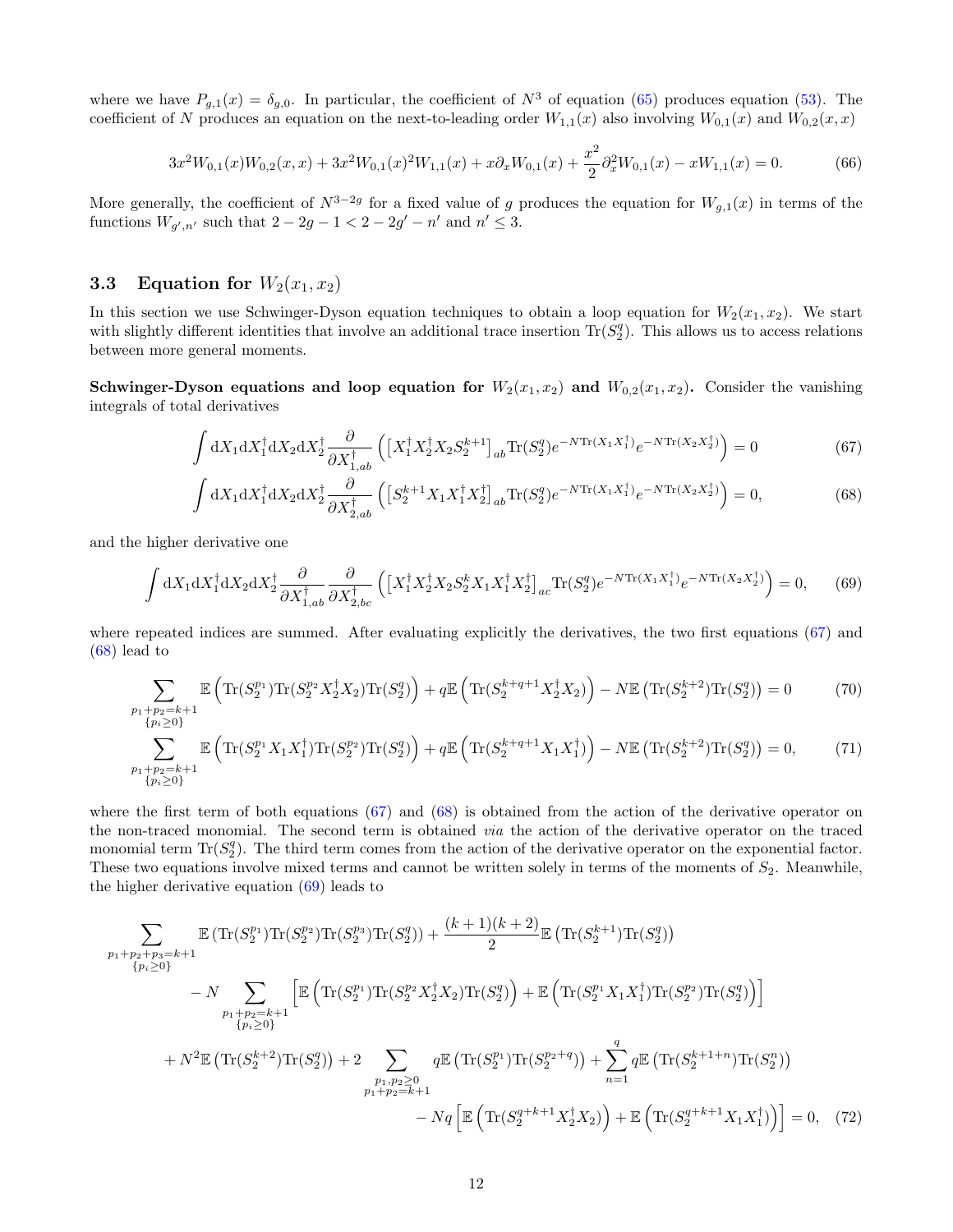where we have  $P_{g,1}(x) = \delta_{g,0}$ . In particular, the coefficient of  $N^3$  of equation [\(65\)](#page-10-3) produces equation [\(53\)](#page-9-0). The coefficient of N produces an equation on the next-to-leading order  $W_{1,1}(x)$  also involving  $W_{0,1}(x)$  and  $W_{0,2}(x, x)$ 

<span id="page-11-6"></span>
$$
3x^{2}W_{0,1}(x)W_{0,2}(x,x) + 3x^{2}W_{0,1}(x)^{2}W_{1,1}(x) + x\partial_{x}W_{0,1}(x) + \frac{x^{2}}{2}\partial_{x}^{2}W_{0,1}(x) - xW_{1,1}(x) = 0.
$$
 (66)

More generally, the coefficient of  $N^{3-2g}$  for a fixed value of g produces the equation for  $W_{g,1}(x)$  in terms of the functions  $W_{g',n'}$  such that  $2 - 2g - 1 < 2 - 2g' - n'$  and  $n' \leq 3$ .

## 3.3 Equation for  $W_2(x_1, x_2)$

In this section we use Schwinger-Dyson equation techniques to obtain a loop equation for  $W_2(x_1, x_2)$ . We start with slightly different identities that involve an additional trace insertion  $\text{Tr}(\tilde{S}_2^q)$ . This allows us to access relations between more general moments.

Schwinger-Dyson equations and loop equation for  $W_2(x_1, x_2)$  and  $W_{0,2}(x_1, x_2)$ . Consider the vanishing integrals of total derivatives

<span id="page-11-0"></span>
$$
\int dX_1 dX_1^{\dagger} dX_2 dX_2^{\dagger} \frac{\partial}{\partial X_{1,ab}^{\dagger}} \left( \left[ X_1^{\dagger} X_2^{\dagger} X_2 S_2^{k+1} \right]_{ab} \text{Tr}(S_2^q) e^{-N \text{Tr}(X_1 X_1^{\dagger})} e^{-N \text{Tr}(X_2 X_2^{\dagger})} \right) = 0 \tag{67}
$$

<span id="page-11-5"></span><span id="page-11-4"></span><span id="page-11-2"></span><span id="page-11-1"></span>
$$
\int dX_1 dX_1^{\dagger} dX_2 dX_2^{\dagger} \frac{\partial}{\partial X_{2,ab}^{\dagger}} \left( \left[ S_2^{k+1} X_1 X_1^{\dagger} X_2^{\dagger} \right]_{ab} \text{Tr}(S_2^q) e^{-N \text{Tr}(X_1 X_1^{\dagger})} e^{-N \text{Tr}(X_2 X_2^{\dagger})} \right) = 0, \tag{68}
$$

and the higher derivative one

$$
\int dX_1 dX_1^{\dagger} dX_2 dX_2^{\dagger} \frac{\partial}{\partial X_{1,ab}^{\dagger}} \frac{\partial}{\partial X_{2,bc}^{\dagger}} \left( \left[ X_1^{\dagger} X_2^{\dagger} X_2 S_2^k X_1 X_1^{\dagger} X_2^{\dagger} \right]_{ac} \text{Tr}(S_2^q) e^{-N \text{Tr}(X_1 X_1^{\dagger})} e^{-N \text{Tr}(X_2 X_2^{\dagger})} \right) = 0, \quad (69)
$$

where repeated indices are summed. After evaluating explicitly the derivatives, the two first equations [\(67\)](#page-11-0) and [\(68\)](#page-11-1) lead to

$$
\sum_{\substack{p_1+p_2=k+1\\p_i\geq 0\\p_i\geq 0}} \mathbb{E}\left(\text{Tr}(S_2^{p_1})\text{Tr}(S_2^{p_2}X_2^{\dagger}X_2)\text{Tr}(S_2^{q})\right) + q\mathbb{E}\left(\text{Tr}(S_2^{k+q+1}X_2^{\dagger}X_2)\right) - N\mathbb{E}\left(\text{Tr}(S_2^{k+2})\text{Tr}(S_2^{q})\right) = 0\tag{70}
$$

$$
\sum_{\substack{p_1+p_2=k+1\\p_i\geq 0\} }^{p_1+p_2=k+1} \mathbb{E}\left( \text{Tr}(S_2^{p_1}X_1X_1^{\dagger})\text{Tr}(S_2^{p_2})\text{Tr}(S_2^{q}) \right) + q \mathbb{E}\left( \text{Tr}(S_2^{k+q+1}X_1X_1^{\dagger}) \right) - N \mathbb{E}\left( \text{Tr}(S_2^{k+2})\text{Tr}(S_2^{q}) \right) = 0, \tag{71}
$$

where the first term of both equations [\(67\)](#page-11-0) and [\(68\)](#page-11-1) is obtained from the action of the derivative operator on the non-traced monomial. The second term is obtained via the action of the derivative operator on the traced monomial term  $\text{Tr}(S_2^q)$ . The third term comes from the action of the derivative operator on the exponential factor. These two equations involve mixed terms and cannot be written solely in terms of the moments of  $S_2$ . Meanwhile, the higher derivative equation  $(69)$  leads to

<span id="page-11-3"></span>
$$
\sum_{\substack{p_1+p_2+p_3=k+1\\p_i\geq 0\\p_1+p_2=k+1}} \mathbb{E} \left( \text{Tr}(S_2^{p_1}) \text{Tr}(S_2^{p_2}) \text{Tr}(S_2^{p_3}) \text{Tr}(S_2^{q}) \right) + \frac{(k+1)(k+2)}{2} \mathbb{E} \left( \text{Tr}(S_2^{k+1}) \text{Tr}(S_2^{q}) \right) \n- N \sum_{\substack{p_1+p_2=k+1\\p_i\geq 0\\p_1,p_2\geq 0\\p_1+p_2=k+1}} \left[ \mathbb{E} \left( \text{Tr}(S_2^{p_1}) \text{Tr}(S_2^{p_2} X_2^{\dagger} X_2) \text{Tr}(S_2^{q}) \right) + \mathbb{E} \left( \text{Tr}(S_2^{p_1} X_1 X_1^{\dagger}) \text{Tr}(S_2^{p_2}) \text{Tr}(S_2^{q}) \right) \right] \n+ N^2 \mathbb{E} \left( \text{Tr}(S_2^{k+2}) \text{Tr}(S_2^{q}) \right) + 2 \sum_{\substack{p_1,p_2\geq 0\\p_1+p_2=k+1}} q \mathbb{E} \left( \text{Tr}(S_2^{p_1}) \text{Tr}(S_2^{p_2+q}) \right) + \sum_{n=1}^{q} q \mathbb{E} \left( \text{Tr}(S_2^{k+1+n}) \text{Tr}(S_2^{n}) \right) \n- N q \left[ \mathbb{E} \left( \text{Tr}(S_2^{q+k+1} X_2^{\dagger} X_2) \right) + \mathbb{E} \left( \text{Tr}(S_2^{q+k+1} X_1 X_1^{\dagger}) \right) \right] = 0, \quad (72)
$$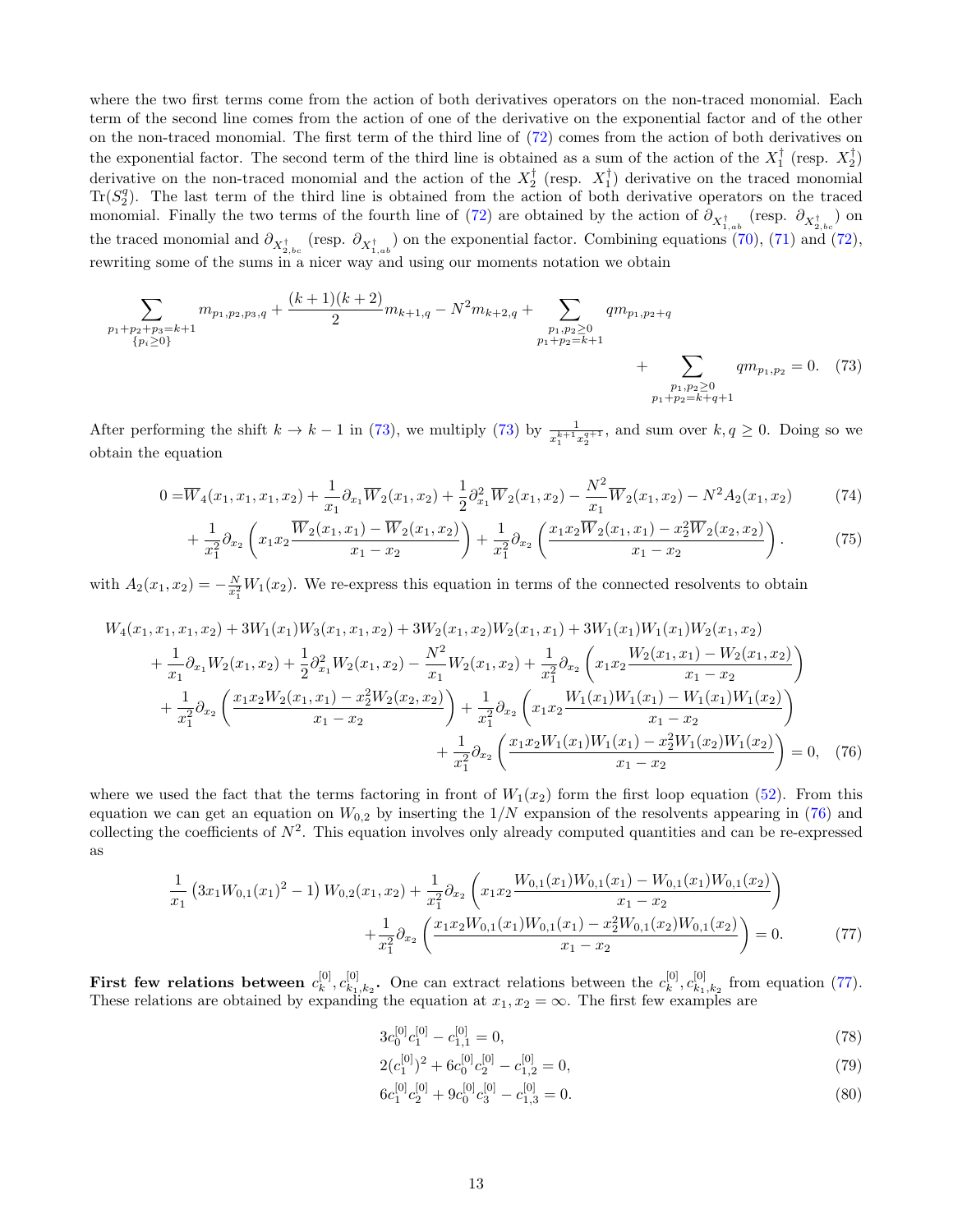where the two first terms come from the action of both derivatives operators on the non-traced monomial. Each term of the second line comes from the action of one of the derivative on the exponential factor and of the other on the non-traced monomial. The first term of the third line of [\(72\)](#page-11-3) comes from the action of both derivatives on the exponential factor. The second term of the third line is obtained as a sum of the action of the  $X_1^{\dagger}$  (resp.  $X_2^{\dagger}$ ) derivative on the non-traced monomial and the action of the  $X_2^{\dagger}$  (resp.  $X_1^{\dagger}$ ) derivative on the traced monomial  $\text{Tr}(S_2^q)$ . The last term of the third line is obtained from the action of both derivative operators on the traced monomial. Finally the two terms of the fourth line of [\(72\)](#page-11-3) are obtained by the action of  $\partial_{X_{1}^{\dagger}{}_{ab}}$  (resp.  $\partial_{X_{2}^{\dagger}{}_{bc}}$ ) on the traced monomial and  $\partial_{X_{2,bc}^{\dagger}}$  (resp.  $\partial_{X_{1,ab}^{\dagger}}$ ) on the exponential factor. Combining equations [\(70\)](#page-11-4), [\(71\)](#page-11-5) and [\(72\)](#page-11-3), rewriting some of the sums in a nicer way and using our moments notation we obtain

$$
\sum_{\substack{p_1+p_2+p_3=k+1\\p_i\geq 0\\p_1+p_2=k+1}} m_{p_1,p_2,p_3,q} + \frac{(k+1)(k+2)}{2} m_{k+1,q} - N^2 m_{k+2,q} + \sum_{\substack{p_1,p_2\geq 0\\p_1+p_2=k+1\\p_1+p_2=k+q+1}} q m_{p_1,p_2+q} + \sum_{\substack{p_1,p_2\geq 0\\p_1+p_2=k+q+1}} q m_{p_1,p_2} = 0. \tag{73}
$$

After performing the shift  $k \to k-1$  in [\(73\)](#page-12-0), we multiply (73) by  $\frac{1}{x_1^{k+1}x_2^{q+1}}$ , and sum over  $k, q \ge 0$ . Doing so we obtain the equation

$$
0 = \overline{W}_4(x_1, x_1, x_1, x_2) + \frac{1}{x_1} \partial_{x_1} \overline{W}_2(x_1, x_2) + \frac{1}{2} \partial_{x_1}^2 \overline{W}_2(x_1, x_2) - \frac{N^2}{x_1} \overline{W}_2(x_1, x_2) - N^2 A_2(x_1, x_2)
$$
(74)

<span id="page-12-0"></span>
$$
+\frac{1}{x_1^2}\partial_{x_2}\left(x_1x_2\frac{\overline{W}_2(x_1,x_1)-\overline{W}_2(x_1,x_2)}{x_1-x_2}\right)+\frac{1}{x_1^2}\partial_{x_2}\left(\frac{x_1x_2\overline{W}_2(x_1,x_1)-x_2^2\overline{W}_2(x_2,x_2)}{x_1-x_2}\right).
$$
(75)

with  $A_2(x_1, x_2) = -\frac{N}{x_1^2} W_1(x_2)$ . We re-express this equation in terms of the connected resolvents to obtain

$$
W_{4}(x_{1}, x_{1}, x_{1}, x_{2}) + 3W_{1}(x_{1})W_{3}(x_{1}, x_{1}, x_{2}) + 3W_{2}(x_{1}, x_{2})W_{2}(x_{1}, x_{1}) + 3W_{1}(x_{1})W_{1}(x_{1})W_{2}(x_{1}, x_{2})
$$
  
+  $\frac{1}{x_{1}}\partial_{x_{1}}W_{2}(x_{1}, x_{2}) + \frac{1}{2}\partial_{x_{1}}^{2}W_{2}(x_{1}, x_{2}) - \frac{N^{2}}{x_{1}}W_{2}(x_{1}, x_{2}) + \frac{1}{x_{1}^{2}}\partial_{x_{2}}\left(x_{1}x_{2} \frac{W_{2}(x_{1}, x_{1}) - W_{2}(x_{1}, x_{2})}{x_{1} - x_{2}}\right)$   
+  $\frac{1}{x_{1}^{2}}\partial_{x_{2}}\left(\frac{x_{1}x_{2}W_{2}(x_{1}, x_{1}) - x_{2}^{2}W_{2}(x_{2}, x_{2})}{x_{1} - x_{2}}\right) + \frac{1}{x_{1}^{2}}\partial_{x_{2}}\left(x_{1}x_{2} \frac{W_{1}(x_{1})W_{1}(x_{1}) - W_{1}(x_{1})W_{1}(x_{2})}{x_{1} - x_{2}}\right)$   
+  $\frac{1}{x_{1}^{2}}\partial_{x_{2}}\left(\frac{x_{1}x_{2}W_{1}(x_{1})W_{1}(x_{1}) - x_{2}^{2}W_{1}(x_{2})W_{1}(x_{2})}{x_{1} - x_{2}}\right) = 0, (76)$ 

where we used the fact that the terms factoring in front of  $W_1(x_2)$  form the first loop equation [\(52\)](#page-9-1). From this equation we can get an equation on  $W_{0,2}$  by inserting the  $1/N$  expansion of the resolvents appearing in [\(76\)](#page-12-1) and collecting the coefficients of  $N^2$ . This equation involves only already computed quantities and can be re-expressed as

$$
\frac{1}{x_1} \left(3x_1W_{0,1}(x_1)^2 - 1\right)W_{0,2}(x_1, x_2) + \frac{1}{x_1^2} \partial_{x_2} \left(x_1x_2 \frac{W_{0,1}(x_1)W_{0,1}(x_1) - W_{0,1}(x_1)W_{0,1}(x_2)}{x_1 - x_2}\right) + \frac{1}{x_1^2} \partial_{x_2} \left(\frac{x_1x_2W_{0,1}(x_1)W_{0,1}(x_1) - x_2^2W_{0,1}(x_2)W_{0,1}(x_2)}{x_1 - x_2}\right) = 0.
$$
\n(77)

First few relations between  $c_k^{[0]}$  $\begin{bmatrix} [0]_k C_{k_1} \end{bmatrix}$  $\mathbf{E}_{k_1,k_2}$ . One can extract relations between the  $c_k^{[0]}$  $_{k}^{[0]},c_{k_{1}}^{[0]}$  $\frac{[0]}{k_1,k_2}$  from equation [\(77\)](#page-12-2). These relations are obtained by expanding the equation at  $x_1, x_2 = \infty$ . The first few examples are

<span id="page-12-2"></span><span id="page-12-1"></span>
$$
3c_0^{[0]}c_1^{[0]} - c_{1,1}^{[0]} = 0,\t\t(78)
$$

$$
2(c_1^{[0]})^2 + 6c_0^{[0]}c_2^{[0]} - c_{1,2}^{[0]} = 0,\t\t(79)
$$

$$
6c_1^{[0]}c_2^{[0]} + 9c_0^{[0]}c_3^{[0]} - c_{1,3}^{[0]} = 0.
$$
\n
$$
(80)
$$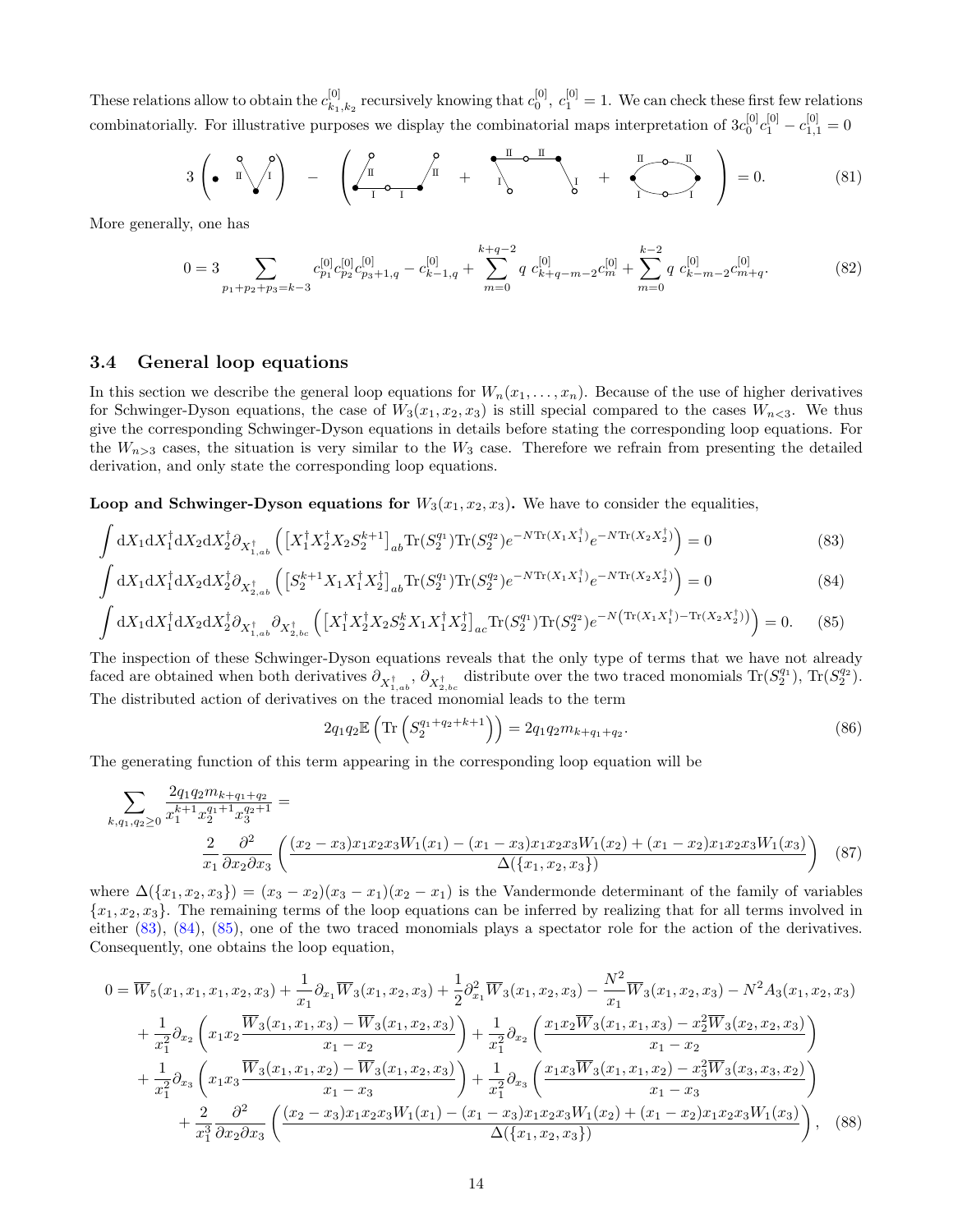These relations allow to obtain the  $c_{k_1}^{[0]}$  ${}_{k_1,k_2}^{[0]}$  recursively knowing that  $c_0^{[0]}$ ,  $c_1^{[0]} = 1$ . We can check these first few relations combinatorially. For illustrative purposes we display the combinatorial maps interpretation of  $3c_0^{[0]}c_1^{[0]}-c_{1,1}^{[0]}=0$ 

$$
3\left(\bullet\ \begin{array}{c}\mathbf{Q} \\ \mathbf{I} \\ \mathbf{A}\end{array}\right) - \left(\bullet\ \begin{array}{c}\mathbf{Q} \\ \mathbf{I} \\ \mathbf{I} \\ \mathbf{I}\end{array}\right) + \left(\bullet\ \begin{array}{c}\mathbf{Q} \\ \mathbf{I} \\ \mathbf{I} \\ \mathbf{I}\end{array}\right) + \left(\bullet\ \begin{array}{c}\mathbf{Q} \\ \mathbf{I} \\ \mathbf{I} \\ \mathbf{A}\end{array}\right) + \left(\bullet\ \begin{array}{c}\mathbf{Q} \\ \mathbf{I} \\ \mathbf{I} \\ \mathbf{A}\end{array}\right) = 0. \tag{81}
$$

More generally, one has

<span id="page-13-3"></span>
$$
0 = 3 \sum_{p_1+p_2+p_3=k-3} c_{p_1}^{[0]} c_{p_2}^{[0]} c_{p_3+1,q}^{[0]} - c_{k-1,q}^{[0]} + \sum_{m=0}^{k+q-2} q c_{k+q-m-2}^{[0]} c_m^{[0]} + \sum_{m=0}^{k-2} q c_{k-m-2}^{[0]} c_{m+q}^{[0]}.
$$
 (82)

#### 3.4 General loop equations

In this section we describe the general loop equations for  $W_n(x_1, \ldots, x_n)$ . Because of the use of higher derivatives for Schwinger-Dyson equations, the case of  $W_3(x_1, x_2, x_3)$  is still special compared to the cases  $W_{n \leq 3}$ . We thus give the corresponding Schwinger-Dyson equations in details before stating the corresponding loop equations. For the  $W_{n>3}$  cases, the situation is very similar to the  $W_3$  case. Therefore we refrain from presenting the detailed derivation, and only state the corresponding loop equations.

**Loop and Schwinger-Dyson equations for**  $W_3(x_1, x_2, x_3)$ . We have to consider the equalities,

$$
\int dX_1 dX_1^{\dagger} dX_2 dX_2^{\dagger} \partial_{X_{1,ab}^{\dagger}} \left( \left[ X_1^{\dagger} X_2^{\dagger} X_2 S_2^{k+1} \right]_{ab} \text{Tr}(S_2^{q_1}) \text{Tr}(S_2^{q_2}) e^{-N \text{Tr}(X_1 X_1^{\dagger})} e^{-N \text{Tr}(X_2 X_2^{\dagger})} \right) = 0 \tag{83}
$$

$$
\int dX_1 dX_1^{\dagger} dX_2 dX_2^{\dagger} \partial_{X_{2,ab}^{\dagger}} \left( \left[ S_2^{k+1} X_1 X_1^{\dagger} X_2^{\dagger} \right]_{ab} \text{Tr}(S_2^{q_1}) \text{Tr}(S_2^{q_2}) e^{-N \text{Tr}(X_1 X_1^{\dagger})} e^{-N \text{Tr}(X_2 X_2^{\dagger})} \right) = 0 \tag{84}
$$

$$
\int dX_1 dX_1^{\dagger} dX_2 dX_2^{\dagger} \partial_{X_{1,ab}^{\dagger}} \partial_{X_{2,bc}^{\dagger}} \left( \left[ X_1^{\dagger} X_2^{\dagger} X_2 S_2^k X_1 X_1^{\dagger} X_2^{\dagger} \right]_{ac} \text{Tr}(S_2^{q_1}) \text{Tr}(S_2^{q_2}) e^{-N \left( \text{Tr}(X_1 X_1^{\dagger}) - \text{Tr}(X_2 X_2^{\dagger}) \right)} \right) = 0. \tag{85}
$$

The inspection of these Schwinger-Dyson equations reveals that the only type of terms that we have not already faced are obtained when both derivatives  $\partial_{X_{1,ab}^{\dagger}}$ ,  $\partial_{X_{2,bc}^{\dagger}}$  distribute over the two traced monomials  $\text{Tr}(S_2^{q_1})$ ,  $\text{Tr}(S_2^{q_2})$ . The distributed action of derivatives on the traced monomial leads to the term

<span id="page-13-2"></span><span id="page-13-1"></span><span id="page-13-0"></span>
$$
2q_1q_2 \mathbb{E}\left(\text{Tr}\left(S_2^{q_1+q_2+k+1}\right)\right) = 2q_1q_2m_{k+q_1+q_2}.\tag{86}
$$

The generating function of this term appearing in the corresponding loop equation will be

$$
\sum_{k,q_1,q_2 \ge 0} \frac{2q_1 q_2 m_{k+q_1+q_2}}{x_1^{k+1} x_2^{q_1+1} x_3^{q_2+1}} = \frac{2}{x_1 \partial x_2 \partial x_3} \left( \frac{(x_2 - x_3)x_1 x_2 x_3 W_1(x_1) - (x_1 - x_3)x_1 x_2 x_3 W_1(x_2) + (x_1 - x_2)x_1 x_2 x_3 W_1(x_3)}{\Delta(\{x_1, x_2, x_3\})} \right)
$$
(87)

where  $\Delta(\lbrace x_1, x_2, x_3 \rbrace) = (x_3 - x_2)(x_3 - x_1)(x_2 - x_1)$  is the Vandermonde determinant of the family of variables  ${x_1, x_2, x_3}$ . The remaining terms of the loop equations can be inferred by realizing that for all terms involved in either [\(83\)](#page-13-0), [\(84\)](#page-13-1), [\(85\)](#page-13-2), one of the two traced monomials plays a spectator role for the action of the derivatives. Consequently, one obtains the loop equation,

$$
0 = \overline{W}_{5}(x_{1}, x_{1}, x_{2}, x_{3}) + \frac{1}{x_{1}} \partial_{x_{1}} \overline{W}_{3}(x_{1}, x_{2}, x_{3}) + \frac{1}{2} \partial_{x_{1}}^{2} \overline{W}_{3}(x_{1}, x_{2}, x_{3}) - \frac{N^{2}}{x_{1}} \overline{W}_{3}(x_{1}, x_{2}, x_{3}) - N^{2} A_{3}(x_{1}, x_{2}, x_{3}) + \frac{1}{x_{1}^{2}} \partial_{x_{2}} \left( x_{1} x_{2} \frac{\overline{W}_{3}(x_{1}, x_{1}, x_{3}) - \overline{W}_{3}(x_{1}, x_{2}, x_{3})}{x_{1} - x_{2}} \right) + \frac{1}{x_{1}^{2}} \partial_{x_{2}} \left( \frac{x_{1} x_{2} \overline{W}_{3}(x_{1}, x_{1}, x_{3}) - x_{2}^{2} \overline{W}_{3}(x_{2}, x_{2}, x_{3})}{x_{1} - x_{2}} \right) + \frac{1}{x_{1}^{2}} \partial_{x_{3}} \left( x_{1} x_{3} \frac{\overline{W}_{3}(x_{1}, x_{1}, x_{2}) - \overline{W}_{3}(x_{1}, x_{2}, x_{3})}{x_{1} - x_{3}} \right) + \frac{1}{x_{1}^{2}} \partial_{x_{3}} \left( \frac{x_{1} x_{3} \overline{W}_{3}(x_{1}, x_{1}, x_{2}) - x_{3}^{2} \overline{W}_{3}(x_{3}, x_{3}, x_{2})}{x_{1} - x_{3}} \right) + \frac{2}{x_{1}^{3}} \frac{\partial^{2}}{\partial x_{2} \partial x_{3}} \left( \frac{(x_{2} - x_{3}) x_{1} x_{2} x_{3} W_{1}(x_{1}) - (x_{1} - x_{3}) x_{1} x_{2} x_{3} W_{1}(x_{2}) + (x_{1} - x_{2}) x_{1} x_{2} x_{3} W_{1}(x_{3})}{\Delta(\{x_{1}, x_{2}, x_{3}\})} \right), \quad (88)
$$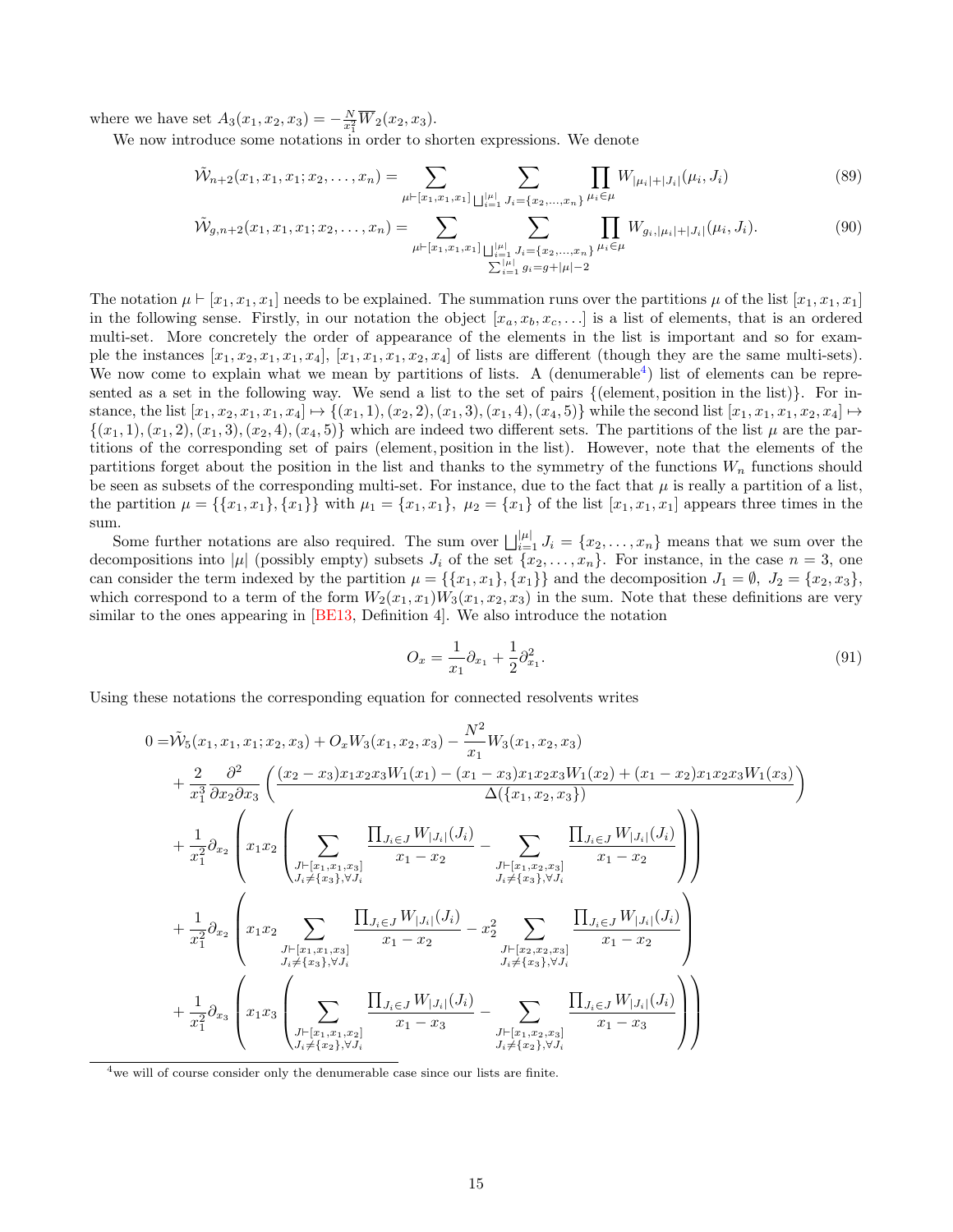<span id="page-14-1"></span>where we have set  $A_3(x_1, x_2, x_3) = -\frac{N}{x_1^2} \overline{W}_2(x_2, x_3)$ .

We now introduce some notations in order to shorten expressions. We denote

$$
\tilde{\mathcal{W}}_{n+2}(x_1, x_1, x_1; x_2, \dots, x_n) = \sum_{\mu \vdash [x_1, x_1, x_1]} \sum_{\bigsqcup_{i=1}^{\mu \vdash} J_i = \{x_2, \dots, x_n\}} \prod_{\mu_i \in \mu} W_{|\mu_i| + |J_i|}(\mu_i, J_i)
$$
\n(89)

$$
\tilde{\mathcal{W}}_{g,n+2}(x_1, x_1, x_1; x_2, \dots, x_n) = \sum_{\substack{\mu \vdash [x_1, x_1, x_1] \\ \sum_{i=1}^{\vert \mu \vert} J_i = \{x_2, \dots, x_n\} \\ \sum_{i=1}^{\vert \mu \vert} g_i = g + \vert \mu \vert - 2}} \prod_{\mu_i \in \mu} W_{g_i, |\mu_i| + |J_i|}(\mu_i, J_i). \tag{90}
$$

The notation  $\mu \vdash [x_1, x_1, x_1]$  needs to be explained. The summation runs over the partitions  $\mu$  of the list  $[x_1, x_1, x_1]$ in the following sense. Firstly, in our notation the object  $[x_a, x_b, x_c, \ldots]$  is a list of elements, that is an ordered multi-set. More concretely the order of appearance of the elements in the list is important and so for example the instances  $[x_1, x_2, x_1, x_1, x_4], [x_1, x_1, x_1, x_2, x_4]$  of lists are different (though they are the same multi-sets). We now come to explain what we mean by partitions of lists. A (denumerable<sup>[4](#page-14-0)</sup>) list of elements can be represented as a set in the following way. We send a list to the set of pairs {(element, position in the list)}. For instance, the list  $[x_1, x_2, x_1, x_1, x_4] \mapsto \{(x_1, 1), (x_2, 2), (x_1, 3), (x_1, 4), (x_4, 5)\}\$ while the second list  $[x_1, x_1, x_1, x_2, x_4] \mapsto$  $\{(x_1, 1), (x_1, 2), (x_1, 3), (x_2, 4), (x_4, 5)\}\$  which are indeed two different sets. The partitions of the list  $\mu$  are the partitions of the corresponding set of pairs (element, position in the list). However, note that the elements of the partitions forget about the position in the list and thanks to the symmetry of the functions  $W_n$  functions should be seen as subsets of the corresponding multi-set. For instance, due to the fact that  $\mu$  is really a partition of a list, the partition  $\mu = {\{x_1, x_1\}, \{x_1\}}$  with  $\mu_1 = {x_1, x_1}, \mu_2 = {x_1}$  of the list  $[x_1, x_1, x_1]$  appears three times in the sum.

Some further notations are also required. The sum over  $\bigsqcup_{i=1}^{|\mu|} J_i = \{x_2, \ldots, x_n\}$  means that we sum over the decompositions into  $|\mu|$  (possibly empty) subsets  $J_i$  of the set  $\{x_2, \ldots, x_n\}$ . For instance, in the case  $n = 3$ , one can consider the term indexed by the partition  $\mu = \{\{x_1, x_1\}, \{x_1\}\}\$ and the decomposition  $J_1 = \emptyset$ ,  $J_2 = \{x_2, x_3\}$ , which correspond to a term of the form  $W_2(x_1, x_1)W_3(x_1, x_2, x_3)$  in the sum. Note that these definitions are very similar to the ones appearing in  $[BE13, Definition 4]$ . We also introduce the notation

$$
O_x = \frac{1}{x_1} \partial_{x_1} + \frac{1}{2} \partial_{x_1}^2.
$$
\n(91)

Using these notations the corresponding equation for connected resolvents writes

$$
0 = \tilde{W}_{5}(x_{1}, x_{1}, x_{1}; x_{2}, x_{3}) + O_{x}W_{3}(x_{1}, x_{2}, x_{3}) - \frac{N^{2}}{x_{1}}W_{3}(x_{1}, x_{2}, x_{3})
$$
\n
$$
+ \frac{2}{x_{1}^{3}} \frac{\partial^{2}}{\partial x_{2} \partial x_{3}} \left( \frac{(x_{2} - x_{3})x_{1}x_{2}x_{3}W_{1}(x_{1}) - (x_{1} - x_{3})x_{1}x_{2}x_{3}W_{1}(x_{2}) + (x_{1} - x_{2})x_{1}x_{2}x_{3}W_{1}(x_{3})}{\Delta(\lbrace x_{1}, x_{2}, x_{3} \rbrace)} \right)
$$
\n
$$
+ \frac{1}{x_{1}^{2}} \partial_{x_{2}} \left( x_{1}x_{2} \left( \sum_{\substack{J \vdash [x_{1}, x_{1}, x_{3}]} \sum_{J \vdash [x_{1}, x_{2}, x_{3}]} \sum_{J \vdash [x_{1}, x_{2}, x_{3}]} \sum_{J \vdash [x_{1}, x_{2}, x_{3}]} \sum_{J \vdash [x_{1}, x_{2}, x_{3}]} \frac{\prod_{J_{i} \in J} W_{|J_{i}|}(J_{i})}{x_{1} - x_{2}} \right)}{x_{1} - x_{2}} \right)
$$
\n
$$
+ \frac{1}{x_{1}^{2}} \partial_{x_{2}} \left( x_{1}x_{2} \sum_{\substack{J \vdash [x_{1}, x_{1}, x_{3}]} \sum_{J \vdash [x_{1}, x_{1}, x_{3}]} \sum_{J \vdash [x_{1}, x_{1}, x_{3}]} \sum_{J \vdash [x_{2}, x_{2}, x_{3}]} \sum_{J \vdash [x_{2}, x_{2}, x_{3}]} \frac{\prod_{J_{i} \in J} W_{|J_{i}|}(J_{i})}{x_{1} - x_{2}} \right)}{x_{1} - x_{2}}
$$
\n
$$
+ \frac{1}{x_{1}^{2}} \partial_{x_{3}} \left( x_{1}x_{3} \left( \sum_{\substack{J \vdash [x_{1}, x_{1}, x_{2}]} \sum_{J \vdash [x_{2}, y_{1}, y_{J_{i}]} \sum_{J \vdash [x_{1}, x_{2}, x_{3}]} \sum_{J \
$$

<span id="page-14-0"></span><sup>4</sup> we will of course consider only the denumerable case since our lists are finite.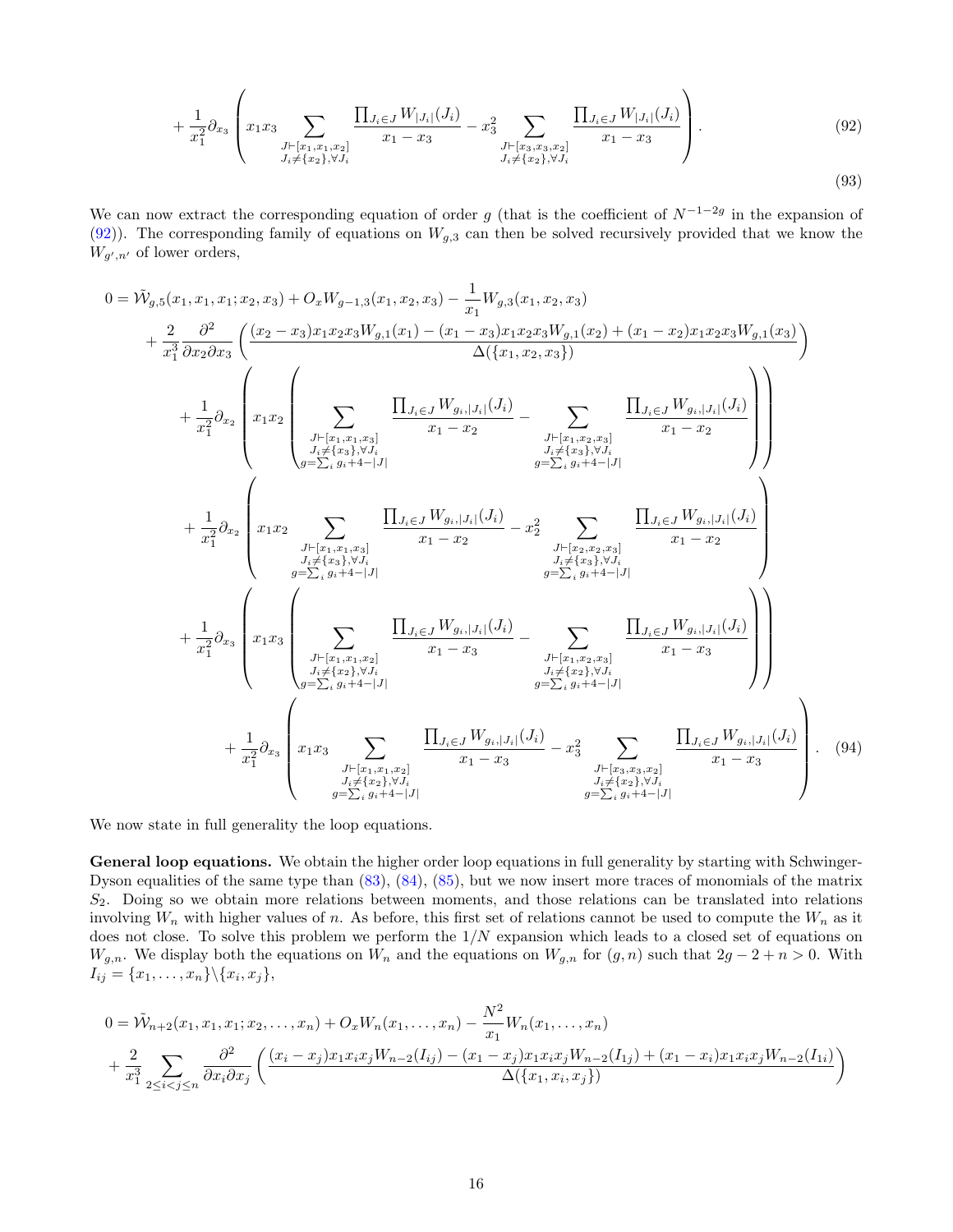<span id="page-15-0"></span>
$$
+\frac{1}{x_1^2}\partial_{x_3}\left(x_1x_3\sum_{\substack{J\vdash [x_1,x_1,x_2] \\ J_i\neq \{x_2\},\forall J_i}}\frac{\prod_{J_i\in J}W_{|J_i|}(J_i)}{x_1-x_3}-x_3^2\sum_{\substack{J\vdash [x_3,x_3,x_2] \\ J_i\neq \{x_2\},\forall J_i}}\frac{\prod_{J_i\in J}W_{|J_i|}(J_i)}{x_1-x_3}\right).
$$
\n(92)

We can now extract the corresponding equation of order g (that is the coefficient of  $N^{-1-2g}$  in the expansion of [\(92\)](#page-15-0)). The corresponding family of equations on  $W_{g,3}$  can then be solved recursively provided that we know the  $W_{g',n'}$  of lower orders,

$$
0 = \tilde{W}_{g,5}(x_1, x_1, x_1; x_2, x_3) + O_x W_{g-1,3}(x_1, x_2, x_3) - \frac{1}{x_1} W_{g,3}(x_1, x_2, x_3)
$$
\n
$$
+ \frac{2}{x_1^3} \frac{\partial^2}{\partial x_2 \partial x_3} \left( \frac{(x_2 - x_3)x_1x_2x_3W_{g,1}(x_1) - (x_1 - x_3)x_1x_2x_3W_{g,1}(x_2) + (x_1 - x_2)x_1x_2x_3W_{g,1}(x_3)}{\Delta(\{x_1, x_2, x_3\})} \right)
$$
\n
$$
+ \frac{1}{x_1^2} \partial_{x_2} \left( x_1 x_2 \left( \sum_{\substack{J \vdash [x_1, x_1, x_3] \\ J \vdash [x_2, x_3], \forall J_i \\ J \vdash [x_2, x_3], \forall J_i \\ J \vdash [x_2, x_3], \forall J_i}} \frac{\prod_{J \in J} W_{g_i, |J_i|}(J_i)}{x_1 - x_2} - \sum_{\substack{J \vdash [x_1, x_2, x_3] \\ J \vdash [x_2, x_3], \forall J_i \\ J \vdash [x_3, x_1], \forall J_i}} \frac{\prod_{J \in J} W_{g_i, |J_i|}(J_i)}{\sum_{J \vdash [x_2, x_2, x_3], \forall J_i \\ J \vdash [x_3, x_3], \forall J_i}} \right)
$$
\n
$$
+ \frac{1}{x_1^2} \partial_{x_2} \left( x_1 x_2 \sum_{\substack{J \vdash [x_1, x_1, x_3] \\ J \vdash [x_2, x_3], \forall J_i \\ J \vdash [x_3, x_3], \forall J_i}} \frac{\prod_{J \in J} W_{g_i, |J_i|}(J_i)}{x_1 - x_2} - \sum_{\substack{J \vdash [x_2, x_2, x_3] \\ J \vdash [x_2, x_3], \forall J_i \\ J \vdash [x_3, x_3], \forall J_i \\ J \vdash [x_3, x_3], \forall J_i}} \frac{\prod_{J \in J} W_{g_i, |J_i|}(J_i)}{x_1 - x_3} - \sum_{
$$

We now state in full generality the loop equations.

General loop equations. We obtain the higher order loop equations in full generality by starting with Schwinger-Dyson equalities of the same type than [\(83\)](#page-13-0), [\(84\)](#page-13-1), [\(85\)](#page-13-2), but we now insert more traces of monomials of the matrix  $S_2$ . Doing so we obtain more relations between moments, and those relations can be translated into relations involving  $W_n$  with higher values of n. As before, this first set of relations cannot be used to compute the  $W_n$  as it does not close. To solve this problem we perform the  $1/N$  expansion which leads to a closed set of equations on  $W_{g,n}$ . We display both the equations on  $W_n$  and the equations on  $W_{g,n}$  for  $(g,n)$  such that  $2g-2+n>0$ . With  $I_{ij} = \{x_1,\ldots,x_n\} \backslash \{x_i,x_j\},\,$ 

$$
0 = \tilde{W}_{n+2}(x_1, x_1, x_1; x_2, \dots, x_n) + O_x W_n(x_1, \dots, x_n) - \frac{N^2}{x_1} W_n(x_1, \dots, x_n)
$$
  
+ 
$$
\frac{2}{x_1^3} \sum_{2 \le i < j \le n} \frac{\partial^2}{\partial x_i \partial x_j} \left( \frac{(x_i - x_j)x_1 x_i x_j W_{n-2}(I_{ij}) - (x_1 - x_j)x_1 x_i x_j W_{n-2}(I_{1j}) + (x_1 - x_i)x_1 x_i x_j W_{n-2}(I_{1i})}{\Delta(\{x_1, x_i, x_j\})} \right)
$$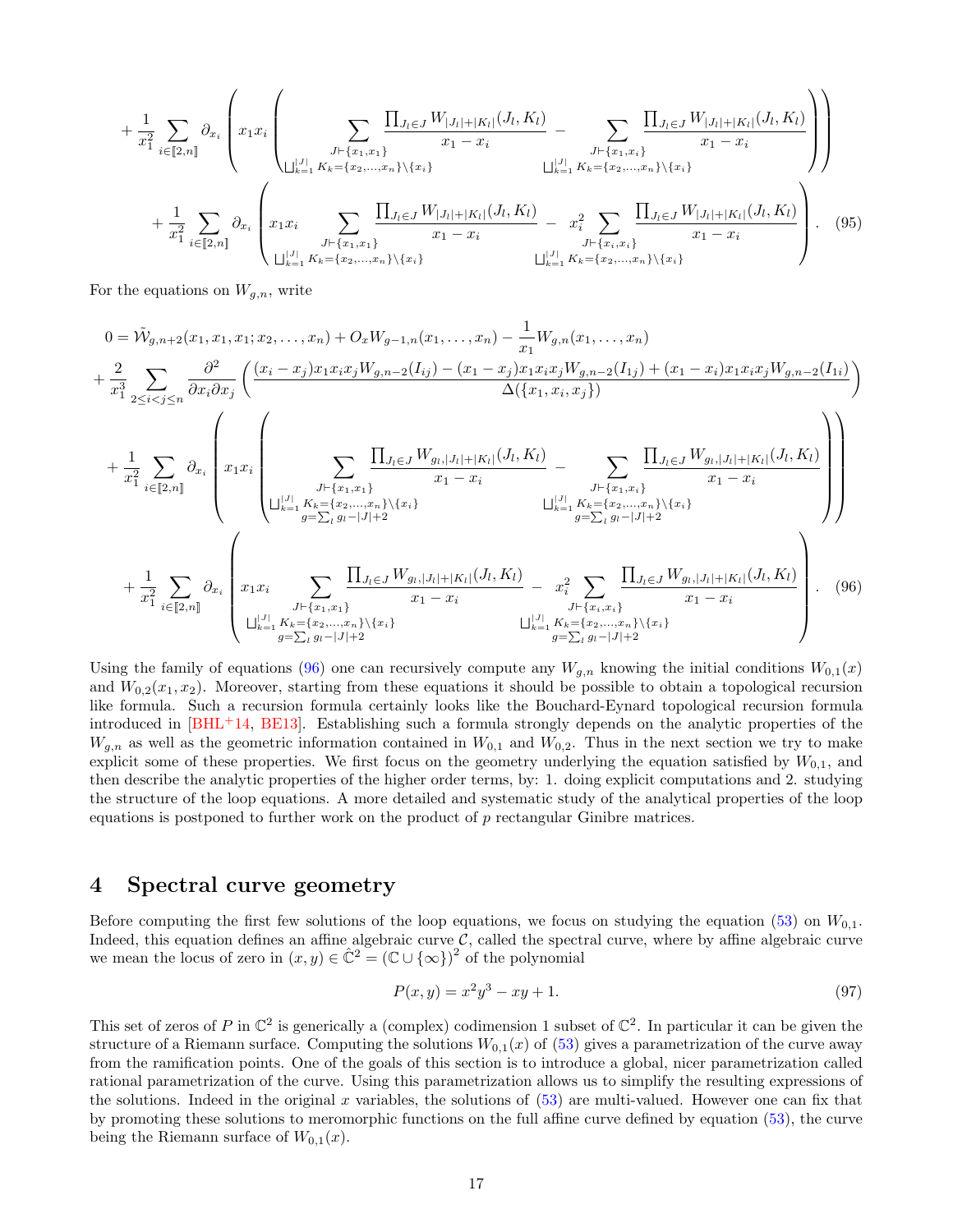<span id="page-16-2"></span>
$$
+\frac{1}{x_1^2} \sum_{i \in [2,n]} \partial_{x_i} \left( x_1 x_i \left( \sum_{\substack{J \vdash \{x_1, x_1\} \\ \bigcup_{k=1}^{|J|} K_k = \{x_2, \dots, x_n\} \setminus \{x_i\}}} \frac{\prod_{J \vdash \{x_1, x_1\}} (J_l, K_l)}{x_1 - x_i} - \sum_{\substack{J \vdash \{x_1, x_i\} \\ \bigcup_{k=1}^{|J|} K_k = \{x_2, \dots, x_n\} \setminus \{x_i\}}} \frac{\prod_{J \vdash \{x_1, x_i\}} (J_l, K_l)}{x_1 - x_i} - \sum_{\substack{J \vdash \{x_1, x_i\} \\ \bigcup_{k=1}^{|J|} K_k = \{x_2, \dots, x_n\} \setminus \{x_i\}}} \frac{\prod_{J \vdash \{x_1, x_i\}} (J_l, K_l)}{x_1 - x_i} - \sum_{\substack{X_i^2 \\ J \vdash \{x_i, x_i\}}} \frac{\prod_{J \vdash \{x_i, x_i\}} (J_l, K_l)}{x_1 - x_i} - \sum_{\substack{J \vdash \{x_i, x_i\} \\ \bigcup_{k=1}^{|J|} K_k = \{x_2, \dots, x_n\} \setminus \{x_i\}}} \frac{\prod_{J \vdash \{x_i, x_i\}} (J_l, K_l)}{x_1 - x_i} - \sum_{\substack{J \vdash \{x_i, x_i\} \\ \bigcup_{k=1}^{|J|} K_k = \{x_2, \dots, x_n\} \setminus \{x_i\}}} \left( (95)
$$

For the equations on  $W_{g,n}$ , write

$$
0 = \tilde{W}_{g,n+2}(x_1, x_1, x_1; x_2, \dots, x_n) + O_x W_{g-1,n}(x_1, \dots, x_n) - \frac{1}{x_1} W_{g,n}(x_1, \dots, x_n)
$$
  
+ 
$$
\frac{2}{x_1^3} \sum_{2 \leq i < j \leq n} \frac{\partial^2}{\partial x_i \partial x_j} \left( \frac{(x_i - x_j)x_1 x_i x_j W_{g,n-2}(I_{ij}) - (x_1 - x_j)x_1 x_i x_j W_{g,n-2}(I_{1j}) + (x_1 - x_i)x_1 x_i x_j W_{g,n-2}(I_{1i})}{\Delta(\{x_1, x_i, x_j\})} \right)
$$
  
+ 
$$
\frac{1}{x_1^2} \sum_{i \in [2,n]} \partial_{x_i} \left( x_1 x_i \left( \sum_{\substack{J \vdash \{x_1, x_1\} \\ \bigcup_{k=1}^{|J|} K_k = \{x_2, \dots, x_n\} \setminus \{x_i\}}} \frac{\prod_{J \in J} W_{g_{l}, |J_{l}| + |K_{l}|}(J_{l}, K_{l})}{x_1 - x_i} - \sum_{\substack{J \vdash \{x_1, x_i\} \\ \bigcup_{k=1}^{|J|} K_k = \{x_2, \dots, x_n\} \setminus \{x_i\}}} \frac{\prod_{J \in J} W_{g_{l}, |J_{l}| + |K_{l}|}(J_{l}, K_{l})}{x_1 - x_i} \right)
$$
  
+ 
$$
\frac{1}{x_1^2} \sum_{i \in [2,n]} \partial_{x_i} \left( x_1 x_i \sum_{\substack{J \vdash \{x_1, x_1\} \\ \bigcup_{k=1}^{|J|} K_k = \{x_2, \dots, x_n\} \setminus \{x_i\}}} \frac{\prod_{J \in J} W_{g_{l}, |J_{l}| + |K_{l}|}(J_{l}, K_{l})}{x_1 - x_i} - x_i^2 \sum_{\substack{J \vdash \{x_i, x_i\} \\ \bigcup_{k=1}^{|J|} K_k = \{x_2, \dots, x_n\} \setminus \{x_i\}}} \frac{\prod_{J \in J} W_{g_{l}, |J_{l}| + |K_{l}|}(J_{l}, K_{l})}{x_1 - x_i} - x_i - x_i
$$

Using the family of equations [\(96\)](#page-16-0) one can recursively compute any  $W_{q,n}$  knowing the initial conditions  $W_{0,1}(x)$ and  $W_{0,2}(x_1, x_2)$ . Moreover, starting from these equations it should be possible to obtain a topological recursion like formula. Such a recursion formula certainly looks like the Bouchard-Eynard topological recursion formula introduced in [\[BHL](#page-25-18)+14, [BE13\]](#page-24-2). Establishing such a formula strongly depends on the analytic properties of the  $W_{g,n}$  as well as the geometric information contained in  $W_{0,1}$  and  $W_{0,2}$ . Thus in the next section we try to make explicit some of these properties. We first focus on the geometry underlying the equation satisfied by  $W_{0,1}$ , and then describe the analytic properties of the higher order terms, by: 1. doing explicit computations and 2. studying the structure of the loop equations. A more detailed and systematic study of the analytical properties of the loop equations is postponed to further work on the product of  $p$  rectangular Ginibre matrices.

#### <span id="page-16-1"></span>4 Spectral curve geometry

Before computing the first few solutions of the loop equations, we focus on studying the equation [\(53\)](#page-9-0) on  $W_{0,1}$ . Indeed, this equation defines an affine algebraic curve  $\mathcal{C}$ , called the spectral curve, where by affine algebraic curve we mean the locus of zero in  $(x, y) \in \hat{C}^2 = (\mathbb{C} \cup {\infty})^2$  of the polynomial

<span id="page-16-0"></span>
$$
P(x, y) = x^2 y^3 - xy + 1.
$$
\n(97)

This set of zeros of P in  $\mathbb{C}^2$  is generically a (complex) codimension 1 subset of  $\mathbb{C}^2$ . In particular it can be given the structure of a Riemann surface. Computing the solutions  $W_{0,1}(x)$  of [\(53\)](#page-9-0) gives a parametrization of the curve away from the ramification points. One of the goals of this section is to introduce a global, nicer parametrization called rational parametrization of the curve. Using this parametrization allows us to simplify the resulting expressions of the solutions. Indeed in the original x variables, the solutions of  $(53)$  are multi-valued. However one can fix that by promoting these solutions to meromorphic functions on the full affine curve defined by equation [\(53\)](#page-9-0), the curve being the Riemann surface of  $W_{0,1}(x)$ .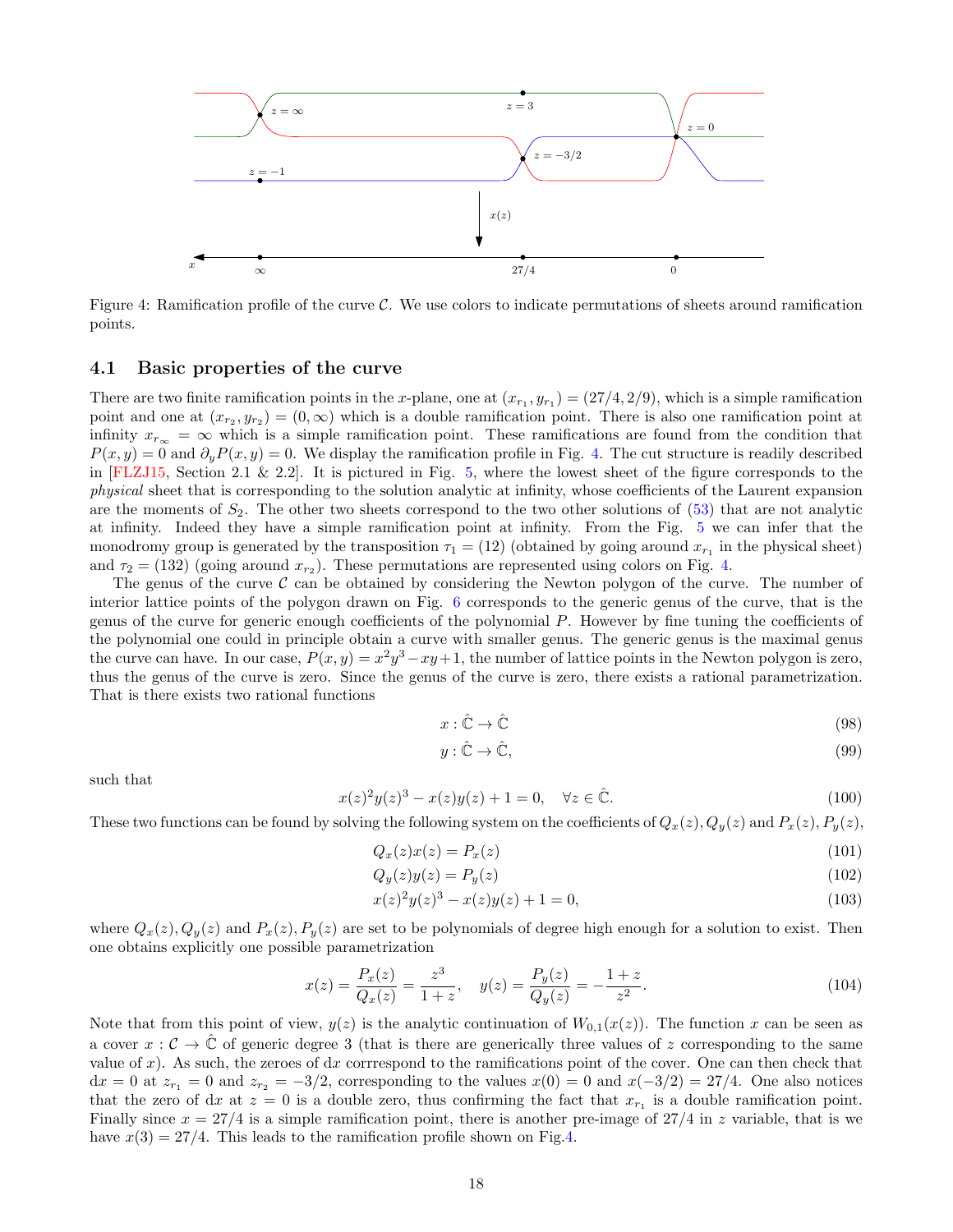<span id="page-17-1"></span>

<span id="page-17-0"></span>Figure 4: Ramification profile of the curve C. We use colors to indicate permutations of sheets around ramification points.

#### 4.1 Basic properties of the curve

There are two finite ramification points in the x-plane, one at  $(x_{r_1}, y_{r_1}) = (27/4, 2/9)$ , which is a simple ramification point and one at  $(x_{r_2}, y_{r_2}) = (0, \infty)$  which is a double ramification point. There is also one ramification point at infinity  $x_{r_{\infty}} = \infty$  which is a simple ramification point. These ramifications are found from the condition that  $P(x, y) = 0$  and  $\partial_y P(x, y) = 0$ . We display the ramification profile in Fig. [4.](#page-17-0) The cut structure is readily described in [\[FLZJ15,](#page-25-12) Section 2.1 & 2.2]. It is pictured in Fig. [5,](#page-18-0) where the lowest sheet of the figure corresponds to the physical sheet that is corresponding to the solution analytic at infinity, whose coefficients of the Laurent expansion are the moments of  $S_2$ . The other two sheets correspond to the two other solutions of  $(53)$  that are not analytic at infinity. Indeed they have a simple ramification point at infinity. From the Fig. [5](#page-18-0) we can infer that the monodromy group is generated by the transposition  $\tau_1 = (12)$  (obtained by going around  $x_{r_1}$  in the physical sheet) and  $\tau_2 = (132)$  (going around  $x_{r_2}$ ). These permutations are represented using colors on Fig. [4.](#page-17-0)

The genus of the curve  $\mathcal C$  can be obtained by considering the Newton polygon of the curve. The number of interior lattice points of the polygon drawn on Fig. [6](#page-19-0) corresponds to the generic genus of the curve, that is the genus of the curve for generic enough coefficients of the polynomial P. However by fine tuning the coefficients of the polynomial one could in principle obtain a curve with smaller genus. The generic genus is the maximal genus the curve can have. In our case,  $P(x, y) = x^2y^3 - xy + 1$ , the number of lattice points in the Newton polygon is zero, thus the genus of the curve is zero. Since the genus of the curve is zero, there exists a rational parametrization. That is there exists two rational functions

$$
x: \hat{\mathbb{C}} \to \hat{\mathbb{C}} \tag{98}
$$

$$
y: \hat{\mathbb{C}} \to \hat{\mathbb{C}},\tag{99}
$$

such that

$$
x(z)^{2}y(z)^{3} - x(z)y(z) + 1 = 0, \quad \forall z \in \hat{\mathbb{C}}.
$$
\n(100)

These two functions can be found by solving the following system on the coefficients of  $Q_x(z)$ ,  $Q_y(z)$  and  $P_x(z)$ ,  $P_y(z)$ ,

$$
Q_x(z)x(z) = P_x(z) \tag{101}
$$

$$
Q_y(z)y(z) = P_y(z) \tag{102}
$$

$$
x(z)^{2}y(z)^{3} - x(z)y(z) + 1 = 0,
$$
\n(103)

where  $Q_x(z)$ ,  $Q_y(z)$  and  $P_x(z)$ ,  $P_y(z)$  are set to be polynomials of degree high enough for a solution to exist. Then one obtains explicitly one possible parametrization

$$
x(z) = \frac{P_x(z)}{Q_x(z)} = \frac{z^3}{1+z}, \quad y(z) = \frac{P_y(z)}{Q_y(z)} = -\frac{1+z}{z^2}.
$$
\n(104)

Note that from this point of view,  $y(z)$  is the analytic continuation of  $W_{0,1}(x(z))$ . The function x can be seen as a cover  $x : C \to \mathbb{C}$  of generic degree 3 (that is there are generically three values of z corresponding to the same value of x). As such, the zeroes of dx corrrespond to the ramifications point of the cover. One can then check that  $dx = 0$  at  $z_{r_1} = 0$  and  $z_{r_2} = -3/2$ , corresponding to the values  $x(0) = 0$  and  $x(-3/2) = 27/4$ . One also notices that the zero of dx at  $z = 0$  is a double zero, thus confirming the fact that  $x_{r_1}$  is a double ramification point. Finally since  $x = 27/4$  is a simple ramification point, there is another pre-image of  $27/4$  in z variable, that is we have  $x(3) = 27/4$ . This leads to the ramification profile shown on Fig[.4.](#page-17-0)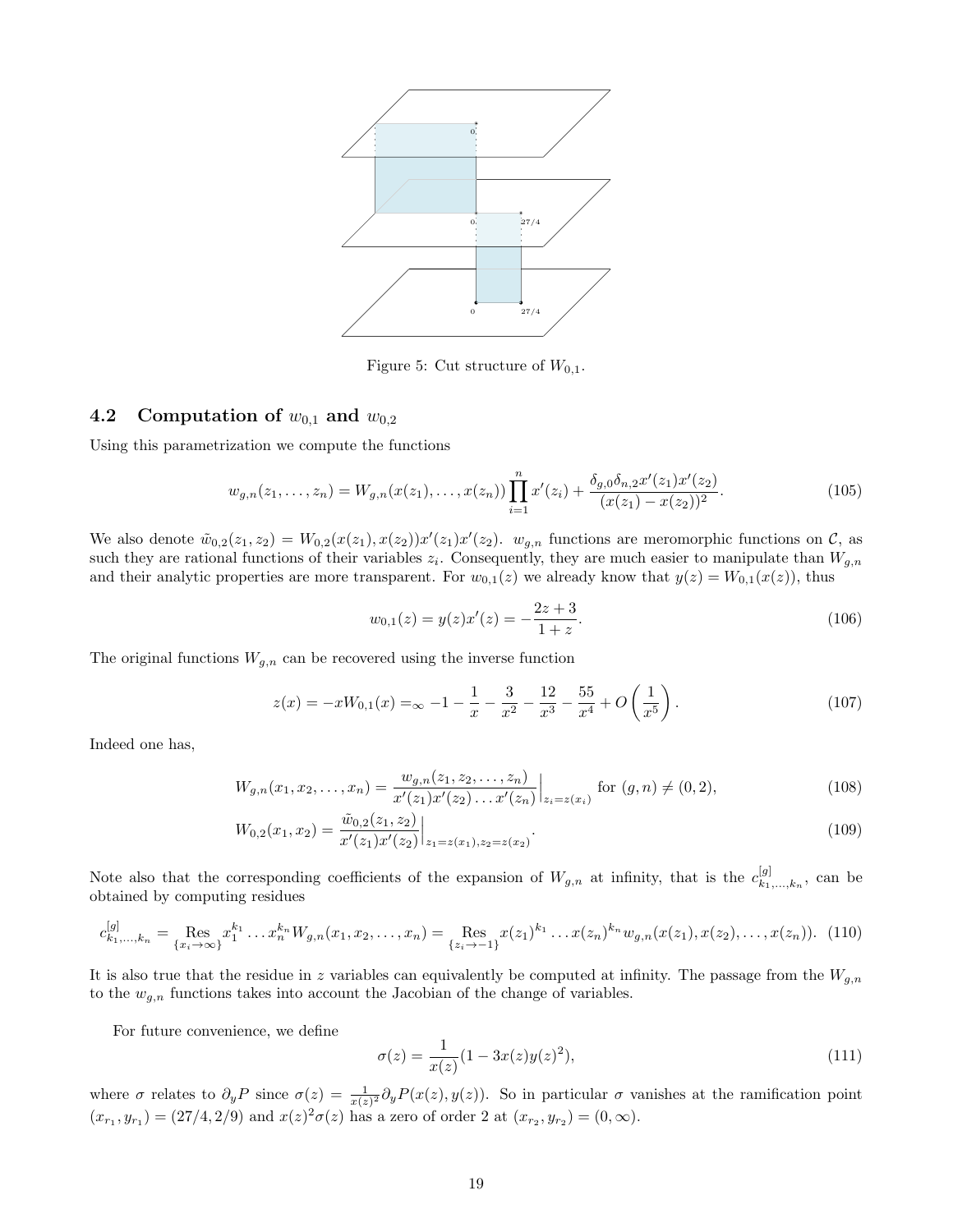

<span id="page-18-0"></span>Figure 5: Cut structure of  $W_{0,1}$ .

#### 4.2 Computation of  $w_{0,1}$  and  $w_{0,2}$

Using this parametrization we compute the functions

<span id="page-18-1"></span>
$$
w_{g,n}(z_1,\ldots,z_n) = W_{g,n}(x(z_1),\ldots,x(z_n))\prod_{i=1}^n x'(z_i) + \frac{\delta_{g,0}\delta_{n,2}x'(z_1)x'(z_2)}{(x(z_1) - x(z_2))^2}.
$$
\n(105)

We also denote  $\tilde{w}_{0,2}(z_1, z_2) = W_{0,2}(x(z_1), x(z_2))x'(z_1)x'(z_2)$ .  $w_{g,n}$  functions are meromorphic functions on  $\mathcal{C}$ , as such they are rational functions of their variables  $z_i$ . Consequently, they are much easier to manipulate than  $W_{g,n}$ and their analytic properties are more transparent. For  $w_{0,1}(z)$  we already know that  $y(z) = W_{0,1}(x(z))$ , thus

$$
w_{0,1}(z) = y(z)x'(z) = -\frac{2z+3}{1+z}.\tag{106}
$$

The original functions  $W_{g,n}$  can be recovered using the inverse function

$$
z(x) = -xW_{0,1}(x) = \infty -1 - \frac{1}{x} - \frac{3}{x^2} - \frac{12}{x^3} - \frac{55}{x^4} + O\left(\frac{1}{x^5}\right). \tag{107}
$$

Indeed one has,

$$
W_{g,n}(x_1, x_2, \dots, x_n) = \frac{w_{g,n}(z_1, z_2, \dots, z_n)}{x'(z_1)x'(z_2)\dots x'(z_n)}\Big|_{z_i=z(x_i)} \text{ for } (g,n) \neq (0,2),\tag{108}
$$

$$
W_{0,2}(x_1, x_2) = \frac{\tilde{w}_{0,2}(z_1, z_2)}{x'(z_1)x'(z_2)}\Big|_{z_1 = z(x_1), z_2 = z(x_2)}.\tag{109}
$$

Note also that the corresponding coefficients of the expansion of  $W_{g,n}$  at infinity, that is the  $c_{k_1}^{[g]}$  $x_{k_1,...,k_n}^{[g]}$ , can be obtained by computing residues

$$
c_{k_1,\dots,k_n}^{[g]} = \operatorname{Res}_{\{x_i \to \infty\}} x_1^{k_1} \dots x_n^{k_n} W_{g,n}(x_1, x_2, \dots, x_n) = \operatorname{Res}_{\{z_i \to -1\}} x(z_1)^{k_1} \dots x(z_n)^{k_n} w_{g,n}(x(z_1), x(z_2), \dots, x(z_n)). \tag{110}
$$

It is also true that the residue in z variables can equivalently be computed at infinity. The passage from the  $W_{g,n}$ to the  $w_{g,n}$  functions takes into account the Jacobian of the change of variables.

For future convenience, we define

$$
\sigma(z) = \frac{1}{x(z)} (1 - 3x(z)y(z)^2),\tag{111}
$$

where  $\sigma$  relates to  $\partial_y P$  since  $\sigma(z) = \frac{1}{x(z)^2} \partial_y P(x(z), y(z))$ . So in particular  $\sigma$  vanishes at the ramification point  $(x_{r_1}, y_{r_1}) = (27/4, 2/9)$  and  $x(z)^2 \sigma(z)$  has a zero of order 2 at  $(x_{r_2}, y_{r_2}) = (0, \infty)$ .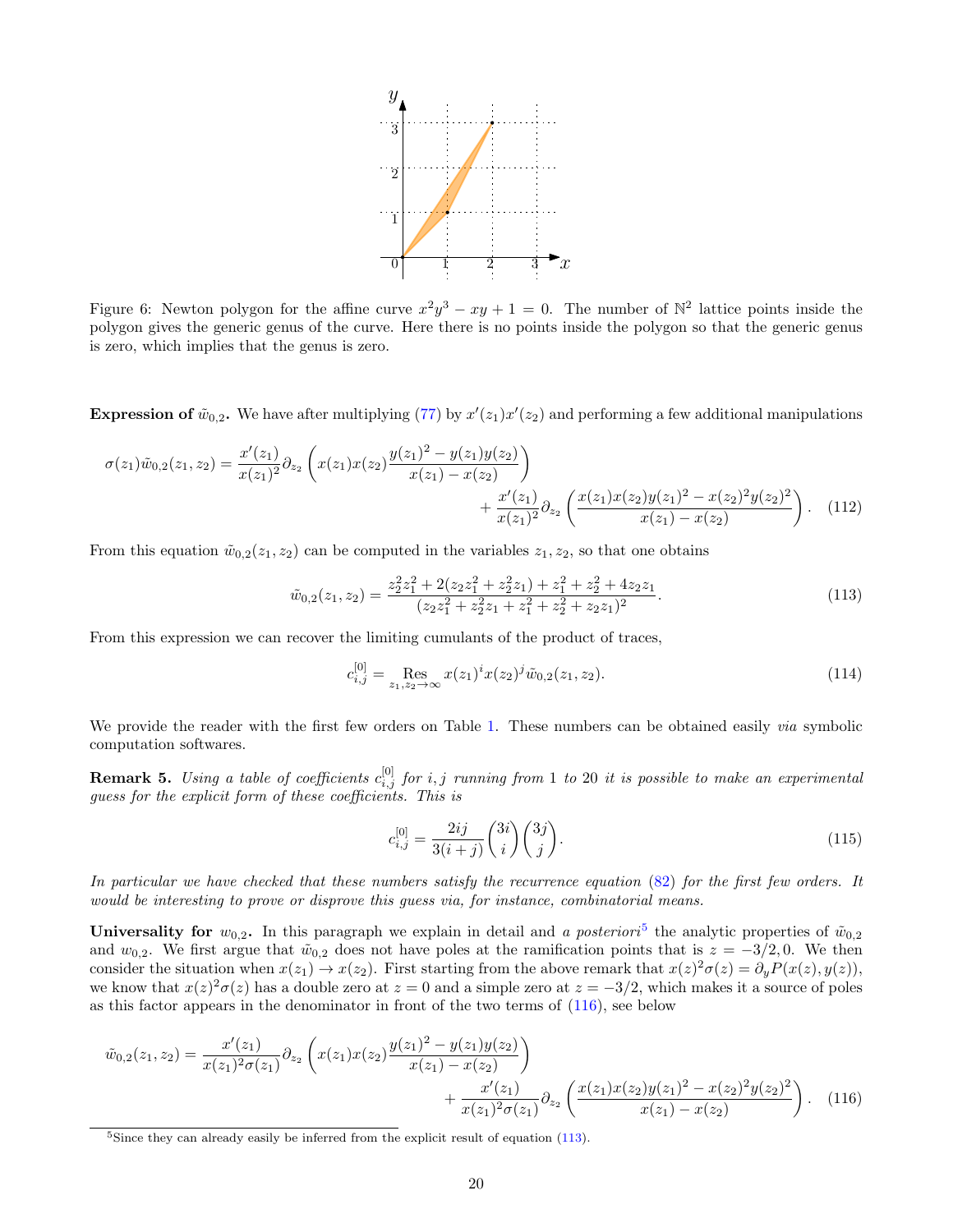

<span id="page-19-0"></span>Figure 6: Newton polygon for the affine curve  $x^2y^3 - xy + 1 = 0$ . The number of  $\mathbb{N}^2$  lattice points inside the polygon gives the generic genus of the curve. Here there is no points inside the polygon so that the generic genus is zero, which implies that the genus is zero.

**Expression of**  $\tilde{w}_{0,2}$ . We have after multiplying [\(77\)](#page-12-2) by  $x'(z_1)x'(z_2)$  and performing a few additional manipulations

$$
\sigma(z_1)\tilde{w}_{0,2}(z_1,z_2) = \frac{x'(z_1)}{x(z_1)^2} \partial_{z_2} \left( x(z_1)x(z_2) \frac{y(z_1)^2 - y(z_1)y(z_2)}{x(z_1) - x(z_2)} \right) + \frac{x'(z_1)}{x(z_1)^2} \partial_{z_2} \left( \frac{x(z_1)x(z_2)y(z_1)^2 - x(z_2)^2 y(z_2)^2}{x(z_1) - x(z_2)} \right). \tag{112}
$$

From this equation  $\tilde{w}_{0,2}(z_1, z_2)$  can be computed in the variables  $z_1, z_2$ , so that one obtains

<span id="page-19-3"></span>
$$
\tilde{w}_{0,2}(z_1, z_2) = \frac{z_2^2 z_1^2 + 2(z_2 z_1^2 + z_2^2 z_1) + z_1^2 + z_2^2 + 4z_2 z_1}{(z_2 z_1^2 + z_2^2 z_1 + z_1^2 + z_2^2 + z_2 z_1)^2}.
$$
\n(113)

From this expression we can recover the limiting cumulants of the product of traces,

$$
c_{i,j}^{[0]} = \operatorname*{Res}_{z_1, z_2 \to \infty} x(z_1)^i x(z_2)^j \tilde{w}_{0,2}(z_1, z_2).
$$
\n(114)

We provide the reader with the first few orders on Table [1.](#page-20-0) These numbers can be obtained easily *via* symbolic computation softwares.

<span id="page-19-4"></span>**Remark 5.** Using a table of coefficients  $c_{i,j}^{[0]}$  for i, j running from 1 to 20 it is possible to make an experimental guess for the explicit form of these coefficients. This is

<span id="page-19-2"></span>
$$
c_{i,j}^{[0]} = \frac{2ij}{3(i+j)} \binom{3i}{i} \binom{3j}{j}.
$$
\n(115)

In particular we have checked that these numbers satisfy the recurrence equation [\(82\)](#page-13-3) for the first few orders. It would be interesting to prove or disprove this guess via, for instance, combinatorial means.

Universality for  $w_{0,2}$ . In this paragraph we explain in detail and a posteriori<sup>[5](#page-19-1)</sup> the analytic properties of  $\tilde{w}_{0,2}$ and  $w_{0,2}$ . We first argue that  $\tilde{w}_{0,2}$  does not have poles at the ramification points that is  $z = -3/2, 0$ . We then consider the situation when  $x(z_1) \to x(z_2)$ . First starting from the above remark that  $x(z)^2 \sigma(z) = \partial_y P(x(z), y(z))$ , we know that  $x(z)^2 \sigma(z)$  has a double zero at  $z = 0$  and a simple zero at  $z = -3/2$ , which makes it a source of poles as this factor appears in the denominator in front of the two terms of [\(116\)](#page-19-2), see below

$$
\tilde{w}_{0,2}(z_1, z_2) = \frac{x'(z_1)}{x(z_1)^2 \sigma(z_1)} \partial_{z_2} \left( x(z_1) x(z_2) \frac{y(z_1)^2 - y(z_1) y(z_2)}{x(z_1) - x(z_2)} \right) + \frac{x'(z_1)}{x(z_1)^2 \sigma(z_1)} \partial_{z_2} \left( \frac{x(z_1) x(z_2) y(z_1)^2 - x(z_2)^2 y(z_2)^2}{x(z_1) - x(z_2)} \right). \tag{116}
$$

<span id="page-19-1"></span> $5$ Since they can already easily be inferred from the explicit result of equation [\(113\)](#page-19-3).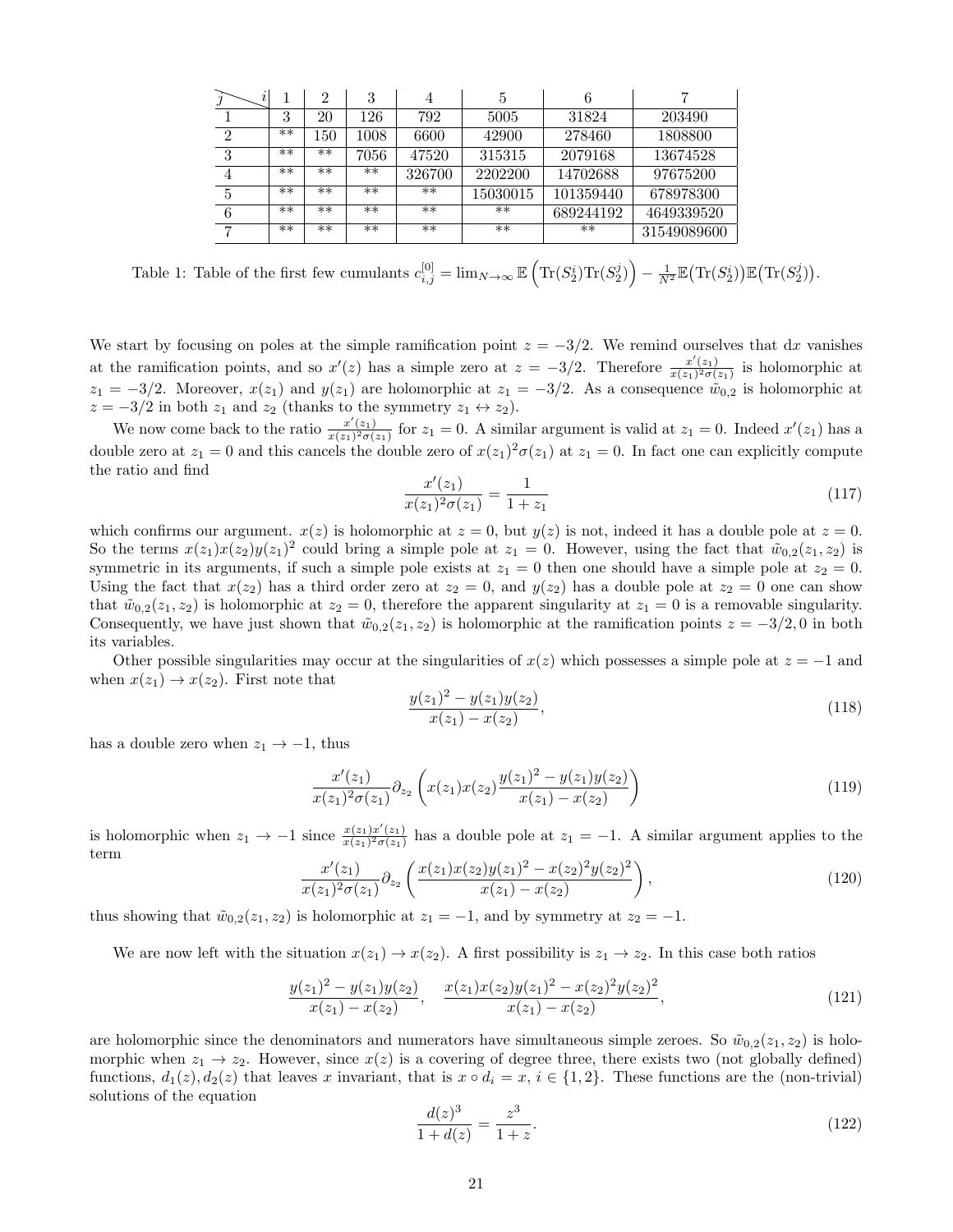| i              |      | $\overline{2}$ | 3    | 4      | 5        | 6         |             |
|----------------|------|----------------|------|--------|----------|-----------|-------------|
|                | 3    | 20             | 126  | 792    | 5005     | 31824     | 203490      |
| $\overline{2}$ | $**$ | 150            | 1008 | 6600   | 42900    | 278460    | 1808800     |
| 3              | $**$ | $**$           | 7056 | 47520  | 315315   | 2079168   | 13674528    |
| $\overline{4}$ | $**$ | $**$           | $**$ | 326700 | 2202200  | 14702688  | 97675200    |
| 5              | $**$ | $**$           | $**$ | $**$   | 15030015 | 101359440 | 678978300   |
| 6              | $**$ | $**$           | $**$ | $**$   | $**$     | 689244192 | 4649339520  |
| $\mathbf{r}$   | $**$ | $**$           | $**$ | $**$   | $**$     | $***$     | 31549089600 |

<span id="page-20-0"></span>Table 1: Table of the first few cumulants  $c_{i,j}^{[0]} = \lim_{N \to \infty} \mathbb{E} \left( \text{Tr}(S_2^i) \text{Tr}(S_2^j) \right) - \frac{1}{N^2} \mathbb{E} (\text{Tr}(S_2^i)) \mathbb{E} (\text{Tr}(S_2^j)).$ 

We start by focusing on poles at the simple ramification point  $z = -3/2$ . We remind ourselves that dx vanishes at the ramification points, and so  $x'(z)$  has a simple zero at  $z = -3/2$ . Therefore  $\frac{x'(z_1)}{x(z_1)^2 \sigma(z_1)}$  $\frac{x(z_1)}{x(z_1)^2 \sigma(z_1)}$  is holomorphic at  $z_1 = -3/2$ . Moreover,  $x(z_1)$  and  $y(z_1)$  are holomorphic at  $z_1 = -3/2$ . As a consequence  $\tilde{w}_{0,2}$  is holomorphic at  $z = -3/2$  in both  $z_1$  and  $z_2$  (thanks to the symmetry  $z_1 \leftrightarrow z_2$ ).

We now come back to the ratio  $\frac{x'(z_1)}{x(z_1)^2 \sigma(z)}$  $\frac{x'(z_1)}{x(z_1)^2 \sigma(z_1)}$  for  $z_1 = 0$ . A similar argument is valid at  $z_1 = 0$ . Indeed  $x'(z_1)$  has a double zero at  $z_1 = 0$  and this cancels the double zero of  $x(z_1)^2 \sigma(z_1)$  at  $z_1 = 0$ . In fact one can explicitly compute the ratio and find

$$
\frac{x'(z_1)}{x(z_1)^2 \sigma(z_1)} = \frac{1}{1+z_1} \tag{117}
$$

which confirms our argument.  $x(z)$  is holomorphic at  $z = 0$ , but  $y(z)$  is not, indeed it has a double pole at  $z = 0$ . So the terms  $x(z_1)x(z_2)y(z_1)^2$  could bring a simple pole at  $z_1 = 0$ . However, using the fact that  $\tilde{w}_{0,2}(z_1, z_2)$  is symmetric in its arguments, if such a simple pole exists at  $z_1 = 0$  then one should have a simple pole at  $z_2 = 0$ . Using the fact that  $x(z_2)$  has a third order zero at  $z_2 = 0$ , and  $y(z_2)$  has a double pole at  $z_2 = 0$  one can show that  $\tilde{w}_{0,2}(z_1, z_2)$  is holomorphic at  $z_2 = 0$ , therefore the apparent singularity at  $z_1 = 0$  is a removable singularity. Consequently, we have just shown that  $\tilde{w}_{0,2}(z_1, z_2)$  is holomorphic at the ramification points  $z = -3/2, 0$  in both its variables.

Other possible singularities may occur at the singularities of  $x(z)$  which possesses a simple pole at  $z = -1$  and when  $x(z_1) \rightarrow x(z_2)$ . First note that

$$
\frac{y(z_1)^2 - y(z_1)y(z_2)}{x(z_1) - x(z_2)},
$$
\n(118)

has a double zero when  $z_1 \rightarrow -1$ , thus

$$
\frac{x'(z_1)}{x(z_1)^2 \sigma(z_1)} \partial_{z_2} \left( x(z_1) x(z_2) \frac{y(z_1)^2 - y(z_1) y(z_2)}{x(z_1) - x(z_2)} \right)
$$
\n(119)

is holomorphic when  $z_1 \rightarrow -1$  since  $\frac{x(z_1)x'(z_1)}{x(z_1)^2 \sigma(z_1)}$  $\frac{x(z_1)x'(z_1)}{x(z_1)^2\sigma(z_1)}$  has a double pole at  $z_1 = -1$ . A similar argument applies to the term

$$
\frac{x'(z_1)}{x(z_1)^2 \sigma(z_1)} \partial_{z_2} \left( \frac{x(z_1)x(z_2)y(z_1)^2 - x(z_2)^2 y(z_2)^2}{x(z_1) - x(z_2)} \right),\tag{120}
$$

thus showing that  $\tilde{w}_{0,2}(z_1, z_2)$  is holomorphic at  $z_1 = -1$ , and by symmetry at  $z_2 = -1$ .

We are now left with the situation  $x(z_1) \to x(z_2)$ . A first possibility is  $z_1 \to z_2$ . In this case both ratios

<span id="page-20-1"></span>
$$
\frac{y(z_1)^2 - y(z_1)y(z_2)}{x(z_1) - x(z_2)}, \quad \frac{x(z_1)x(z_2)y(z_1)^2 - x(z_2)^2y(z_2)^2}{x(z_1) - x(z_2)},\tag{121}
$$

are holomorphic since the denominators and numerators have simultaneous simple zeroes. So  $\tilde{w}_{0,2}(z_1, z_2)$  is holomorphic when  $z_1 \to z_2$ . However, since  $x(z)$  is a covering of degree three, there exists two (not globally defined) functions,  $d_1(z)$ ,  $d_2(z)$  that leaves x invariant, that is  $x \circ d_i = x$ ,  $i \in \{1, 2\}$ . These functions are the (non-trivial) solutions of the equation

<span id="page-20-2"></span>
$$
\frac{d(z)^3}{1+d(z)} = \frac{z^3}{1+z}.\tag{122}
$$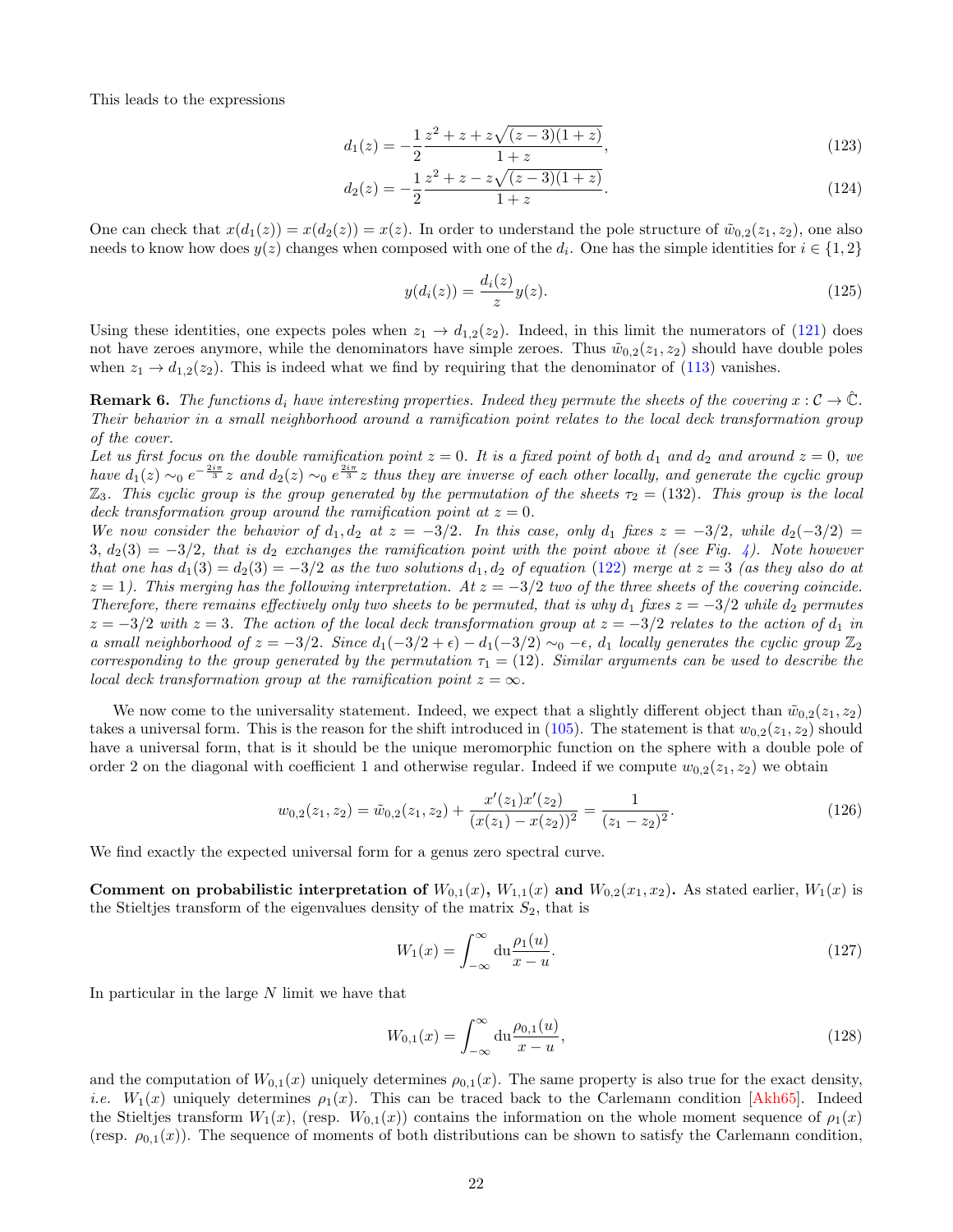<span id="page-21-0"></span>This leads to the expressions

$$
d_1(z) = -\frac{1}{2} \frac{z^2 + z + z\sqrt{(z-3)(1+z)}}{1+z},\tag{123}
$$

$$
d_2(z) = -\frac{1}{2} \frac{z^2 + z - z\sqrt{(z-3)(1+z)}}{1+z}.
$$
\n(124)

One can check that  $x(d_1(z)) = x(d_2(z)) = x(z)$ . In order to understand the pole structure of  $\tilde{w}_{0,2}(z_1, z_2)$ , one also needs to know how does  $y(z)$  changes when composed with one of the  $d_i$ . One has the simple identities for  $i \in \{1,2\}$ 

$$
y(d_i(z)) = \frac{d_i(z)}{z}y(z).
$$
 (125)

Using these identities, one expects poles when  $z_1 \to d_{1,2}(z_2)$ . Indeed, in this limit the numerators of [\(121\)](#page-20-1) does not have zeroes anymore, while the denominators have simple zeroes. Thus  $\tilde{w}_{0,2}(z_1, z_2)$  should have double poles when  $z_1 \rightarrow d_{1,2}(z_2)$ . This is indeed what we find by requiring that the denominator of [\(113\)](#page-19-3) vanishes.

**Remark 6.** The functions  $d_i$  have interesting properties. Indeed they permute the sheets of the covering  $x : C \to \mathbb{C}$ . Their behavior in a small neighborhood around a ramification point relates to the local deck transformation group of the cover.

Let us first focus on the double ramification point  $z = 0$ . It is a fixed point of both  $d_1$  and  $d_2$  and around  $z = 0$ , we have  $d_1(z) \sim_0 e^{-\frac{2i\pi}{3}} z$  and  $d_2(z) \sim_0 e^{\frac{2i\pi}{3}} z$  thus they are inverse of each other locally, and generate the cyclic group  $\mathbb{Z}_3$ . This cyclic group is the group generated by the permutation of the sheets  $\tau_2 = (132)$ . This group is the local deck transformation group around the ramification point at  $z = 0$ .

We now consider the behavior of  $d_1, d_2$  at  $z = -3/2$ . In this case, only  $d_1$  fixes  $z = -3/2$ , while  $d_2(-3/2) =$  $3, d_2(3) = -3/2$ , that is  $d_2$  exchanges the ramification point with the point above it (see Fig. [4\)](#page-17-0). Note however that one has  $d_1(3) = d_2(3) = -3/2$  as the two solutions  $d_1, d_2$  of equation [\(122\)](#page-20-2) merge at  $z = 3$  (as they also do at  $z = 1$ ). This merging has the following interpretation. At  $z = -3/2$  two of the three sheets of the covering coincide. Therefore, there remains effectively only two sheets to be permuted, that is why  $d_1$  fixes  $z = -3/2$  while  $d_2$  permutes  $z = -3/2$  with  $z = 3$ . The action of the local deck transformation group at  $z = -3/2$  relates to the action of  $d_1$  in a small neighborhood of  $z = -3/2$ . Since  $d_1(-3/2 + \epsilon) - d_1(-3/2) \sim_0 -\epsilon$ ,  $d_1$  locally generates the cyclic group  $\mathbb{Z}_2$ corresponding to the group generated by the permutation  $\tau_1 = (12)$ . Similar arguments can be used to describe the local deck transformation group at the ramification point  $z = \infty$ .

We now come to the universality statement. Indeed, we expect that a slightly different object than  $\tilde{w}_{0,2}(z_1, z_2)$ takes a universal form. This is the reason for the shift introduced in [\(105\)](#page-18-1). The statement is that  $w_{0,2}(z_1, z_2)$  should have a universal form, that is it should be the unique meromorphic function on the sphere with a double pole of order 2 on the diagonal with coefficient 1 and otherwise regular. Indeed if we compute  $w_{0,2}(z_1, z_2)$  we obtain

$$
w_{0,2}(z_1, z_2) = \tilde{w}_{0,2}(z_1, z_2) + \frac{x'(z_1)x'(z_2)}{(x(z_1) - x(z_2))^2} = \frac{1}{(z_1 - z_2)^2}.
$$
\n(126)

We find exactly the expected universal form for a genus zero spectral curve.

Comment on probabilistic interpretation of  $W_{0,1}(x)$ ,  $W_{1,1}(x)$  and  $W_{0,2}(x_1, x_2)$ . As stated earlier,  $W_1(x)$  is the Stieltjes transform of the eigenvalues density of the matrix  $S_2$ , that is

$$
W_1(x) = \int_{-\infty}^{\infty} du \frac{\rho_1(u)}{x - u}.
$$
\n(127)

In particular in the large  $N$  limit we have that

$$
W_{0,1}(x) = \int_{-\infty}^{\infty} du \frac{\rho_{0,1}(u)}{x - u},
$$
\n(128)

and the computation of  $W_{0,1}(x)$  uniquely determines  $\rho_{0,1}(x)$ . The same property is also true for the exact density, *i.e.*  $W_1(x)$  uniquely determines  $\rho_1(x)$ . This can be traced back to the Carlemann condition [\[Akh65\]](#page-24-5). Indeed the Stieltjes transform  $W_1(x)$ , (resp.  $W_{0,1}(x)$ ) contains the information on the whole moment sequence of  $\rho_1(x)$ (resp.  $\rho_{0,1}(x)$ ). The sequence of moments of both distributions can be shown to satisfy the Carlemann condition,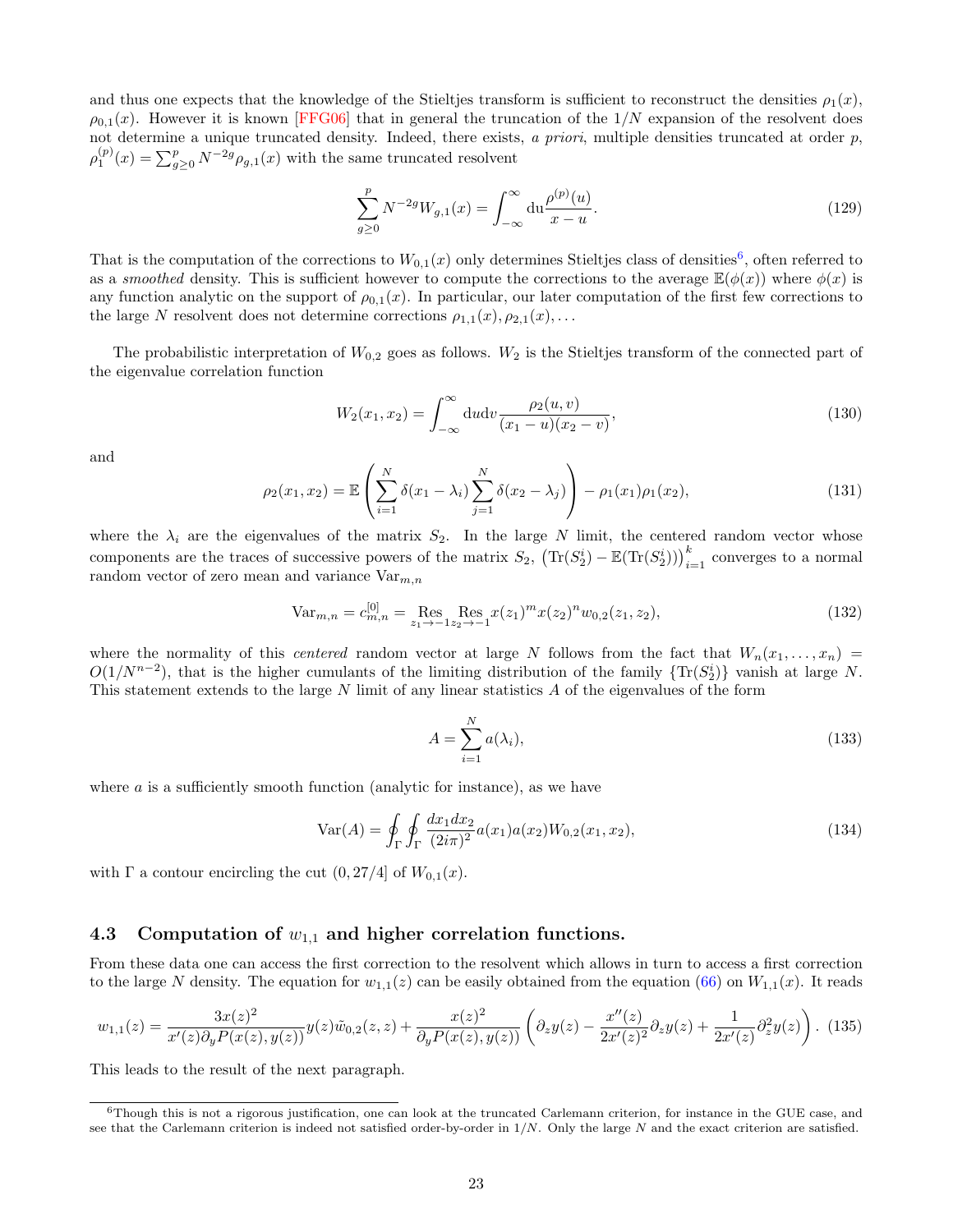<span id="page-22-2"></span>and thus one expects that the knowledge of the Stieltjes transform is sufficient to reconstruct the densities  $\rho_1(x)$ ,  $\rho_{0,1}(x)$ . However it is known [\[FFG06\]](#page-25-19) that in general the truncation of the  $1/N$  expansion of the resolvent does not determine a unique truncated density. Indeed, there exists,  $a$  priori, multiple densities truncated at order  $p$ ,  $\rho_1^{(p)}(x) = \sum_{g\geq 0}^p N^{-2g} \rho_{g,1}(x)$  with the same truncated resolvent

$$
\sum_{g\geq 0}^{p} N^{-2g} W_{g,1}(x) = \int_{-\infty}^{\infty} du \frac{\rho^{(p)}(u)}{x - u}.
$$
\n(129)

That is the computation of the corrections to  $W_{0,1}(x)$  only determines Stieltjes class of densities<sup>[6](#page-22-0)</sup>, often referred to as a *smoothed* density. This is sufficient however to compute the corrections to the average  $\mathbb{E}(\phi(x))$  where  $\phi(x)$  is any function analytic on the support of  $\rho_{0,1}(x)$ . In particular, our later computation of the first few corrections to the large N resolvent does not determine corrections  $\rho_{1,1}(x), \rho_{2,1}(x), \ldots$ 

The probabilistic interpretation of  $W_{0,2}$  goes as follows.  $W_2$  is the Stieltjes transform of the connected part of the eigenvalue correlation function

$$
W_2(x_1, x_2) = \int_{-\infty}^{\infty} du dv \frac{\rho_2(u, v)}{(x_1 - u)(x_2 - v)},
$$
\n(130)

and

$$
\rho_2(x_1, x_2) = \mathbb{E}\left(\sum_{i=1}^N \delta(x_1 - \lambda_i) \sum_{j=1}^N \delta(x_2 - \lambda_j)\right) - \rho_1(x_1)\rho_1(x_2),\tag{131}
$$

where the  $\lambda_i$  are the eigenvalues of the matrix  $S_2$ . In the large N limit, the centered random vector whose components are the traces of successive powers of the matrix  $S_2$ ,  $\left(\text{Tr}(S_2^i) - \mathbb{E}(\text{Tr}(S_2^i))\right)_{i=1}^k$  converges to a normal random vector of zero mean and variance  $\mathrm{Var}_{m,n}$ 

$$
\text{Var}_{m,n} = c_{m,n}^{[0]} = \underset{z_1 \to -1}{\text{Res}} \underset{z_2 \to -1}{\text{Res}} x(z_1)^m x(z_2)^n w_{0,2}(z_1, z_2),\tag{132}
$$

where the normality of this *centered* random vector at large N follows from the fact that  $W_n(x_1, \ldots, x_n)$  $O(1/N^{n-2})$ , that is the higher cumulants of the limiting distribution of the family  $\{Tr(S_2^i)\}\)$  vanish at large N. This statement extends to the large N limit of any linear statistics A of the eigenvalues of the form

$$
A = \sum_{i=1}^{N} a(\lambda_i),\tag{133}
$$

where  $a$  is a sufficiently smooth function (analytic for instance), as we have

$$
Var(A) = \oint_{\Gamma} \oint_{\Gamma} \frac{dx_1 dx_2}{(2i\pi)^2} a(x_1) a(x_2) W_{0,2}(x_1, x_2),
$$
\n(134)

with  $\Gamma$  a contour encircling the cut  $(0, 27/4]$  of  $W_{0,1}(x)$ .

#### 4.3 Computation of  $w_{1,1}$  and higher correlation functions.

From these data one can access the first correction to the resolvent which allows in turn to access a first correction to the large N density. The equation for  $w_{1,1}(z)$  can be easily obtained from the equation [\(66\)](#page-11-6) on  $W_{1,1}(x)$ . It reads

<span id="page-22-1"></span>
$$
w_{1,1}(z) = \frac{3x(z)^2}{x'(z)\partial_y P(x(z), y(z))} y(z)\tilde{w}_{0,2}(z, z) + \frac{x(z)^2}{\partial_y P(x(z), y(z))} \left(\partial_z y(z) - \frac{x''(z)}{2x'(z)^2} \partial_z y(z) + \frac{1}{2x'(z)} \partial_z^2 y(z)\right). \tag{135}
$$

This leads to the result of the next paragraph.

<span id="page-22-0"></span> $6$ Though this is not a rigorous justification, one can look at the truncated Carlemann criterion, for instance in the GUE case, and see that the Carlemann criterion is indeed not satisfied order-by-order in  $1/N$ . Only the large N and the exact criterion are satisfied.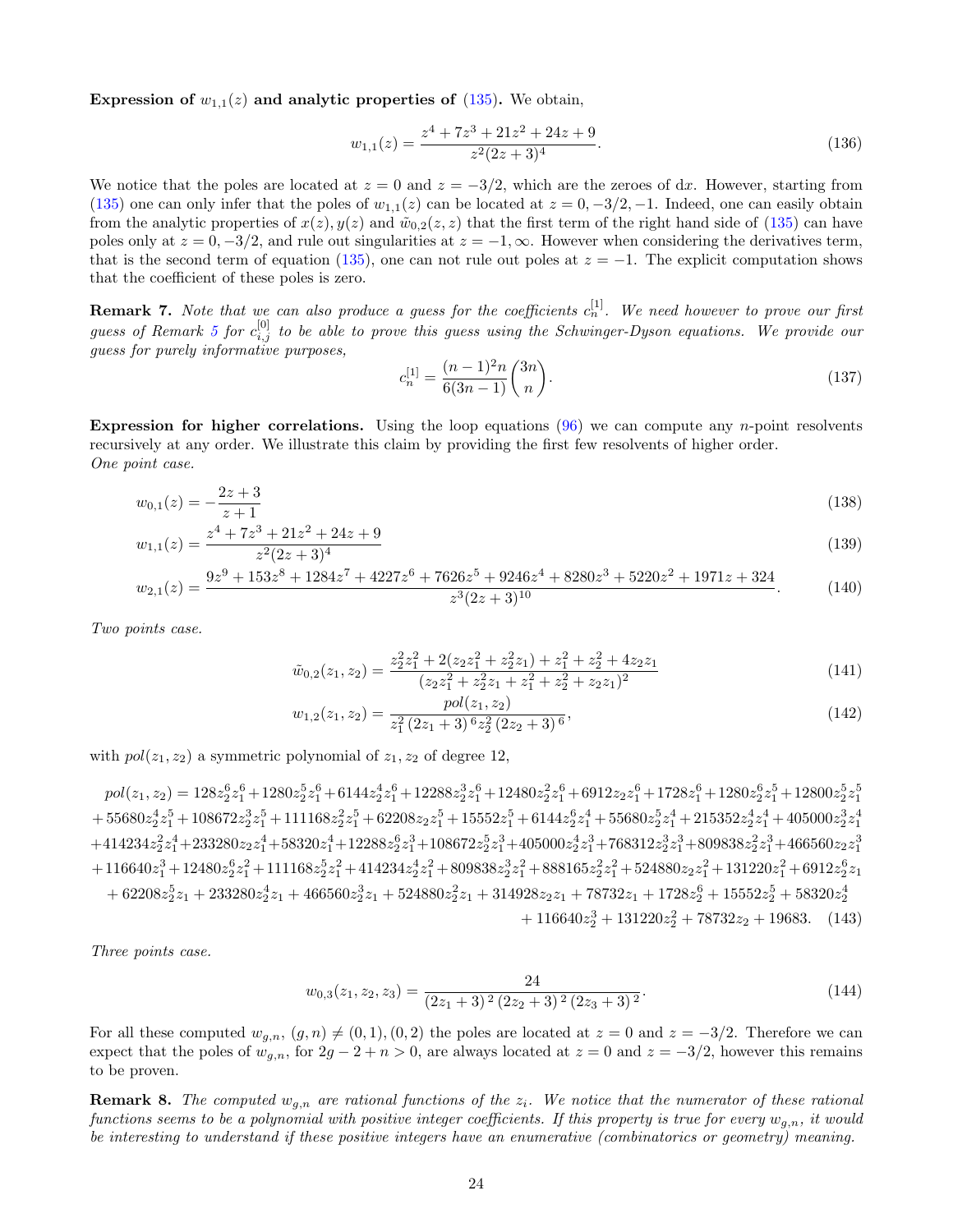Expression of  $w_{1,1}(z)$  and analytic properties of [\(135\)](#page-22-1). We obtain,

$$
w_{1,1}(z) = \frac{z^4 + 7z^3 + 21z^2 + 24z + 9}{z^2(2z + 3)^4}.
$$
\n(136)

We notice that the poles are located at  $z = 0$  and  $z = -3/2$ , which are the zeroes of dx. However, starting from [\(135\)](#page-22-1) one can only infer that the poles of  $w_{1,1}(z)$  can be located at  $z = 0, -3/2, -1$ . Indeed, one can easily obtain from the analytic properties of  $x(z)$ ,  $y(z)$  and  $\tilde{w}_{0,2}(z, z)$  that the first term of the right hand side of [\(135\)](#page-22-1) can have poles only at  $z = 0, -3/2$ , and rule out singularities at  $z = -1, \infty$ . However when considering the derivatives term, that is the second term of equation [\(135\)](#page-22-1), one can not rule out poles at  $z = -1$ . The explicit computation shows that the coefficient of these poles is zero.

**Remark 7.** Note that we can also produce a guess for the coefficients  $c_n^{[1]}$ . We need however to prove our first guess of Remark [5](#page-19-4) for  $c_{i,j}^{[0]}$  to be able to prove this guess using the Schwinger-Dyson equations. We provide our guess for purely informative purposes,

<span id="page-23-2"></span><span id="page-23-1"></span><span id="page-23-0"></span>
$$
c_n^{[1]} = \frac{(n-1)^2 n}{6(3n-1)} \binom{3n}{n}.
$$
\n(137)

**Expression for higher correlations.** Using the loop equations  $(96)$  we can compute any *n*-point resolvents recursively at any order. We illustrate this claim by providing the first few resolvents of higher order. One point case.

$$
w_{0,1}(z) = -\frac{2z+3}{z+1} \tag{138}
$$

$$
w_{1,1}(z) = \frac{z^4 + 7z^3 + 21z^2 + 24z + 9}{z^2(2z + 3)^4}
$$
\n
$$
(139)
$$

$$
w_{2,1}(z) = \frac{9z^9 + 153z^8 + 1284z^7 + 4227z^6 + 7626z^5 + 9246z^4 + 8280z^3 + 5220z^2 + 1971z + 324}{z^3(2z+3)^{10}}.\tag{140}
$$

Two points case.

<span id="page-23-3"></span>
$$
\tilde{w}_{0,2}(z_1, z_2) = \frac{z_2^2 z_1^2 + 2(z_2 z_1^2 + z_2^2 z_1) + z_1^2 + z_2^2 + 4z_2 z_1}{(z_2 z_1^2 + z_2^2 z_1 + z_1^2 + z_2^2 + z_2 z_1)^2}
$$
\n(141)

$$
w_{1,2}(z_1, z_2) = \frac{pol(z_1, z_2)}{z_1^2 (2z_1 + 3)^6 z_2^2 (2z_2 + 3)^6},
$$
\n(142)

with  $pol(z_1, z_2)$  a symmetric polynomial of  $z_1, z_2$  of degree 12,

 $pol(z_1,z_2)=128z_2^6z_1^6+1280z_2^5z_1^6+6144z_2^4z_1^6+12288z_2^3z_1^6+12480z_2^2z_1^6+6912z_2z_1^6+1728z_1^6+1280z_2^6z_1^5+12800z_2^5z_1^5$  $+\ 55680z_{2}^{4}z_{1}^{5}+108672z_{2}^{3}z_{1}^{5}+111168z_{2}^{2}z_{1}^{5}+62208z_{2}z_{1}^{5}+15552z_{1}^{5}+6144z_{2}^{6}z_{1}^{4}+55680z_{2}^{5}z_{1}^{4}+215352z_{2}^{4}z_{1}^{4}+405000z_{2}^{3}z_{1}^{4}$  $+414234z_{2}^2z_{1}^4+233280z_{2}z_{1}^4+58320z_{1}^4+12288z_{2}^6z_{1}^3+108672z_{2}^5z_{1}^3+405000z_{2}^4z_{1}^3+768312z_{2}^3z_{1}^3+809838z_{2}^2z_{1}^3+466560z_{2}z_{1}^3$  $+116640z_1^3 + 12480z_2^6z_1^2 + 111168z_2^5z_1^2 + 414234z_2^4z_1^2 + 809838z_2^3z_1^2 + 888165z_2^2z_1^2 + 524880z_2z_1^2 + 131220z_1^2 + 6912z_2^6z_1$  $+\ 62208 z_2^5 z_1+233280 z_2^4 z_1+466560 z_2^3 z_1+524880 z_2^2 z_1+314928 z_2 z_1+78732 z_1+1728 z_2^6+15552 z_2^5+58320 z_2^4$  $+ 116640z_2^3 + 131220z_2^2 + 78732z_2 + 19683.$  (143)

Three points case.

<span id="page-23-4"></span>
$$
w_{0,3}(z_1, z_2, z_3) = \frac{24}{(2z_1 + 3)^2 (2z_2 + 3)^2 (2z_3 + 3)^2}.
$$
\n(144)

For all these computed  $w_{g,n}$ ,  $(g,n) \neq (0,1)$ ,  $(0,2)$  the poles are located at  $z = 0$  and  $z = -3/2$ . Therefore we can expect that the poles of  $w_{g,n}$ , for  $2g - 2 + n > 0$ , are always located at  $z = 0$  and  $z = -3/2$ , however this remains to be proven.

**Remark 8.** The computed  $w_{q,n}$  are rational functions of the  $z_i$ . We notice that the numerator of these rational functions seems to be a polynomial with positive integer coefficients. If this property is true for every  $w_{q,n}$ , it would be interesting to understand if these positive integers have an enumerative (combinatorics or geometry) meaning.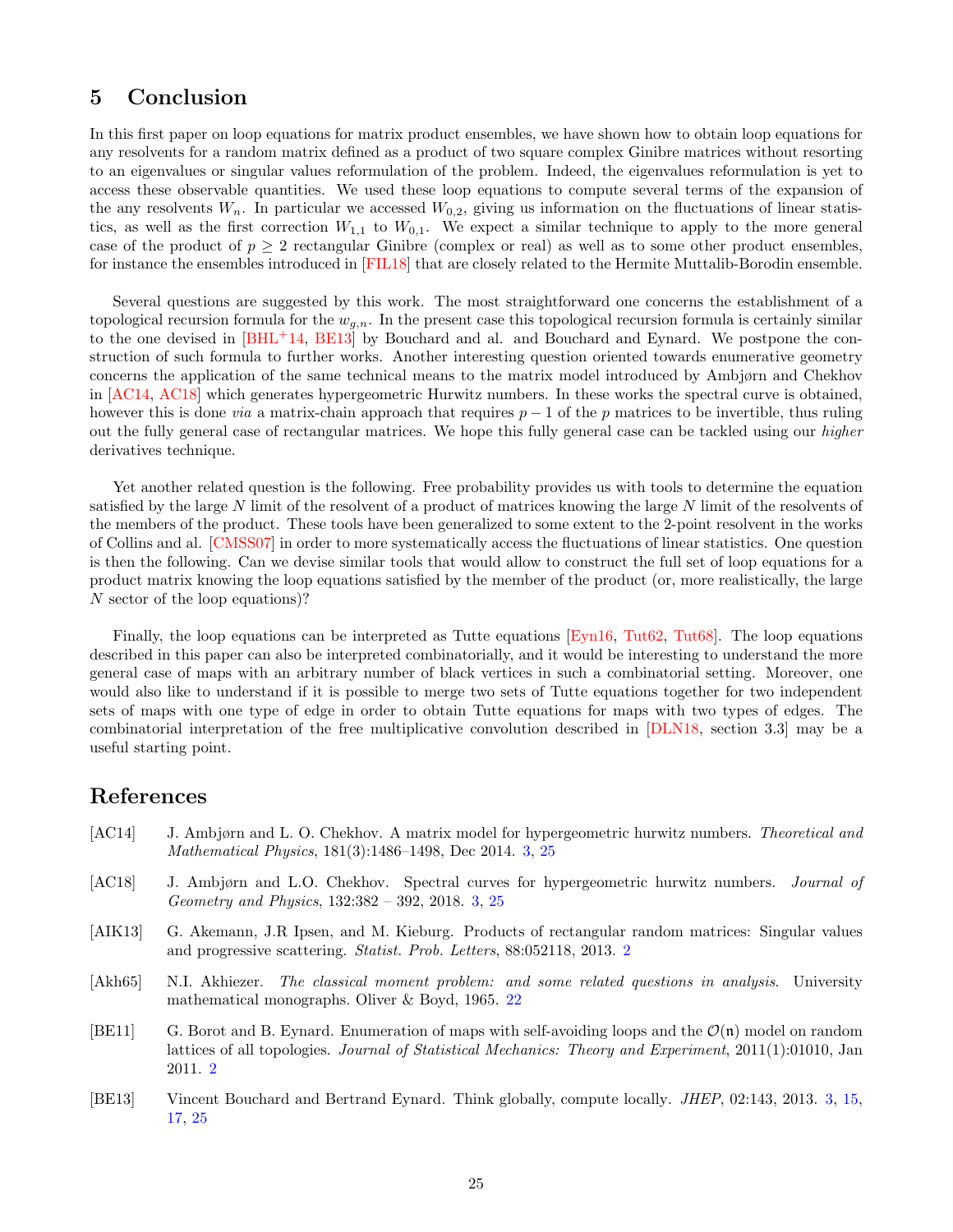## <span id="page-24-6"></span>5 Conclusion

In this first paper on loop equations for matrix product ensembles, we have shown how to obtain loop equations for any resolvents for a random matrix defined as a product of two square complex Ginibre matrices without resorting to an eigenvalues or singular values reformulation of the problem. Indeed, the eigenvalues reformulation is yet to access these observable quantities. We used these loop equations to compute several terms of the expansion of the any resolvents  $W_n$ . In particular we accessed  $W_{0,2}$ , giving us information on the fluctuations of linear statistics, as well as the first correction  $W_{1,1}$  to  $W_{0,1}$ . We expect a similar technique to apply to the more general case of the product of  $p \geq 2$  rectangular Ginibre (complex or real) as well as to some other product ensembles, for instance the ensembles introduced in [\[FIL18\]](#page-25-20) that are closely related to the Hermite Muttalib-Borodin ensemble.

Several questions are suggested by this work. The most straightforward one concerns the establishment of a topological recursion formula for the  $w_{g,n}$ . In the present case this topological recursion formula is certainly similar to the one devised in [\[BHL](#page-25-18)+14, [BE13\]](#page-24-2) by Bouchard and al. and Bouchard and Eynard. We postpone the construction of such formula to further works. Another interesting question oriented towards enumerative geometry concerns the application of the same technical means to the matrix model introduced by Ambjørn and Chekhov in [\[AC14,](#page-24-3) [AC18\]](#page-24-4) which generates hypergeometric Hurwitz numbers. In these works the spectral curve is obtained, however this is done *via* a matrix-chain approach that requires  $p - 1$  of the p matrices to be invertible, thus ruling out the fully general case of rectangular matrices. We hope this fully general case can be tackled using our higher derivatives technique.

Yet another related question is the following. Free probability provides us with tools to determine the equation satisfied by the large N limit of the resolvent of a product of matrices knowing the large N limit of the resolvents of the members of the product. These tools have been generalized to some extent to the 2-point resolvent in the works of Collins and al. [\[CMSS07\]](#page-25-15) in order to more systematically access the fluctuations of linear statistics. One question is then the following. Can we devise similar tools that would allow to construct the full set of loop equations for a product matrix knowing the loop equations satisfied by the member of the product (or, more realistically, the large N sector of the loop equations)?

Finally, the loop equations can be interpreted as Tutte equations [\[Eyn16,](#page-25-16) [Tut62,](#page-26-21) [Tut68\]](#page-26-22). The loop equations described in this paper can also be interpreted combinatorially, and it would be interesting to understand the more general case of maps with an arbitrary number of black vertices in such a combinatorial setting. Moreover, one would also like to understand if it is possible to merge two sets of Tutte equations together for two independent sets of maps with one type of edge in order to obtain Tutte equations for maps with two types of edges. The combinatorial interpretation of the free multiplicative convolution described in [\[DLN18,](#page-25-14) section 3.3] may be a useful starting point.

### References

- <span id="page-24-3"></span>[AC14] J. Ambjørn and L. O. Chekhov. A matrix model for hypergeometric hurwitz numbers. Theoretical and Mathematical Physics, 181(3):1486–1498, Dec 2014. [3,](#page-2-0) [25](#page-24-6)
- <span id="page-24-4"></span>[AC18] J. Ambjørn and L.O. Chekhov. Spectral curves for hypergeometric hurwitz numbers. Journal of Geometry and Physics, 132:382 – 392, 2018. [3,](#page-2-0) [25](#page-24-6)
- <span id="page-24-1"></span>[AIK13] G. Akemann, J.R Ipsen, and M. Kieburg. Products of rectangular random matrices: Singular values and progressive scattering. Statist. Prob. Letters, 88:052118, 2013. [2](#page-1-1)
- <span id="page-24-5"></span>[Akh65] N.I. Akhiezer. The classical moment problem: and some related questions in analysis. University mathematical monographs. Oliver & Boyd, 1965. [22](#page-21-0)
- <span id="page-24-0"></span>[BE11] G. Borot and B. Eynard. Enumeration of maps with self-avoiding loops and the  $\mathcal{O}(n)$  model on random lattices of all topologies. Journal of Statistical Mechanics: Theory and Experiment, 2011(1):01010, Jan 2011. [2](#page-1-1)
- <span id="page-24-2"></span>[BE13] Vincent Bouchard and Bertrand Eynard. Think globally, compute locally. JHEP, 02:143, 2013. [3,](#page-2-0) [15,](#page-14-1) [17,](#page-16-2) [25](#page-24-6)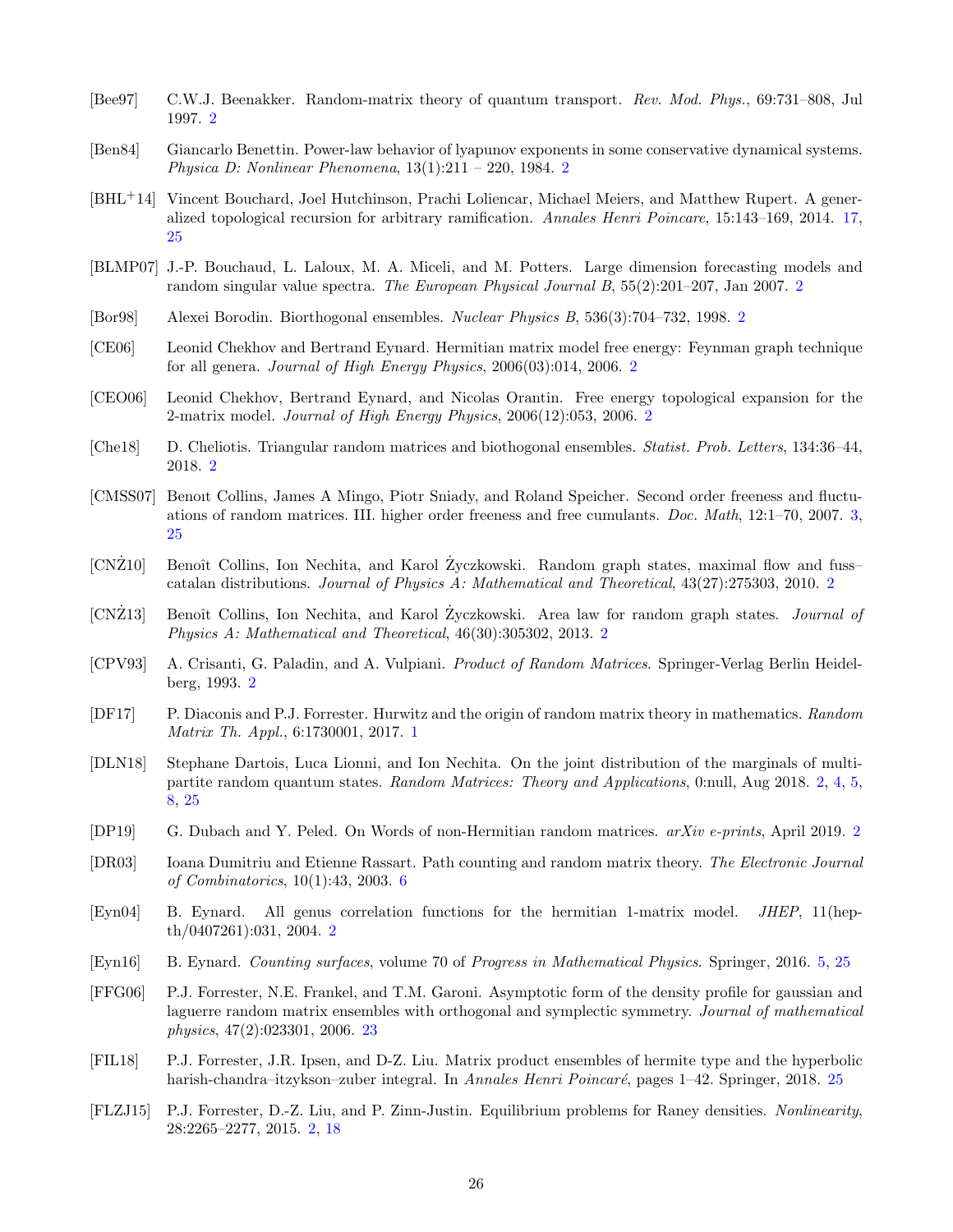- <span id="page-25-6"></span>[Bee97] C.W.J. Beenakker. Random-matrix theory of quantum transport. Rev. Mod. Phys., 69:731–808, Jul 1997. [2](#page-1-1)
- <span id="page-25-9"></span>[Ben84] Giancarlo Benettin. Power-law behavior of lyapunov exponents in some conservative dynamical systems. *Physica D: Nonlinear Phenomena*,  $13(1):211 - 220$  $13(1):211 - 220$  $13(1):211 - 220$ ,  $1984.2$
- <span id="page-25-18"></span>[BHL+14] Vincent Bouchard, Joel Hutchinson, Prachi Loliencar, Michael Meiers, and Matthew Rupert. A generalized topological recursion for arbitrary ramification. Annales Henri Poincare, 15:143–169, 2014. [17,](#page-16-2) [25](#page-24-6)
- <span id="page-25-4"></span>[BLMP07] J.-P. Bouchaud, L. Laloux, M. A. Miceli, and M. Potters. Large dimension forecasting models and random singular value spectra. The European Physical Journal B, 55(2):201–207, Jan 2007. [2](#page-1-1)
- <span id="page-25-11"></span>[Bor98] Alexei Borodin. Biorthogonal ensembles. Nuclear Physics B, 536(3):704–732, 1998. [2](#page-1-1)
- <span id="page-25-3"></span>[CE06] Leonid Chekhov and Bertrand Eynard. Hermitian matrix model free energy: Feynman graph technique for all genera. Journal of High Energy Physics, 2006(03):014, 2006. [2](#page-1-1)
- <span id="page-25-2"></span>[CEO06] Leonid Chekhov, Bertrand Eynard, and Nicolas Orantin. Free energy topological expansion for the 2-matrix model. Journal of High Energy Physics, 2006(12):053, 2006. [2](#page-1-1)
- <span id="page-25-10"></span>[Che18] D. Cheliotis. Triangular random matrices and biothogonal ensembles. Statist. Prob. Letters, 134:36–44, 2018. [2](#page-1-1)
- <span id="page-25-15"></span>[CMSS07] Benoıt Collins, James A Mingo, Piotr Sniady, and Roland Speicher. Second order freeness and fluctuations of random matrices. III. higher order freeness and free cumulants. Doc. Math, 12:1–70, 2007. [3,](#page-2-0) [25](#page-24-6)
- <span id="page-25-7"></span>[CNZ10] Eenoît Collins, Ion Nechita, and Karol Zyczkowski. Random graph states, maximal flow and fuss– catalan distributions. Journal of Physics A: Mathematical and Theoretical, 43(27):275303, 2010. [2](#page-1-1)
- <span id="page-25-8"></span>[CNZ13] Eenoît Collins, Ion Nechita, and Karol Zyczkowski. Area law for random graph states. *Journal of* Physics A: Mathematical and Theoretical, 46(30):305302, 2013. [2](#page-1-1)
- <span id="page-25-5"></span>[CPV93] A. Crisanti, G. Paladin, and A. Vulpiani. Product of Random Matrices. Springer-Verlag Berlin Heidelberg, 1993. [2](#page-1-1)
- <span id="page-25-0"></span>[DF17] P. Diaconis and P.J. Forrester. Hurwitz and the origin of random matrix theory in mathematics. Random Matrix Th. Appl., 6:1730001, 2017. [1](#page-0-0)
- <span id="page-25-14"></span>[DLN18] Stephane Dartois, Luca Lionni, and Ion Nechita. On the joint distribution of the marginals of multi-partite random quantum states. Random Matrices: Theory and Applications, 0:null, Aug 2018. [2,](#page-1-1) [4,](#page-3-2) [5,](#page-4-4) [8,](#page-7-2) [25](#page-24-6)
- <span id="page-25-13"></span>[DP19] G. Dubach and Y. Peled. On Words of non-Hermitian random matrices. arXiv e-prints, April 2019. [2](#page-1-1)
- <span id="page-25-17"></span>[DR03] Ioana Dumitriu and Etienne Rassart. Path counting and random matrix theory. The Electronic Journal of Combinatorics, 10(1):43, 2003. [6](#page-5-4)
- <span id="page-25-1"></span>[Eyn04] B. Eynard. All genus correlation functions for the hermitian 1-matrix model. JHEP, 11(hepth/0407261):031, 2004. [2](#page-1-1)
- <span id="page-25-16"></span>[Eyn16] B. Eynard. Counting surfaces, volume 70 of Progress in Mathematical Physics. Springer, 2016. [5,](#page-4-4) [25](#page-24-6)
- <span id="page-25-19"></span>[FFG06] P.J. Forrester, N.E. Frankel, and T.M. Garoni. Asymptotic form of the density profile for gaussian and laguerre random matrix ensembles with orthogonal and symplectic symmetry. Journal of mathematical physics, 47(2):023301, 2006. [23](#page-22-2)
- <span id="page-25-20"></span>[FIL18] P.J. Forrester, J.R. Ipsen, and D-Z. Liu. Matrix product ensembles of hermite type and the hyperbolic harish-chandra–itzykson–zuber integral. In Annales Henri Poincaré, pages 1–42. Springer, 2018. [25](#page-24-6)
- <span id="page-25-12"></span>[FLZJ15] P.J. Forrester, D.-Z. Liu, and P. Zinn-Justin. Equilibrium problems for Raney densities. Nonlinearity, 28:2265–2277, 2015. [2,](#page-1-1) [18](#page-17-1)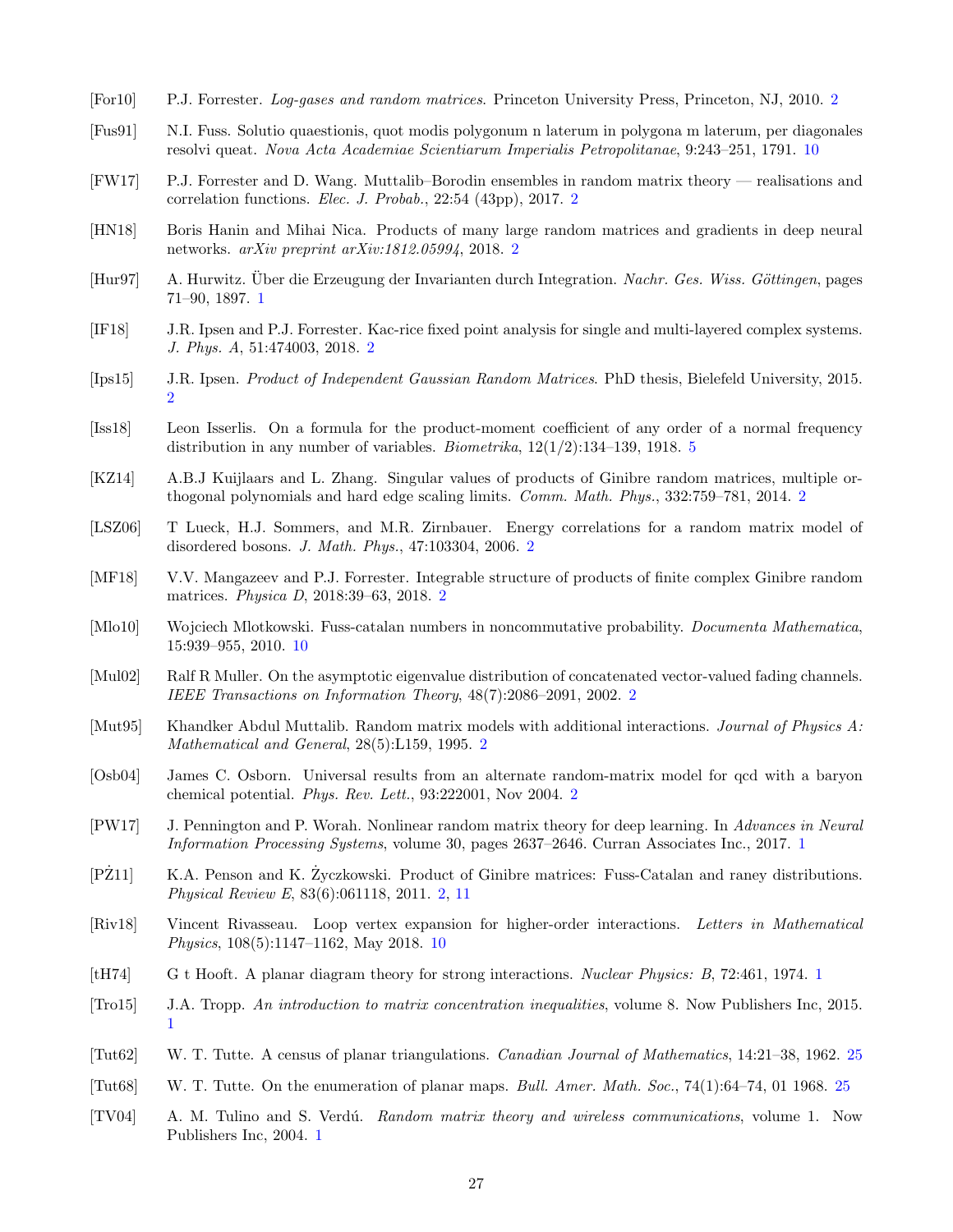- <span id="page-26-6"></span>[For10] P.J. Forrester. Log-gases and random matrices. Princeton University Press, Princeton, NJ, 2010. [2](#page-1-1)
- <span id="page-26-18"></span>[Fus91] N.I. Fuss. Solutio quaestionis, quot modis polygonum n laterum in polygona m laterum, per diagonales resolvi queat. Nova Acta Academiae Scientiarum Imperialis Petropolitanae, 9:243–251, 1791. [10](#page-9-2)
- <span id="page-26-12"></span>[FW17] P.J. Forrester and D. Wang. Muttalib–Borodin ensembles in random matrix theory — realisations and correlation functions. Elec. J. Probab., 22:54 (43pp), 2017. [2](#page-1-1)
- <span id="page-26-9"></span>[HN18] Boris Hanin and Mihai Nica. Products of many large random matrices and gradients in deep neural networks. arXiv preprint arXiv:1812.05994, 2018. [2](#page-1-1)
- <span id="page-26-0"></span>[Hur97] A. Hurwitz. Über die Erzeugung der Invarianten durch Integration. Nachr. Ges. Wiss. Göttingen, pages 71–90, 1897. [1](#page-0-0)
- <span id="page-26-10"></span>[IF18] J.R. Ipsen and P.J. Forrester. Kac-rice fixed point analysis for single and multi-layered complex systems. J. Phys. A, 51:474003, 2018. [2](#page-1-1)
- <span id="page-26-7"></span>[Ips15] J.R. Ipsen. Product of Independent Gaussian Random Matrices. PhD thesis, Bielefeld University, 2015. [2](#page-1-1)
- <span id="page-26-17"></span>[Iss18] Leon Isserlis. On a formula for the product-moment coefficient of any order of a normal frequency distribution in any number of variables. *Biometrika*,  $12(1/2):134-139$ , 1918. [5](#page-4-4)
- <span id="page-26-14"></span>[KZ14] A.B.J Kuijlaars and L. Zhang. Singular values of products of Ginibre random matrices, multiple orthogonal polynomials and hard edge scaling limits. Comm. Math. Phys., 332:759–781, 2014. [2](#page-1-1)
- <span id="page-26-13"></span>[LSZ06] T Lueck, H.J. Sommers, and M.R. Zirnbauer. Energy correlations for a random matrix model of disordered bosons. J. Math. Phys., 47:103304, 2006. [2](#page-1-1)
- <span id="page-26-16"></span>[MF18] V.V. Mangazeev and P.J. Forrester. Integrable structure of products of finite complex Ginibre random matrices. Physica D, 2018:39–63, 2018. [2](#page-1-1)
- <span id="page-26-19"></span>[Mlo10] Wojciech Mlotkowski. Fuss-catalan numbers in noncommutative probability. Documenta Mathematica, 15:939–955, 2010. [10](#page-9-2)
- <span id="page-26-8"></span>[Mul02] Ralf R Muller. On the asymptotic eigenvalue distribution of concatenated vector-valued fading channels. IEEE Transactions on Information Theory, 48(7):2086–2091, 2002. [2](#page-1-1)
- <span id="page-26-11"></span>[Mut95] Khandker Abdul Muttalib. Random matrix models with additional interactions. Journal of Physics A: Mathematical and General, 28(5):L159, 1995. [2](#page-1-1)
- <span id="page-26-5"></span>[Osb04] James C. Osborn. Universal results from an alternate random-matrix model for qcd with a baryon chemical potential. Phys. Rev. Lett., 93:222001, Nov 2004. [2](#page-1-1)
- <span id="page-26-4"></span>[PW17] J. Pennington and P. Worah. Nonlinear random matrix theory for deep learning. In Advances in Neural Information Processing Systems, volume 30, pages 2637–2646. Curran Associates Inc., 2017. [1](#page-0-0)
- <span id="page-26-15"></span>[PZ11] K.A. Penson and K. Zyczkowski. Product of Ginibre matrices: Fuss-Catalan and raney distributions. Physical Review E, 83(6):061118, 2011. [2,](#page-1-1) [11](#page-10-4)
- <span id="page-26-20"></span>[Riv18] Vincent Rivasseau. Loop vertex expansion for higher-order interactions. Letters in Mathematical Physics, 108(5):1147–1162, May 2018. [10](#page-9-2)
- <span id="page-26-1"></span>[tH74] G t Hooft. A planar diagram theory for strong interactions. Nuclear Physics: B, 72:461, 1974. [1](#page-0-0)
- <span id="page-26-3"></span>[Tro15] J.A. Tropp. An introduction to matrix concentration inequalities, volume 8. Now Publishers Inc, 2015. [1](#page-0-0)
- <span id="page-26-21"></span>[Tut62] W. T. Tutte. A census of planar triangulations. Canadian Journal of Mathematics, 14:21–38, 1962. [25](#page-24-6)
- <span id="page-26-22"></span>[Tut68] W. T. Tutte. On the enumeration of planar maps. Bull. Amer. Math. Soc., 74(1):64–74, 01 1968. [25](#page-24-6)
- <span id="page-26-2"></span>[TV04] A. M. Tulino and S. Verd´u. Random matrix theory and wireless communications, volume 1. Now Publishers Inc, 2004. [1](#page-0-0)